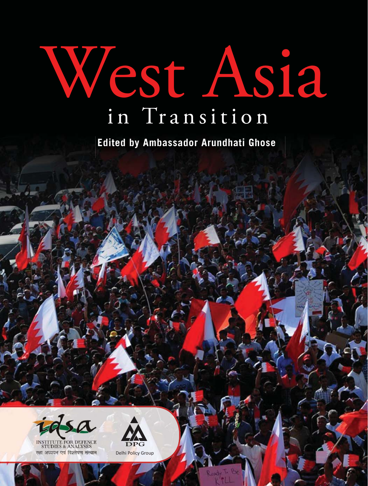# West Asia in Transition

**Edited by Ambassador Arundhati Ghose**



**THDIES & ANALYSES** रक्षा अध्ययन एवं विश्लेषण संस्थान



Delhi Policy Group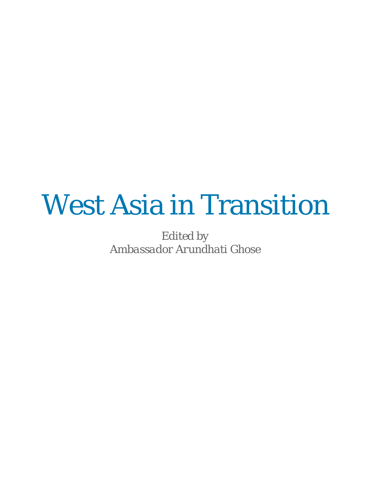### West Asia in Transition

*Edited by Ambassador Arundhati Ghose*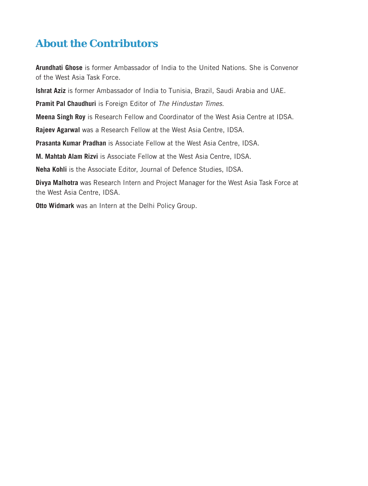#### **About the Contributors**

**Arundhati Ghose** is former Ambassador of India to the United Nations. She is Convenor of the West Asia Task Force.

**Ishrat Aziz** is former Ambassador of India to Tunisia, Brazil, Saudi Arabia and UAE.

Pramit Pal Chaudhuri is Foreign Editor of The Hindustan Times.

**Meena Singh Roy** is Research Fellow and Coordinator of the West Asia Centre at IDSA.

**Rajeev Agarwal** was a Research Fellow at the West Asia Centre, IDSA.

**Prasanta Kumar Pradhan** is Associate Fellow at the West Asia Centre, IDSA.

**M. Mahtab Alam Rizvi** is Associate Fellow at the West Asia Centre, IDSA.

**Neha Kohli** is the Associate Editor, Journal of Defence Studies, IDSA.

**Divya Malhotra** was Research Intern and Project Manager for the West Asia Task Force at the West Asia Centre, IDSA.

**Otto Widmark** was an Intern at the Delhi Policy Group.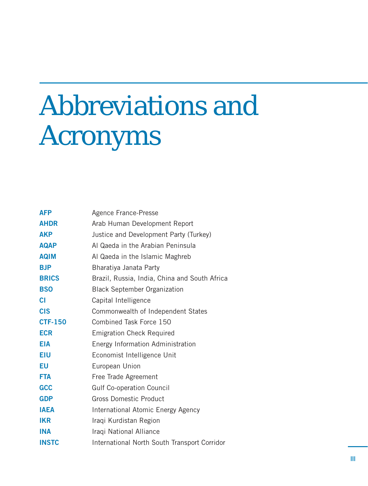## Abbreviations and Acronyms

| <b>AFP</b>     | Agence France-Presse                          |
|----------------|-----------------------------------------------|
| <b>AHDR</b>    | Arab Human Development Report                 |
| <b>AKP</b>     | Justice and Development Party (Turkey)        |
| <b>AQAP</b>    | Al Qaeda in the Arabian Peninsula             |
| <b>AQIM</b>    | Al Qaeda in the Islamic Maghreb               |
| <b>BJP</b>     | Bharatiya Janata Party                        |
| <b>BRICS</b>   | Brazil, Russia, India, China and South Africa |
| <b>BSO</b>     | <b>Black September Organization</b>           |
| <b>CI</b>      | Capital Intelligence                          |
| <b>CIS</b>     | Commonwealth of Independent States            |
| <b>CTF-150</b> | Combined Task Force 150                       |
| <b>ECR</b>     | <b>Emigration Check Required</b>              |
| <b>EIA</b>     | Energy Information Administration             |
| <b>EIU</b>     | Economist Intelligence Unit                   |
| ΕU             | European Union                                |
| <b>FTA</b>     | Free Trade Agreement                          |
| <b>GCC</b>     | <b>Gulf Co-operation Council</b>              |
| <b>GDP</b>     | <b>Gross Domestic Product</b>                 |
| <b>IAEA</b>    | International Atomic Energy Agency            |
| <b>IKR</b>     | Iraqi Kurdistan Region                        |
| <b>INA</b>     | Iraqi National Alliance                       |
| <b>INSTC</b>   | International North South Transport Corridor  |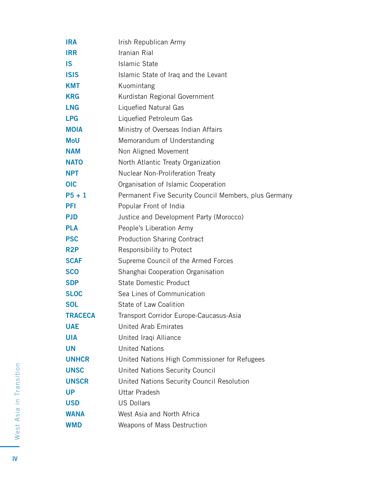| <b>IRA</b>       | Irish Republican Army                                 |
|------------------|-------------------------------------------------------|
| <b>IRR</b>       | Iranian Rial                                          |
| IS               | Islamic State                                         |
| <b>ISIS</b>      | Islamic State of Iraq and the Levant                  |
| KMT              | Kuomintang                                            |
| <b>KRG</b>       | Kurdistan Regional Government                         |
| <b>LNG</b>       | Liquefied Natural Gas                                 |
| <b>LPG</b>       | Liquefied Petroleum Gas                               |
| <b>MOIA</b>      | Ministry of Overseas Indian Affairs                   |
| MoU              | Memorandum of Understanding                           |
| <b>NAM</b>       | Non Aligned Movement                                  |
| <b>NATO</b>      | North Atlantic Treaty Organization                    |
| NPT.             | Nuclear Non-Proliferation Treaty                      |
| <b>OIC</b>       | Organisation of Islamic Cooperation                   |
| $P5 + 1$         | Permanent Five Security Council Members, plus Germany |
| PFI              | Popular Front of India                                |
| PJD              | Justice and Development Party (Morocco)               |
| PLA              | People's Liberation Army                              |
| <b>PSC</b>       | <b>Production Sharing Contract</b>                    |
| R <sub>2</sub> P | Responsibility to Protect                             |
| <b>SCAF</b>      | Supreme Council of the Armed Forces                   |
| <b>SCO</b>       | Shanghai Cooperation Organisation                     |
| <b>SDP</b>       | State Domestic Product                                |
| <b>SLOC</b>      | Sea Lines of Communication                            |
| <b>SOL</b>       | State of Law Coalition                                |
| <b>TRACECA</b>   | Transport Corridor Europe-Caucasus-Asia               |
| <b>UAE</b>       | <b>United Arab Emirates</b>                           |
| <b>UIA</b>       | United Iraqi Alliance                                 |
| UN               | <b>United Nations</b>                                 |
| <b>UNHCR</b>     | United Nations High Commissioner for Refugees         |
| <b>UNSC</b>      | United Nations Security Council                       |
| <b>UNSCR</b>     | United Nations Security Council Resolution            |
| <b>UP</b>        | <b>Uttar Pradesh</b>                                  |
| <b>USD</b>       | <b>US Dollars</b>                                     |
| <b>WANA</b>      | West Asia and North Africa                            |
| <b>WMD</b>       | Weapons of Mass Destruction                           |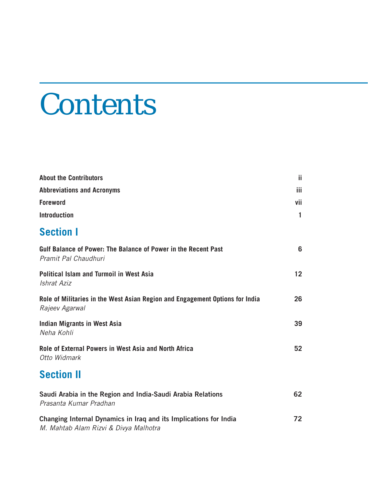# **Contents**

| <b>About the Contributors</b>                                                                              | ji.          |
|------------------------------------------------------------------------------------------------------------|--------------|
| <b>Abbreviations and Acronyms</b>                                                                          | iii.         |
| <b>Foreword</b>                                                                                            | vii          |
| <b>Introduction</b>                                                                                        | $\mathbf{1}$ |
| <b>Section I</b>                                                                                           |              |
| Gulf Balance of Power: The Balance of Power in the Recent Past<br>Pramit Pal Chaudhuri                     | 6            |
| Political Islam and Turmoil in West Asia<br>Ishrat Aziz                                                    | 12           |
| Role of Militaries in the West Asian Region and Engagement Options for India<br>Rajeev Agarwal             | 26           |
| <b>Indian Migrants in West Asia</b><br>Neha Kohli                                                          | 39           |
| Role of External Powers in West Asia and North Africa<br>Otto Widmark                                      | 52           |
| <b>Section II</b>                                                                                          |              |
| Saudi Arabia in the Region and India-Saudi Arabia Relations<br>Prasanta Kumar Pradhan                      | 62           |
| Changing Internal Dynamics in Iraq and its Implications for India<br>M. Mahtab Alam Rizvi & Divya Malhotra | 72           |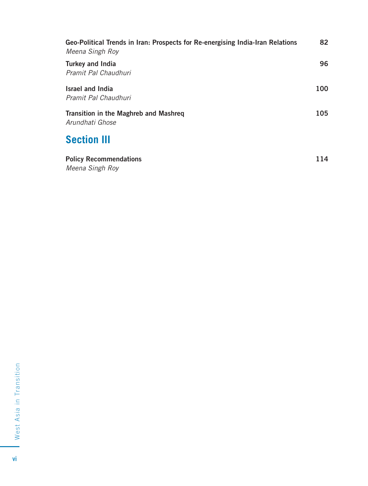| Geo-Political Trends in Iran: Prospects for Re-energising India-Iran Relations<br>Meena Singh Roy | 82  |
|---------------------------------------------------------------------------------------------------|-----|
| <b>Turkey and India</b><br>Pramit Pal Chaudhuri                                                   | 96  |
| <b>Israel and India</b><br>Pramit Pal Chaudhuri                                                   | 100 |
| Transition in the Maghreb and Mashreg<br>Arundhati Ghose                                          |     |
| <b>Section III</b>                                                                                |     |
| <b>Policy Recommendations</b><br>Meena Singh Roy                                                  | 114 |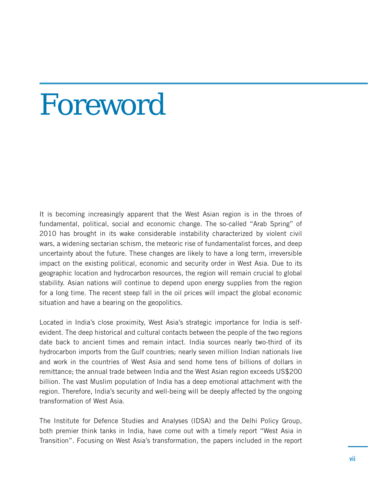## Foreword

It is becoming increasingly apparent that the West Asian region is in the throes of fundamental, political, social and economic change. The so-called "Arab Spring" of 2010 has brought in its wake considerable instability characterized by violent civil wars, a widening sectarian schism, the meteoric rise of fundamentalist forces, and deep uncertainty about the future. These changes are likely to have a long term, irreversible impact on the existing political, economic and security order in West Asia. Due to its geographic location and hydrocarbon resources, the region will remain crucial to global stability. Asian nations will continue to depend upon energy supplies from the region for a long time. The recent steep fall in the oil prices will impact the global economic situation and have a bearing on the geopolitics.

Located in India's close proximity, West Asia's strategic importance for India is selfevident. The deep historical and cultural contacts between the people of the two regions date back to ancient times and remain intact. India sources nearly two-third of its hydrocarbon imports from the Gulf countries; nearly seven million Indian nationals live and work in the countries of West Asia and send home tens of billions of dollars in remittance; the annual trade between India and the West Asian region exceeds US\$200 billion. The vast Muslim population of India has a deep emotional attachment with the region. Therefore, India's security and well-being will be deeply affected by the ongoing transformation of West Asia.

The Institute for Defence Studies and Analyses (IDSA) and the Delhi Policy Group, both premier think tanks in India, have come out with a timely report "West Asia in Transition". Focusing on West Asia's transformation, the papers included in the report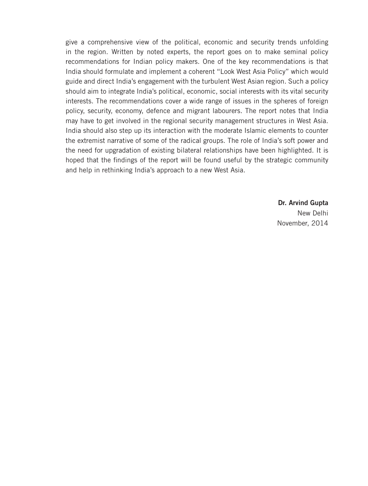give a comprehensive view of the political, economic and security trends unfolding in the region. Written by noted experts, the report goes on to make seminal policy recommendations for Indian policy makers. One of the key recommendations is that India should formulate and implement a coherent "Look West Asia Policy" which would guide and direct India's engagement with the turbulent West Asian region. Such a policy should aim to integrate India's political, economic, social interests with its vital security interests. The recommendations cover a wide range of issues in the spheres of foreign policy, security, economy, defence and migrant labourers. The report notes that India may have to get involved in the regional security management structures in West Asia. India should also step up its interaction with the moderate Islamic elements to counter the extremist narrative of some of the radical groups. The role of India's soft power and the need for upgradation of existing bilateral relationships have been highlighted. It is hoped that the findings of the report will be found useful by the strategic community and help in rethinking India's approach to a new West Asia.

> **Dr. Arvind Gupta**  New Delhi November, 2014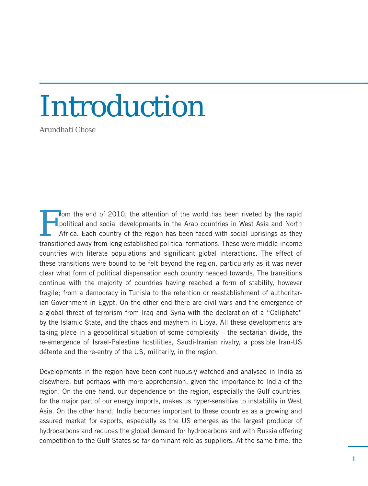# Introduction

*Arundhati Ghose*

From the end of 2010, the attention of the world has been riveted by the rapid<br>political and social developments in the Arab countries in West Asia and North<br>Africa. Each country of the region has been faced with social up political and social developments in the Arab countries in West Asia and North Africa. Each country of the region has been faced with social uprisings as they transitioned away from long established political formations. These were middle-income countries with literate populations and significant global interactions. The effect of these transitions were bound to be felt beyond the region, particularly as it was never clear what form of political dispensation each country headed towards. The transitions continue with the majority of countries having reached a form of stability, however fragile; from a democracy in Tunisia to the retention or reestablishment of authoritarian Government in Egypt. On the other end there are civil wars and the emergence of a global threat of terrorism from Iraq and Syria with the declaration of a "Caliphate" by the Islamic State, and the chaos and mayhem in Libya. All these developments are taking place in a geopolitical situation of some complexity – the sectarian divide, the re-emergence of Israel-Palestine hostilities, Saudi-Iranian rivalry, a possible Iran-US détente and the re-entry of the US, militarily, in the region.

Developments in the region have been continuously watched and analysed in India as elsewhere, but perhaps with more apprehension, given the importance to India of the region. On the one hand, our dependence on the region, especially the Gulf countries, for the major part of our energy imports, makes us hyper-sensitive to instability in West Asia. On the other hand, India becomes important to these countries as a growing and assured market for exports, especially as the US emerges as the largest producer of hydrocarbons and reduces the global demand for hydrocarbons and with Russia offering competition to the Gulf States so far dominant role as suppliers. At the same time, the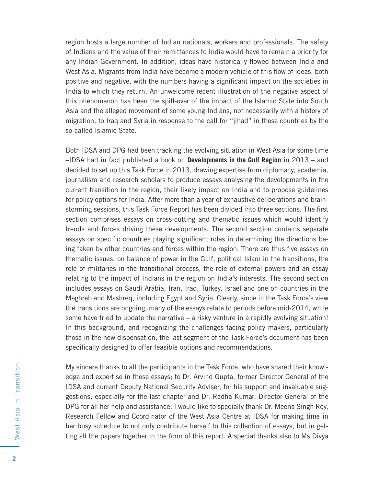region hosts a large number of Indian nationals, workers and professionals. The safety of Indians and the value of their remittances to India would have to remain a priority for any Indian Government. In addition, ideas have historically flowed between India and West Asia. Migrants from India have become a modern vehicle of this flow of ideas, both positive and negative, with the numbers having a significant impact on the societies in India to which they return. An unwelcome recent illustration of the negative aspect of this phenomenon has been the spill-over of the impact of the Islamic State into South Asia and the alleged movement of some young Indians, not necessarily with a history of migration, to Iraq and Syria in response to the call for "jihad" in these countries by the so-called Islamic State.

Both IDSA and DPG had been tracking the evolving situation in West Asia for some time –IDSA had in fact published a book on **Developments in the Gulf Region** in 2013 – and decided to set up this Task Force in 2013, drawing expertise from diplomacy, academia, journalism and research scholars to produce essays analysing the developments in the current transition in the region, their likely impact on India and to propose guidelines for policy options for India. After more than a year of exhaustive deliberations and brainstorming sessions, this Task Force Report has been divided into three sections. The first section comprises essays on cross-cutting and thematic issues which would identify trends and forces driving these developments. The second section contains separate essays on specific countries playing significant roles in determining the directions being taken by other countries and forces within the region. There are thus five essays on thematic issues: on balance of power in the Gulf, political Islam in the transitions, the role of militaries in the transitional process, the role of external powers and an essay relating to the impact of Indians in the region on India's interests. The second section includes essays on Saudi Arabia, Iran, Iraq, Turkey, Israel and one on countries in the Maghreb and Mashreq, including Egypt and Syria. Clearly, since in the Task Force's view the transitions are ongoing, many of the essays relate to periods before mid-2014, while some have tried to update the narrative  $-$  a risky venture in a rapidly evolving situation! In this background, and recognizing the challenges facing policy makers, particularly those in the new dispensation, the last segment of the Task Force's document has been specifically designed to offer feasible options and recommendations.

My sincere thanks to all the participants in the Task Force, who have shared their knowledge and expertise in these essays; to Dr. Arvind Gupta, former Director General of the IDSA and current Deputy National Security Adviser, for his support and invaluable suggestions, especially for the last chapter and Dr. Radha Kumar, Director General of the DPG for all her help and assistance. I would like to specially thank Dr. Meena Singh Roy, Research Fellow and Coordinator of the West Asia Centre at IDSA for making time in her busy schedule to not only contribute herself to this collection of essays, but in getting all the papers together in the form of this report. A special thanks also to Ms Divya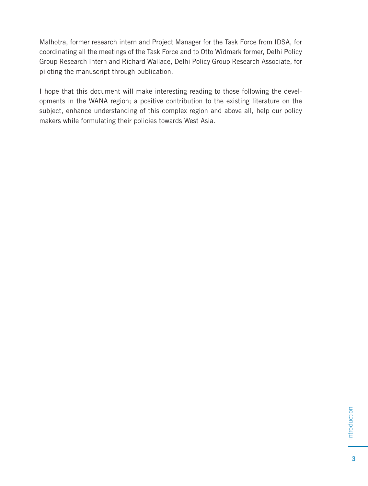Malhotra, former research intern and Project Manager for the Task Force from IDSA, for coordinating all the meetings of the Task Force and to Otto Widmark former, Delhi Policy Group Research Intern and Richard Wallace, Delhi Policy Group Research Associate, for piloting the manuscript through publication.

I hope that this document will make interesting reading to those following the developments in the WANA region; a positive contribution to the existing literature on the subject, enhance understanding of this complex region and above all, help our policy makers while formulating their policies towards West Asia.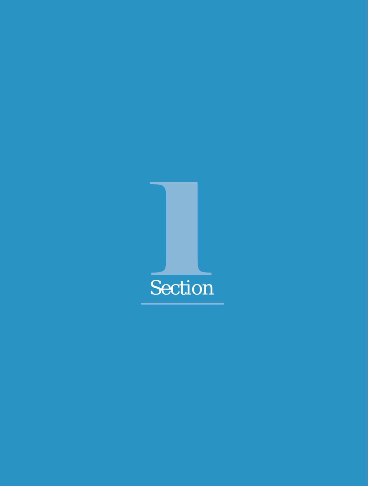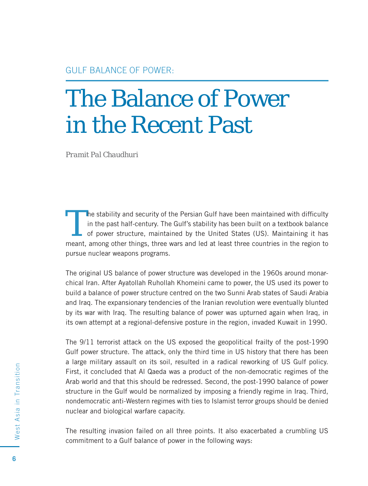### The Balance of Power in the Recent Past

*Pramit Pal Chaudhuri*

The stability and security of the Persian Gulf have been maintained with difficulty<br>
in the past half-century. The Gulf's stability has been built on a textbook balance<br>
of power structure, maintained by the United States in the past half-century. The Gulf's stability has been built on a textbook balance meant, among other things, three wars and led at least three countries in the region to pursue nuclear weapons programs.

The original US balance of power structure was developed in the 1960s around monarchical Iran. After Ayatollah Ruhollah Khomeini came to power, the US used its power to build a balance of power structure centred on the two Sunni Arab states of Saudi Arabia and Iraq. The expansionary tendencies of the Iranian revolution were eventually blunted by its war with Iraq. The resulting balance of power was upturned again when Iraq, in its own attempt at a regional-defensive posture in the region, invaded Kuwait in 1990.

The 9/11 terrorist attack on the US exposed the geopolitical frailty of the post-1990 Gulf power structure. The attack, only the third time in US history that there has been a large military assault on its soil, resulted in a radical reworking of US Gulf policy. First, it concluded that Al Qaeda was a product of the non-democratic regimes of the Arab world and that this should be redressed. Second, the post-1990 balance of power structure in the Gulf would be normalized by imposing a friendly regime in Iraq. Third, nondemocratic anti-Western regimes with ties to Islamist terror groups should be denied nuclear and biological warfare capacity.

The resulting invasion failed on all three points. It also exacerbated a crumbling US commitment to a Gulf balance of power in the following ways: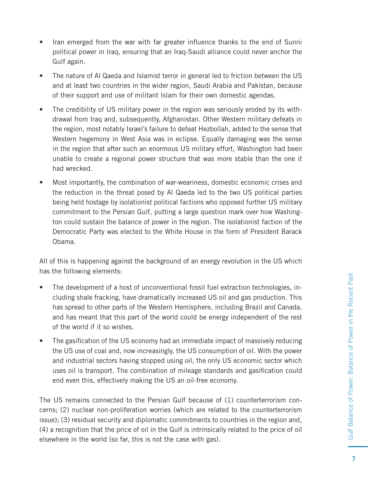- Iran emerged from the war with far greater influence thanks to the end of Sunni political power in Iraq, ensuring that an Iraq-Saudi alliance could never anchor the Gulf again.
- The nature of AI Qaeda and Islamist terror in general led to friction between the US and at least two countries in the wider region, Saudi Arabia and Pakistan, because of their support and use of militant Islam for their own domestic agendas.
- The credibility of US military power in the region was seriously eroded by its withdrawal from Iraq and, subsequently, Afghanistan. Other Western military defeats in the region, most notably Israel's failure to defeat Hezbollah, added to the sense that Western hegemony in West Asia was in eclipse. Equally damaging was the sense in the region that after such an enormous US military effort, Washington had been unable to create a regional power structure that was more stable than the one it had wrecked.
- Most importantly, the combination of war-weariness, domestic economic crises and the reduction in the threat posed by Al Qaeda led to the two US political parties being held hostage by isolationist political factions who opposed further US military commitment to the Persian Gulf, putting a large question mark over how Washington could sustain the balance of power in the region. The isolationist faction of the Democratic Party was elected to the White House in the form of President Barack Obama.

All of this is happening against the background of an energy revolution in the US which has the following elements:

- The development of a host of unconventional fossil fuel extraction technologies, including shale fracking, have dramatically increased US oil and gas production. This has spread to other parts of the Western Hemisphere, including Brazil and Canada, and has meant that this part of the world could be energy independent of the rest of the world if it so wishes.
- The gasification of the US economy had an immediate impact of massively reducing the US use of coal and, now increasingly, the US consumption of oil. With the power and industrial sectors having stopped using oil, the only US economic sector which uses oil is transport. The combination of mileage standards and gasification could end even this, effectively making the US an oil-free economy.

The US remains connected to the Persian Gulf because of (1) counterterrorism concerns; (2) nuclear non-proliferation worries (which are related to the counterterrorism issue); (3) residual security and diplomatic commitments to countries in the region and, (4) a recognition that the price of oil in the Gulf is intrinsically related to the price of oil elsewhere in the world (so far, this is not the case with gas).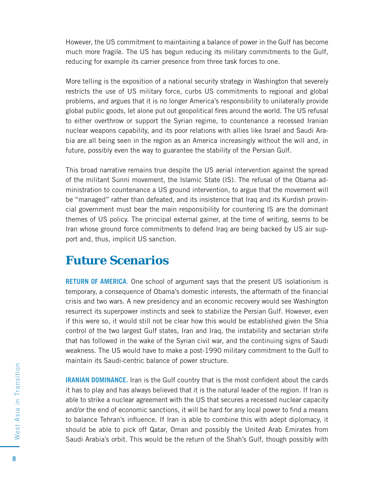However, the US commitment to maintaining a balance of power in the Gulf has become much more fragile. The US has begun reducing its military commitments to the Gulf, reducing for example its carrier presence from three task forces to one.

More telling is the exposition of a national security strategy in Washington that severely restricts the use of US military force, curbs US commitments to regional and global problems, and argues that it is no longer America's responsibility to unilaterally provide global public goods, let alone put out geopolitical fires around the world. The US refusal to either overthrow or support the Syrian regime, to countenance a recessed Iranian nuclear weapons capability, and its poor relations with allies like Israel and Saudi Arabia are all being seen in the region as an America increasingly without the will and, in future, possibly even the way to guarantee the stability of the Persian Gulf.

This broad narrative remains true despite the US aerial intervention against the spread of the militant Sunni movement, the Islamic State (IS). The refusal of the Obama administration to countenance a US ground intervention, to argue that the movement will be "managed" rather than defeated, and its insistence that Iraq and its Kurdish provincial government must bear the main responsibility for countering IS are the dominant themes of US policy. The principal external gainer, at the time of writing, seems to be Iran whose ground force commitments to defend Iraq are being backed by US air support and, thus, implicit US sanction.

#### **Future Scenarios**

**RETURN OF AMERICA**. One school of argument says that the present US isolationism is temporary, a consequence of Obama's domestic interests, the aftermath of the financial crisis and two wars. A new presidency and an economic recovery would see Washington resurrect its superpower instincts and seek to stabilize the Persian Gulf. However, even if this were so, it would still not be clear how this would be established given the Shia control of the two largest Gulf states, Iran and Iraq, the instability and sectarian strife that has followed in the wake of the Syrian civil war, and the continuing signs of Saudi weakness. The US would have to make a post-1990 military commitment to the Gulf to maintain its Saudi-centric balance of power structure.

**IRANIAN DOMINANCE.** Iran is the Gulf country that is the most confident about the cards it has to play and has always believed that it is the natural leader of the region. If Iran is able to strike a nuclear agreement with the US that secures a recessed nuclear capacity and/or the end of economic sanctions, it will be hard for any local power to find a means to balance Tehran's influence. If Iran is able to combine this with adept diplomacy, it should be able to pick off Qatar, Oman and possibly the United Arab Emirates from Saudi Arabia's orbit. This would be the return of the Shah's Gulf, though possibly with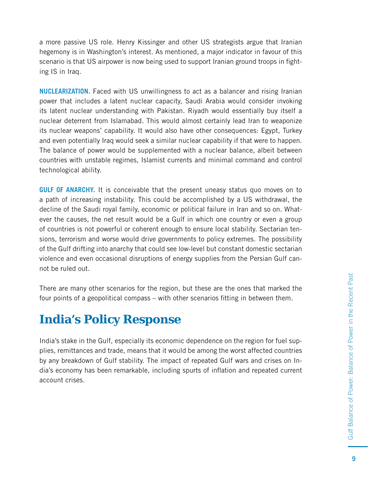a more passive US role. Henry Kissinger and other US strategists argue that Iranian hegemony is in Washington's interest. As mentioned, a major indicator in favour of this scenario is that US airpower is now being used to support Iranian ground troops in fighting IS in Iraq.

**NUCLEARIZATION.** Faced with US unwillingness to act as a balancer and rising Iranian power that includes a latent nuclear capacity, Saudi Arabia would consider invoking its latent nuclear understanding with Pakistan. Riyadh would essentially buy itself a nuclear deterrent from Islamabad. This would almost certainly lead Iran to weaponize its nuclear weapons' capability. It would also have other consequences: Egypt, Turkey and even potentially Iraq would seek a similar nuclear capability if that were to happen. The balance of power would be supplemented with a nuclear balance, albeit between countries with unstable regimes, Islamist currents and minimal command and control technological ability.

**GULF OF ANARCHY.** It is conceivable that the present uneasy status quo moves on to a path of increasing instability. This could be accomplished by a US withdrawal, the decline of the Saudi royal family, economic or political failure in Iran and so on. Whatever the causes, the net result would be a Gulf in which one country or even a group of countries is not powerful or coherent enough to ensure local stability. Sectarian tensions, terrorism and worse would drive governments to policy extremes. The possibility of the Gulf drifting into anarchy that could see low-level but constant domestic sectarian violence and even occasional disruptions of energy supplies from the Persian Gulf cannot be ruled out.

There are many other scenarios for the region, but these are the ones that marked the four points of a geopolitical compass – with other scenarios fitting in between them.

#### **India's Policy Response**

India's stake in the Gulf, especially its economic dependence on the region for fuel supplies, remittances and trade, means that it would be among the worst affected countries by any breakdown of Gulf stability. The impact of repeated Gulf wars and crises on India's economy has been remarkable, including spurts of inflation and repeated current account crises.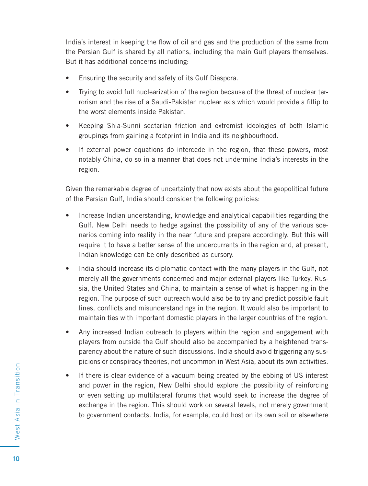India's interest in keeping the flow of oil and gas and the production of the same from the Persian Gulf is shared by all nations, including the main Gulf players themselves. But it has additional concerns including:

- Ensuring the security and safety of its Gulf Diaspora.
- Trying to avoid full nuclearization of the region because of the threat of nuclear terrorism and the rise of a Saudi-Pakistan nuclear axis which would provide a fillip to the worst elements inside Pakistan.
- Keeping Shia-Sunni sectarian friction and extremist ideologies of both Islamic groupings from gaining a footprint in India and its neighbourhood.
- If external power equations do intercede in the region, that these powers, most notably China, do so in a manner that does not undermine India's interests in the region.

Given the remarkable degree of uncertainty that now exists about the geopolitical future of the Persian Gulf, India should consider the following policies:

- Increase Indian understanding, knowledge and analytical capabilities regarding the Gulf. New Delhi needs to hedge against the possibility of any of the various scenarios coming into reality in the near future and prepare accordingly. But this will require it to have a better sense of the undercurrents in the region and, at present, Indian knowledge can be only described as cursory.
- India should increase its diplomatic contact with the many players in the Gulf, not merely all the governments concerned and major external players like Turkey, Russia, the United States and China, to maintain a sense of what is happening in the region. The purpose of such outreach would also be to try and predict possible fault lines, conflicts and misunderstandings in the region. It would also be important to maintain ties with important domestic players in the larger countries of the region.
- Any increased Indian outreach to players within the region and engagement with players from outside the Gulf should also be accompanied by a heightened transparency about the nature of such discussions. India should avoid triggering any suspicions or conspiracy theories, not uncommon in West Asia, about its own activities.
- If there is clear evidence of a vacuum being created by the ebbing of US interest and power in the region, New Delhi should explore the possibility of reinforcing or even setting up multilateral forums that would seek to increase the degree of exchange in the region. This should work on several levels, not merely government to government contacts. India, for example, could host on its own soil or elsewhere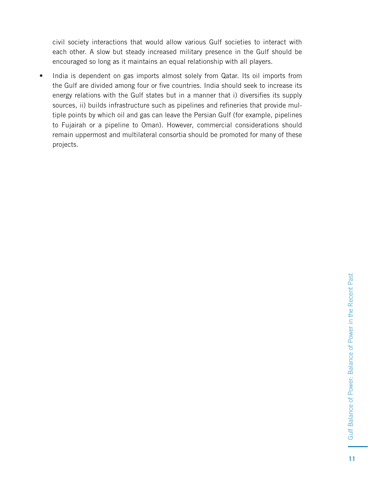civil society interactions that would allow various Gulf societies to interact with each other. A slow but steady increased military presence in the Gulf should be encouraged so long as it maintains an equal relationship with all players.

• India is dependent on gas imports almost solely from Qatar. Its oil imports from the Gulf are divided among four or five countries. India should seek to increase its energy relations with the Gulf states but in a manner that i) diversifies its supply sources, ii) builds infrastructure such as pipelines and refineries that provide multiple points by which oil and gas can leave the Persian Gulf (for example, pipelines to Fujairah or a pipeline to Oman). However, commercial considerations should remain uppermost and multilateral consortia should be promoted for many of these projects.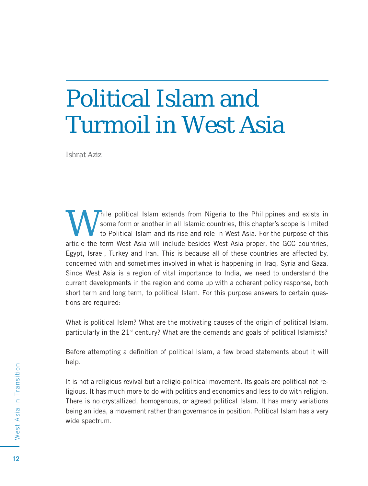### Political Islam and Turmoil in West Asia

*Ishrat Aziz*

Thile political Islam extends from Nigeria to the Philippines and exists in some form or another in all Islamic countries, this chapter's scope is limited to Political Islam and its rise and role in West Asia. For the purpose of this article the term West Asia will include besides West Asia proper, the GCC countries, Egypt, Israel, Turkey and Iran. This is because all of these countries are affected by, concerned with and sometimes involved in what is happening in Iraq, Syria and Gaza. Since West Asia is a region of vital importance to India, we need to understand the current developments in the region and come up with a coherent policy response, both short term and long term, to political Islam. For this purpose answers to certain questions are required:

What is political Islam? What are the motivating causes of the origin of political Islam, particularly in the  $21<sup>st</sup>$  century? What are the demands and goals of political Islamists?

Before attempting a definition of political Islam, a few broad statements about it will help.

It is not a religious revival but a religio-political movement. Its goals are political not religious. It has much more to do with politics and economics and less to do with religion. There is no crystallized, homogenous, or agreed political Islam. It has many variations being an idea, a movement rather than governance in position. Political Islam has a very wide spectrum.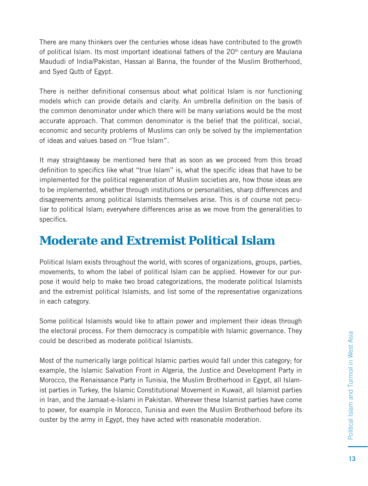There are many thinkers over the centuries whose ideas have contributed to the growth of political Islam. Its most important ideational fathers of the 20th century are Maulana Maududi of India/Pakistan, Hassan al Banna, the founder of the Muslim Brotherhood, and Syed Qutb of Egypt.

There is neither definitional consensus about what political Islam is nor functioning models which can provide details and clarity. An umbrella definition on the basis of the common denominator under which there will be many variations would be the most accurate approach. That common denominator is the belief that the political, social, economic and security problems of Muslims can only be solved by the implementation of ideas and values based on "True Islam".

It may straightaway be mentioned here that as soon as we proceed from this broad definition to specifics like what "true Islam" is, what the specific ideas that have to be implemented for the political regeneration of Muslim societies are, how those ideas are to be implemented, whether through institutions or personalities, sharp differences and disagreements among political Islamists themselves arise. This is of course not peculiar to political Islam; everywhere differences arise as we move from the generalities to specifics.

#### **Moderate and Extremist Political Islam**

Political Islam exists throughout the world, with scores of organizations, groups, parties, movements, to whom the label of political Islam can be applied. However for our purpose it would help to make two broad categorizations, the moderate political Islamists and the extremist political Islamists, and list some of the representative organizations in each category.

Some political Islamists would like to attain power and implement their ideas through the electoral process. For them democracy is compatible with Islamic governance. They could be described as moderate political Islamists.

Most of the numerically large political Islamic parties would fall under this category; for example, the Islamic Salvation Front in Algeria, the Justice and Development Party in Morocco, the Renaissance Party in Tunisia, the Muslim Brotherhood in Egypt, all Islamist parties in Turkey, the Islamic Constitutional Movement in Kuwait, all Islamist parties in Iran, and the Jamaat-e-Islami in Pakistan. Wherever these Islamist parties have come to power, for example in Morocco, Tunisia and even the Muslim Brotherhood before its ouster by the army in Egypt, they have acted with reasonable moderation.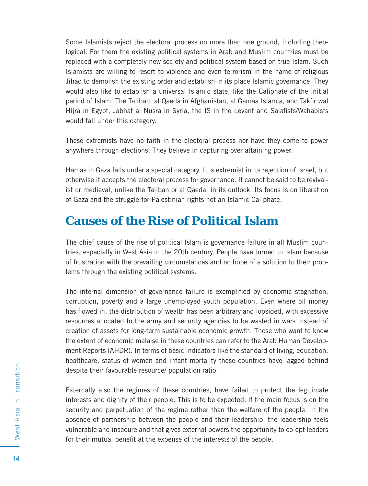Some Islamists reject the electoral process on more than one ground, including theological. For them the existing political systems in Arab and Muslim countries must be replaced with a completely new society and political system based on true Islam. Such Islamists are willing to resort to violence and even terrorism in the name of religious Jihad to demolish the existing order and establish in its place Islamic governance. They would also like to establish a universal Islamic state, like the Caliphate of the initial period of Islam. The Taliban, al Qaeda in Afghanistan, al Gamaa Islamia, and Takfir wal Hijra in Egypt, Jabhat al Nusra in Syria, the IS in the Levant and Salafists/Wahabists would fall under this category.

These extremists have no faith in the electoral process nor have they come to power anywhere through elections. They believe in capturing over attaining power.

Hamas in Gaza falls under a special category. It is extremist in its rejection of Israel, but otherwise it accepts the electoral process for governance. It cannot be said to be revivalist or medieval, unlike the Taliban or al Qaeda, in its outlook. Its focus is on liberation of Gaza and the struggle for Palestinian rights not an Islamic Caliphate.

#### **Causes of the Rise of Political Islam**

The chief cause of the rise of political Islam is governance failure in all Muslim countries, especially in West Asia in the 20th century. People have turned to Islam because of frustration with the prevailing circumstances and no hope of a solution to their problems through the existing political systems.

The internal dimension of governance failure is exemplified by economic stagnation, corruption, poverty and a large unemployed youth population. Even where oil money has flowed in, the distribution of wealth has been arbitrary and lopsided, with excessive resources allocated to the army and security agencies to be wasted in wars instead of creation of assets for long-term sustainable economic growth. Those who want to know the extent of economic malaise in these countries can refer to the Arab Human Development Reports (AHDR). In terms of basic indicators like the standard of living, education, healthcare, status of women and infant mortality these countries have lagged behind despite their favourable resource/ population ratio.

Externally also the regimes of these countries, have failed to protect the legitimate interests and dignity of their people. This is to be expected, if the main focus is on the security and perpetuation of the regime rather than the welfare of the people. In the absence of partnership between the people and their leadership, the leadership feels vulnerable and insecure and that gives external powers the opportunity to co-opt leaders for their mutual benefit at the expense of the interests of the people.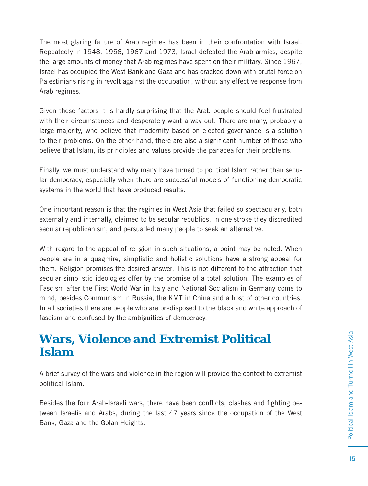The most glaring failure of Arab regimes has been in their confrontation with Israel. Repeatedly in 1948, 1956, 1967 and 1973, Israel defeated the Arab armies, despite the large amounts of money that Arab regimes have spent on their military. Since 1967, Israel has occupied the West Bank and Gaza and has cracked down with brutal force on Palestinians rising in revolt against the occupation, without any effective response from Arab regimes.

Given these factors it is hardly surprising that the Arab people should feel frustrated with their circumstances and desperately want a way out. There are many, probably a large majority, who believe that modernity based on elected governance is a solution to their problems. On the other hand, there are also a significant number of those who believe that Islam, its principles and values provide the panacea for their problems.

Finally, we must understand why many have turned to political Islam rather than secular democracy, especially when there are successful models of functioning democratic systems in the world that have produced results.

One important reason is that the regimes in West Asia that failed so spectacularly, both externally and internally, claimed to be secular republics. In one stroke they discredited secular republicanism, and persuaded many people to seek an alternative.

With regard to the appeal of religion in such situations, a point may be noted. When people are in a quagmire, simplistic and holistic solutions have a strong appeal for them. Religion promises the desired answer. This is not different to the attraction that secular simplistic ideologies offer by the promise of a total solution. The examples of Fascism after the First World War in Italy and National Socialism in Germany come to mind, besides Communism in Russia, the KMT in China and a host of other countries. In all societies there are people who are predisposed to the black and white approach of fascism and confused by the ambiguities of democracy.

#### **Wars, Violence and Extremist Political Islam**

A brief survey of the wars and violence in the region will provide the context to extremist political Islam.

Besides the four Arab-Israeli wars, there have been conflicts, clashes and fighting between Israelis and Arabs, during the last 47 years since the occupation of the West Bank, Gaza and the Golan Heights.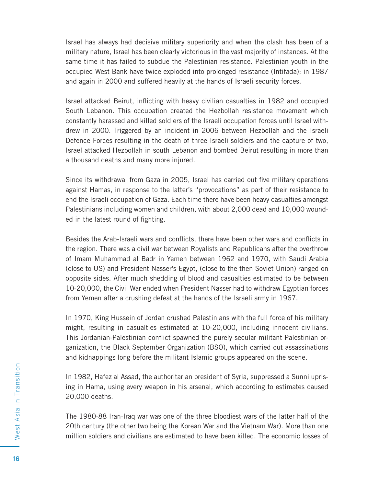Israel has always had decisive military superiority and when the clash has been of a military nature, Israel has been clearly victorious in the vast majority of instances. At the same time it has failed to subdue the Palestinian resistance. Palestinian youth in the occupied West Bank have twice exploded into prolonged resistance (Intifada); in 1987 and again in 2000 and suffered heavily at the hands of Israeli security forces.

Israel attacked Beirut, inflicting with heavy civilian casualties in 1982 and occupied South Lebanon. This occupation created the Hezbollah resistance movement which constantly harassed and killed soldiers of the Israeli occupation forces until Israel withdrew in 2000. Triggered by an incident in 2006 between Hezbollah and the Israeli Defence Forces resulting in the death of three Israeli soldiers and the capture of two, Israel attacked Hezbollah in south Lebanon and bombed Beirut resulting in more than a thousand deaths and many more injured.

Since its withdrawal from Gaza in 2005, Israel has carried out five military operations against Hamas, in response to the latter's "provocations" as part of their resistance to end the Israeli occupation of Gaza. Each time there have been heavy casualties amongst Palestinians including women and children, with about 2,000 dead and 10,000 wounded in the latest round of fighting.

Besides the Arab-Israeli wars and conflicts, there have been other wars and conflicts in the region. There was a civil war between Royalists and Republicans after the overthrow of Imam Muhammad al Badr in Yemen between 1962 and 1970, with Saudi Arabia (close to US) and President Nasser's Egypt, (close to the then Soviet Union) ranged on opposite sides. After much shedding of blood and casualties estimated to be between 10-20,000, the Civil War ended when President Nasser had to withdraw Egyptian forces from Yemen after a crushing defeat at the hands of the Israeli army in 1967.

In 1970, King Hussein of Jordan crushed Palestinians with the full force of his military might, resulting in casualties estimated at 10-20,000, including innocent civilians. This Jordanian-Palestinian conflict spawned the purely secular militant Palestinian organization, the Black September Organization (BSO), which carried out assassinations and kidnappings long before the militant Islamic groups appeared on the scene.

In 1982, Hafez al Assad, the authoritarian president of Syria, suppressed a Sunni uprising in Hama, using every weapon in his arsenal, which according to estimates caused 20,000 deaths.

The 1980-88 Iran-Iraq war was one of the three bloodiest wars of the latter half of the 20th century (the other two being the Korean War and the Vietnam War). More than one million soldiers and civilians are estimated to have been killed. The economic losses of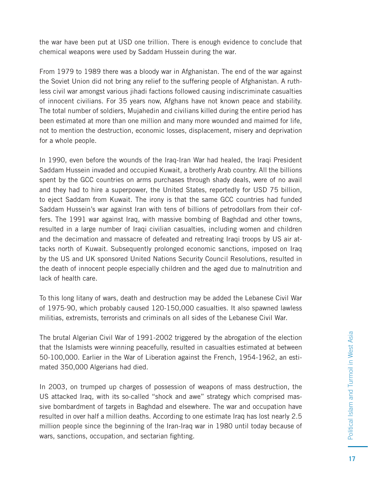the war have been put at USD one trillion. There is enough evidence to conclude that chemical weapons were used by Saddam Hussein during the war.

From 1979 to 1989 there was a bloody war in Afghanistan. The end of the war against the Soviet Union did not bring any relief to the suffering people of Afghanistan. A ruthless civil war amongst various jihadi factions followed causing indiscriminate casualties of innocent civilians. For 35 years now, Afghans have not known peace and stability. The total number of soldiers, Mujahedin and civilians killed during the entire period has been estimated at more than one million and many more wounded and maimed for life, not to mention the destruction, economic losses, displacement, misery and deprivation for a whole people.

In 1990, even before the wounds of the Iraq-Iran War had healed, the Iraqi President Saddam Hussein invaded and occupied Kuwait, a brotherly Arab country. All the billions spent by the GCC countries on arms purchases through shady deals, were of no avail and they had to hire a superpower, the United States, reportedly for USD 75 billion, to eject Saddam from Kuwait. The irony is that the same GCC countries had funded Saddam Hussein's war against Iran with tens of billions of petrodollars from their coffers. The 1991 war against Iraq, with massive bombing of Baghdad and other towns, resulted in a large number of Iraqi civilian casualties, including women and children and the decimation and massacre of defeated and retreating Iraqi troops by US air attacks north of Kuwait. Subsequently prolonged economic sanctions, imposed on Iraq by the US and UK sponsored United Nations Security Council Resolutions, resulted in the death of innocent people especially children and the aged due to malnutrition and lack of health care.

To this long litany of wars, death and destruction may be added the Lebanese Civil War of 1975-90, which probably caused 120-150,000 casualties. It also spawned lawless militias, extremists, terrorists and criminals on all sides of the Lebanese Civil War.

The brutal Algerian Civil War of 1991-2002 triggered by the abrogation of the election that the Islamists were winning peacefully, resulted in casualties estimated at between 50-100,000. Earlier in the War of Liberation against the French, 1954-1962, an estimated 350,000 Algerians had died.

In 2003, on trumped up charges of possession of weapons of mass destruction, the US attacked Iraq, with its so-called "shock and awe" strategy which comprised massive bombardment of targets in Baghdad and elsewhere. The war and occupation have resulted in over half a million deaths. According to one estimate Iraq has lost nearly 2.5 million people since the beginning of the Iran-Iraq war in 1980 until today because of wars, sanctions, occupation, and sectarian fighting.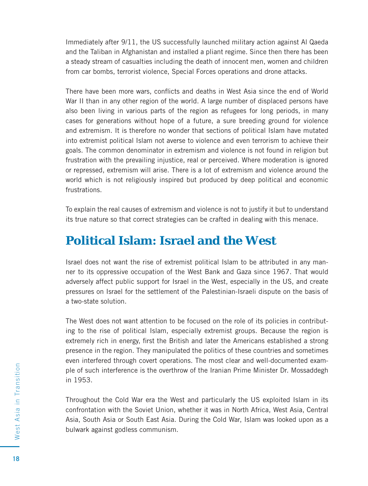Immediately after 9/11, the US successfully launched military action against Al Qaeda and the Taliban in Afghanistan and installed a pliant regime. Since then there has been a steady stream of casualties including the death of innocent men, women and children from car bombs, terrorist violence, Special Forces operations and drone attacks.

There have been more wars, conflicts and deaths in West Asia since the end of World War II than in any other region of the world. A large number of displaced persons have also been living in various parts of the region as refugees for long periods, in many cases for generations without hope of a future, a sure breeding ground for violence and extremism. It is therefore no wonder that sections of political Islam have mutated into extremist political Islam not averse to violence and even terrorism to achieve their goals. The common denominator in extremism and violence is not found in religion but frustration with the prevailing injustice, real or perceived. Where moderation is ignored or repressed, extremism will arise. There is a lot of extremism and violence around the world which is not religiously inspired but produced by deep political and economic frustrations.

To explain the real causes of extremism and violence is not to justify it but to understand its true nature so that correct strategies can be crafted in dealing with this menace.

#### **Political Islam: Israel and the West**

Israel does not want the rise of extremist political Islam to be attributed in any manner to its oppressive occupation of the West Bank and Gaza since 1967. That would adversely affect public support for Israel in the West, especially in the US, and create pressures on Israel for the settlement of the Palestinian-Israeli dispute on the basis of a two-state solution.

The West does not want attention to be focused on the role of its policies in contributing to the rise of political Islam, especially extremist groups. Because the region is extremely rich in energy, first the British and later the Americans established a strong presence in the region. They manipulated the politics of these countries and sometimes even interfered through covert operations. The most clear and well-documented example of such interference is the overthrow of the Iranian Prime Minister Dr. Mossaddegh in 1953.

Throughout the Cold War era the West and particularly the US exploited Islam in its confrontation with the Soviet Union, whether it was in North Africa, West Asia, Central Asia, South Asia or South East Asia. During the Cold War, Islam was looked upon as a bulwark against godless communism.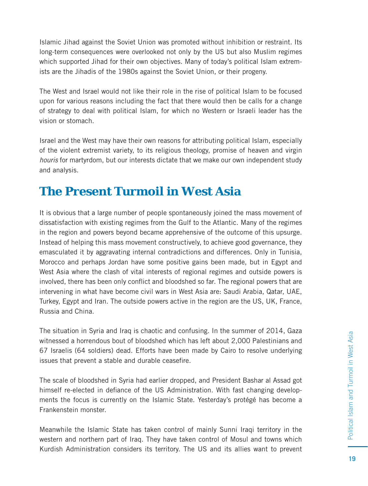Islamic Jihad against the Soviet Union was promoted without inhibition or restraint. Its long-term consequences were overlooked not only by the US but also Muslim regimes which supported Jihad for their own objectives. Many of today's political Islam extremists are the Jihadis of the 1980s against the Soviet Union, or their progeny.

The West and Israel would not like their role in the rise of political Islam to be focused upon for various reasons including the fact that there would then be calls for a change of strategy to deal with political Islam, for which no Western or Israeli leader has the vision or stomach.

Israel and the West may have their own reasons for attributing political Islam, especially of the violent extremist variety, to its religious theology, promise of heaven and virgin houris for martyrdom, but our interests dictate that we make our own independent study and analysis.

#### **The Present Turmoil in West Asia**

It is obvious that a large number of people spontaneously joined the mass movement of dissatisfaction with existing regimes from the Gulf to the Atlantic. Many of the regimes in the region and powers beyond became apprehensive of the outcome of this upsurge. Instead of helping this mass movement constructively, to achieve good governance, they emasculated it by aggravating internal contradictions and differences. Only in Tunisia, Morocco and perhaps Jordan have some positive gains been made, but in Egypt and West Asia where the clash of vital interests of regional regimes and outside powers is involved, there has been only conflict and bloodshed so far. The regional powers that are intervening in what have become civil wars in West Asia are: Saudi Arabia, Qatar, UAE, Turkey, Egypt and Iran. The outside powers active in the region are the US, UK, France, Russia and China.

The situation in Syria and Iraq is chaotic and confusing. In the summer of 2014, Gaza witnessed a horrendous bout of bloodshed which has left about 2,000 Palestinians and 67 Israelis (64 soldiers) dead. Efforts have been made by Cairo to resolve underlying issues that prevent a stable and durable ceasefire.

The scale of bloodshed in Syria had earlier dropped, and President Bashar al Assad got himself re-elected in defiance of the US Administration. With fast changing developments the focus is currently on the Islamic State. Yesterday's protégé has become a Frankenstein monster.

Meanwhile the Islamic State has taken control of mainly Sunni Iraqi territory in the western and northern part of Iraq. They have taken control of Mosul and towns which Kurdish Administration considers its territory. The US and its allies want to prevent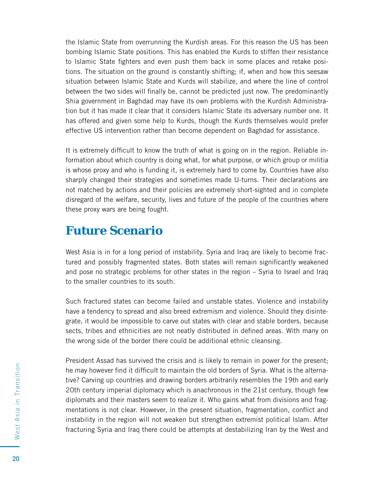the Islamic State from overrunning the Kurdish areas. For this reason the US has been bombing Islamic State positions. This has enabled the Kurds to stiffen their resistance to Islamic State fighters and even push them back in some places and retake positions. The situation on the ground is constantly shifting; if, when and how this seesaw situation between Islamic State and Kurds will stabilize, and where the line of control between the two sides will finally be, cannot be predicted just now. The predominantly Shia government in Baghdad may have its own problems with the Kurdish Administration but it has made it clear that it considers Islamic State its adversary number one. It has offered and given some help to Kurds, though the Kurds themselves would prefer effective US intervention rather than become dependent on Baghdad for assistance.

It is extremely difficult to know the truth of what is going on in the region. Reliable information about which country is doing what, for what purpose, or which group or militia is whose proxy and who is funding it, is extremely hard to come by. Countries have also sharply changed their strategies and sometimes made U-turns. Their declarations are not matched by actions and their policies are extremely short-sighted and in complete disregard of the welfare, security, lives and future of the people of the countries where these proxy wars are being fought.

#### **Future Scenario**

West Asia is in for a long period of instability. Syria and Iraq are likely to become fractured and possibly fragmented states. Both states will remain significantly weakened and pose no strategic problems for other states in the region – Syria to Israel and Iraq to the smaller countries to its south.

Such fractured states can become failed and unstable states. Violence and instability have a tendency to spread and also breed extremism and violence. Should they disintegrate, it would be impossible to carve out states with clear and stable borders, because sects, tribes and ethnicities are not neatly distributed in defined areas. With many on the wrong side of the border there could be additional ethnic cleansing.

President Assad has survived the crisis and is likely to remain in power for the present; he may however find it difficult to maintain the old borders of Syria. What is the alternative? Carving up countries and drawing borders arbitrarily resembles the 19th and early 20th century imperial diplomacy which is anachronous in the 21st century, though few diplomats and their masters seem to realize it. Who gains what from divisions and fragmentations is not clear. However, in the present situation, fragmentation, conflict and instability in the region will not weaken but strengthen extremist political Islam. After fracturing Syria and Iraq there could be attempts at destabilizing Iran by the West and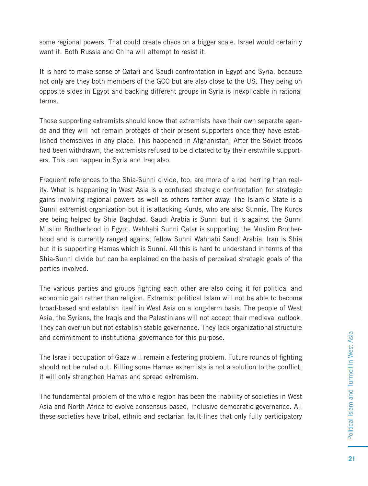some regional powers. That could create chaos on a bigger scale. Israel would certainly want it. Both Russia and China will attempt to resist it.

It is hard to make sense of Qatari and Saudi confrontation in Egypt and Syria, because not only are they both members of the GCC but are also close to the US. They being on opposite sides in Egypt and backing different groups in Syria is inexplicable in rational terms.

Those supporting extremists should know that extremists have their own separate agenda and they will not remain protégés of their present supporters once they have established themselves in any place. This happened in Afghanistan. After the Soviet troops had been withdrawn, the extremists refused to be dictated to by their erstwhile supporters. This can happen in Syria and Iraq also.

Frequent references to the Shia-Sunni divide, too, are more of a red herring than reality. What is happening in West Asia is a confused strategic confrontation for strategic gains involving regional powers as well as others farther away. The Islamic State is a Sunni extremist organization but it is attacking Kurds, who are also Sunnis. The Kurds are being helped by Shia Baghdad. Saudi Arabia is Sunni but it is against the Sunni Muslim Brotherhood in Egypt. Wahhabi Sunni Qatar is supporting the Muslim Brotherhood and is currently ranged against fellow Sunni Wahhabi Saudi Arabia. Iran is Shia but it is supporting Hamas which is Sunni. All this is hard to understand in terms of the Shia-Sunni divide but can be explained on the basis of perceived strategic goals of the parties involved.

The various parties and groups fighting each other are also doing it for political and economic gain rather than religion. Extremist political Islam will not be able to become broad-based and establish itself in West Asia on a long-term basis. The people of West Asia, the Syrians, the Iraqis and the Palestinians will not accept their medieval outlook. They can overrun but not establish stable governance. They lack organizational structure and commitment to institutional governance for this purpose.

The Israeli occupation of Gaza will remain a festering problem. Future rounds of fighting should not be ruled out. Killing some Hamas extremists is not a solution to the conflict; it will only strengthen Hamas and spread extremism.

The fundamental problem of the whole region has been the inability of societies in West Asia and North Africa to evolve consensus-based, inclusive democratic governance. All these societies have tribal, ethnic and sectarian fault-lines that only fully participatory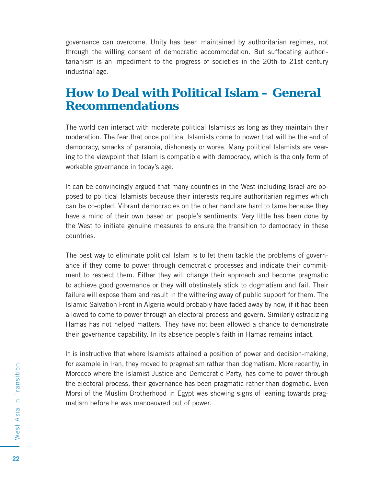governance can overcome. Unity has been maintained by authoritarian regimes, not through the willing consent of democratic accommodation. But suffocating authoritarianism is an impediment to the progress of societies in the 20th to 21st century industrial age.

#### **How to Deal with Political Islam – General Recommendations**

The world can interact with moderate political Islamists as long as they maintain their moderation. The fear that once political Islamists come to power that will be the end of democracy, smacks of paranoia, dishonesty or worse. Many political Islamists are veering to the viewpoint that Islam is compatible with democracy, which is the only form of workable governance in today's age.

It can be convincingly argued that many countries in the West including Israel are opposed to political Islamists because their interests require authoritarian regimes which can be co-opted. Vibrant democracies on the other hand are hard to tame because they have a mind of their own based on people's sentiments. Very little has been done by the West to initiate genuine measures to ensure the transition to democracy in these countries.

The best way to eliminate political Islam is to let them tackle the problems of governance if they come to power through democratic processes and indicate their commitment to respect them. Either they will change their approach and become pragmatic to achieve good governance or they will obstinately stick to dogmatism and fail. Their failure will expose them and result in the withering away of public support for them. The Islamic Salvation Front in Algeria would probably have faded away by now, if it had been allowed to come to power through an electoral process and govern. Similarly ostracizing Hamas has not helped matters. They have not been allowed a chance to demonstrate their governance capability. In its absence people's faith in Hamas remains intact.

It is instructive that where Islamists attained a position of power and decision-making, for example in Iran, they moved to pragmatism rather than dogmatism. More recently, in Morocco where the Islamist Justice and Democratic Party, has come to power through the electoral process, their governance has been pragmatic rather than dogmatic. Even Morsi of the Muslim Brotherhood in Egypt was showing signs of leaning towards pragmatism before he was manoeuvred out of power.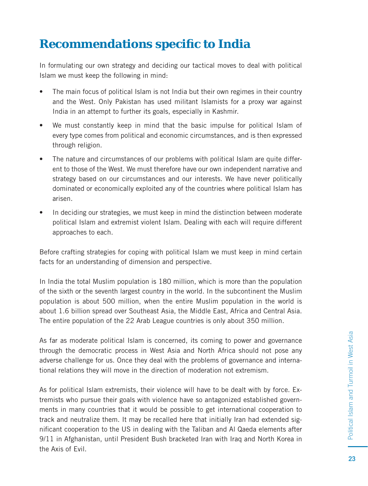#### **Recommendations specifi c to India**

In formulating our own strategy and deciding our tactical moves to deal with political Islam we must keep the following in mind:

- The main focus of political Islam is not India but their own regimes in their country and the West. Only Pakistan has used militant Islamists for a proxy war against India in an attempt to further its goals, especially in Kashmir.
- We must constantly keep in mind that the basic impulse for political Islam of every type comes from political and economic circumstances, and is then expressed through religion.
- The nature and circumstances of our problems with political Islam are quite different to those of the West. We must therefore have our own independent narrative and strategy based on our circumstances and our interests. We have never politically dominated or economically exploited any of the countries where political Islam has arisen.
- In deciding our strategies, we must keep in mind the distinction between moderate political Islam and extremist violent Islam. Dealing with each will require different approaches to each.

Before crafting strategies for coping with political Islam we must keep in mind certain facts for an understanding of dimension and perspective.

In India the total Muslim population is 180 million, which is more than the population of the sixth or the seventh largest country in the world. In the subcontinent the Muslim population is about 500 million, when the entire Muslim population in the world is about 1.6 billion spread over Southeast Asia, the Middle East, Africa and Central Asia. The entire population of the 22 Arab League countries is only about 350 million.

As far as moderate political Islam is concerned, its coming to power and governance through the democratic process in West Asia and North Africa should not pose any adverse challenge for us. Once they deal with the problems of governance and international relations they will move in the direction of moderation not extremism.

As for political Islam extremists, their violence will have to be dealt with by force. Extremists who pursue their goals with violence have so antagonized established governments in many countries that it would be possible to get international cooperation to track and neutralize them. It may be recalled here that initially Iran had extended significant cooperation to the US in dealing with the Taliban and AI Qaeda elements after 9/11 in Afghanistan, until President Bush bracketed Iran with Iraq and North Korea in the Axis of Evil.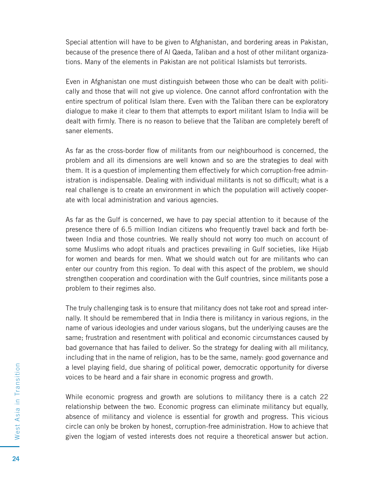Special attention will have to be given to Afghanistan, and bordering areas in Pakistan, because of the presence there of Al Qaeda, Taliban and a host of other militant organizations. Many of the elements in Pakistan are not political Islamists but terrorists.

Even in Afghanistan one must distinguish between those who can be dealt with politically and those that will not give up violence. One cannot afford confrontation with the entire spectrum of political Islam there. Even with the Taliban there can be exploratory dialogue to make it clear to them that attempts to export militant Islam to India will be dealt with firmly. There is no reason to believe that the Taliban are completely bereft of saner elements.

As far as the cross-border flow of militants from our neighbourhood is concerned, the problem and all its dimensions are well known and so are the strategies to deal with them. It is a question of implementing them effectively for which corruption-free administration is indispensable. Dealing with individual militants is not so difficult; what is a real challenge is to create an environment in which the population will actively cooperate with local administration and various agencies.

As far as the Gulf is concerned, we have to pay special attention to it because of the presence there of 6.5 million Indian citizens who frequently travel back and forth between India and those countries. We really should not worry too much on account of some Muslims who adopt rituals and practices prevailing in Gulf societies, like Hijab for women and beards for men. What we should watch out for are militants who can enter our country from this region. To deal with this aspect of the problem, we should strengthen cooperation and coordination with the Gulf countries, since militants pose a problem to their regimes also.

The truly challenging task is to ensure that militancy does not take root and spread internally. It should be remembered that in India there is militancy in various regions, in the name of various ideologies and under various slogans, but the underlying causes are the same; frustration and resentment with political and economic circumstances caused by bad governance that has failed to deliver. So the strategy for dealing with all militancy, including that in the name of religion, has to be the same, namely: good governance and a level playing field, due sharing of political power, democratic opportunity for diverse voices to be heard and a fair share in economic progress and growth.

While economic progress and growth are solutions to militancy there is a catch 22 relationship between the two. Economic progress can eliminate militancy but equally, absence of militancy and violence is essential for growth and progress. This vicious circle can only be broken by honest, corruption-free administration. How to achieve that given the logjam of vested interests does not require a theoretical answer but action.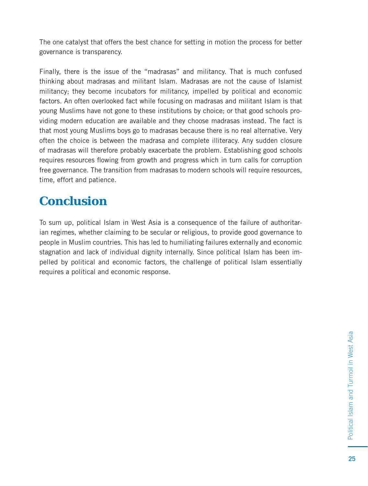The one catalyst that offers the best chance for setting in motion the process for better governance is transparency.

Finally, there is the issue of the "madrasas" and militancy. That is much confused thinking about madrasas and militant Islam. Madrasas are not the cause of Islamist militancy; they become incubators for militancy, impelled by political and economic factors. An often overlooked fact while focusing on madrasas and militant Islam is that young Muslims have not gone to these institutions by choice; or that good schools providing modern education are available and they choose madrasas instead. The fact is that most young Muslims boys go to madrasas because there is no real alternative. Very often the choice is between the madrasa and complete illiteracy. Any sudden closure of madrasas will therefore probably exacerbate the problem. Establishing good schools requires resources flowing from growth and progress which in turn calls for corruption free governance. The transition from madrasas to modern schools will require resources, time, effort and patience.

#### **Conclusion**

To sum up, political Islam in West Asia is a consequence of the failure of authoritarian regimes, whether claiming to be secular or religious, to provide good governance to people in Muslim countries. This has led to humiliating failures externally and economic stagnation and lack of individual dignity internally. Since political Islam has been impelled by political and economic factors, the challenge of political Islam essentially requires a political and economic response.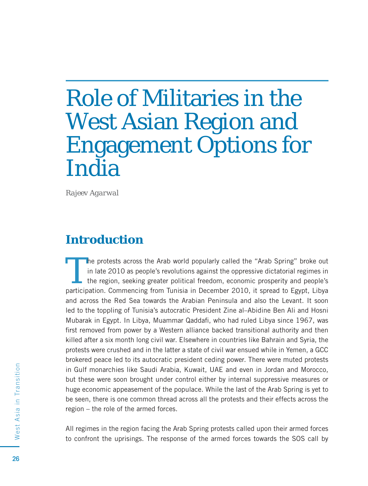### Role of Militaries in the West Asian Region and Engagement Options for India

*Rajeev Agarwal*

#### **Introduction**

The protests across the Arab world popularly called the "Arab Spring" broke out<br>in late 2010 as people's revolutions against the oppressive dictatorial regimes in<br>the region, seeking greater political freedom, economic pro in late 2010 as people's revolutions against the oppressive dictatorial regimes in the region, seeking greater political freedom, economic prosperity and people's participation. Commencing from Tunisia in December 2010, it spread to Egypt, Libya and across the Red Sea towards the Arabian Peninsula and also the Levant. It soon led to the toppling of Tunisia's autocratic President Zine al–Abidine Ben Ali and Hosni Mubarak in Egypt. In Libya, Muammar Qaddafi, who had ruled Libya since 1967, was first removed from power by a Western alliance backed transitional authority and then killed after a six month long civil war. Elsewhere in countries like Bahrain and Syria, the protests were crushed and in the latter a state of civil war ensued while in Yemen, a GCC brokered peace led to its autocratic president ceding power. There were muted protests in Gulf monarchies like Saudi Arabia, Kuwait, UAE and even in Jordan and Morocco, but these were soon brought under control either by internal suppressive measures or huge economic appeasement of the populace. While the last of the Arab Spring is yet to be seen, there is one common thread across all the protests and their effects across the region – the role of the armed forces.

All regimes in the region facing the Arab Spring protests called upon their armed forces to confront the uprisings. The response of the armed forces towards the SOS call by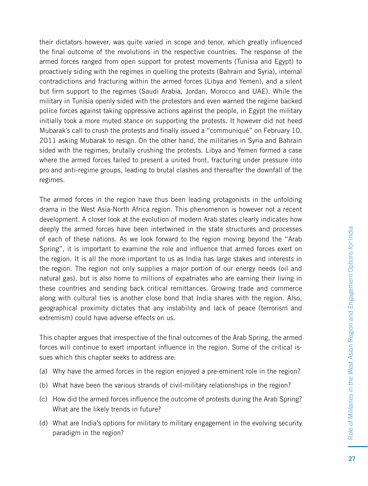their dictators however, was quite varied in scope and tenor, which greatly influenced the final outcome of the revolutions in the respective countries. The response of the armed forces ranged from open support for protest movements (Tunisia and Egypt) to proactively siding with the regimes in quelling the protests (Bahrain and Syria), internal contradictions and fracturing within the armed forces (Libya and Yemen), and a silent but firm support to the regimes (Saudi Arabia, Jordan, Morocco and UAE). While the military in Tunisia openly sided with the protestors and even warned the regime backed police forces against taking oppressive actions against the people, in Egypt the military initially took a more muted stance on supporting the protests. It however did not heed Mubarak's call to crush the protests and finally issued a "communiqué" on February 10, 2011 asking Mubarak to resign. On the other hand, the militaries in Syria and Bahrain sided with the regimes, brutally crushing the protests. Libya and Yemen formed a case where the armed forces failed to present a united front, fracturing under pressure into pro and anti-regime groups, leading to brutal clashes and thereafter the downfall of the regimes.

The armed forces in the region have thus been leading protagonists in the unfolding drama in the West Asia-North Africa region. This phenomenon is however not a recent development. A closer look at the evolution of modern Arab states clearly indicates how deeply the armed forces have been intertwined in the state structures and processes of each of these nations. As we look forward to the region moving beyond the "Arab Spring", it is important to examine the role and influence that armed forces exert on the region. It is all the more important to us as India has large stakes and interests in the region. The region not only supplies a major portion of our energy needs (oil and natural gas), but is also home to millions of expatriates who are earning their living in these countries and sending back critical remittances. Growing trade and commerce along with cultural ties is another close bond that India shares with the region. Also, geographical proximity dictates that any instability and lack of peace (terrorism and extremism) could have adverse effects on us.

This chapter argues that irrespective of the final outcomes of the Arab Spring, the armed forces will continue to exert important influence in the region. Some of the critical issues which this chapter seeks to address are:

- (a) Why have the armed forces in the region enjoyed a pre-eminent role in the region?
- (b) What have been the various strands of civil-military relationships in the region?
- (c) How did the armed forces influence the outcome of protests during the Arab Spring? What are the likely trends in future?
- (d) What are India's options for military to military engagement in the evolving security paradigm in the region?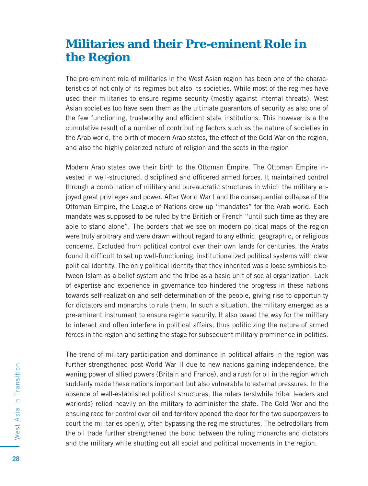#### **Militaries and their Pre-eminent Role in the Region**

The pre-eminent role of militaries in the West Asian region has been one of the characteristics of not only of its regimes but also its societies. While most of the regimes have used their militaries to ensure regime security (mostly against internal threats), West Asian societies too have seen them as the ultimate guarantors of security as also one of the few functioning, trustworthy and efficient state institutions. This however is a the cumulative result of a number of contributing factors such as the nature of societies in the Arab world, the birth of modern Arab states, the effect of the Cold War on the region, and also the highly polarized nature of religion and the sects in the region

Modern Arab states owe their birth to the Ottoman Empire. The Ottoman Empire invested in well-structured, disciplined and officered armed forces. It maintained control through a combination of military and bureaucratic structures in which the military enjoyed great privileges and power. After World War I and the consequential collapse of the Ottoman Empire, the League of Nations drew up "mandates" for the Arab world. Each mandate was supposed to be ruled by the British or French "until such time as they are able to stand alone". The borders that we see on modern political maps of the region were truly arbitrary and were drawn without regard to any ethnic, geographic, or religious concerns. Excluded from political control over their own lands for centuries, the Arabs found it difficult to set up well-functioning, institutionalized political systems with clear political identity. The only political identity that they inherited was a loose symbiosis between Islam as a belief system and the tribe as a basic unit of social organization. Lack of expertise and experience in governance too hindered the progress in these nations towards self-realization and self-determination of the people, giving rise to opportunity for dictators and monarchs to rule them. In such a situation, the military emerged as a pre-eminent instrument to ensure regime security. It also paved the way for the military to interact and often interfere in political affairs, thus politicizing the nature of armed forces in the region and setting the stage for subsequent military prominence in politics.

The trend of military participation and dominance in political affairs in the region was further strengthened post-World War II due to new nations gaining independence, the waning power of allied powers (Britain and France), and a rush for oil in the region which suddenly made these nations important but also vulnerable to external pressures. In the absence of well-established political structures, the rulers (erstwhile tribal leaders and warlords) relied heavily on the military to administer the state. The Cold War and the ensuing race for control over oil and territory opened the door for the two superpowers to court the militaries openly, often bypassing the regime structures. The petrodollars from the oil trade further strengthened the bond between the ruling monarchs and dictators and the military while shutting out all social and political movements in the region.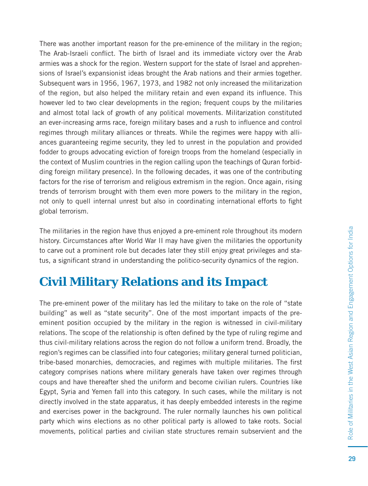There was another important reason for the pre-eminence of the military in the region; The Arab-Israeli conflict. The birth of Israel and its immediate victory over the Arab armies was a shock for the region. Western support for the state of Israel and apprehensions of Israel's expansionist ideas brought the Arab nations and their armies together. Subsequent wars in 1956, 1967, 1973, and 1982 not only increased the militarization of the region, but also helped the military retain and even expand its influence. This however led to two clear developments in the region; frequent coups by the militaries and almost total lack of growth of any political movements. Militarization constituted an ever-increasing arms race, foreign military bases and a rush to influence and control regimes through military alliances or threats. While the regimes were happy with alliances guaranteeing regime security, they led to unrest in the population and provided fodder to groups advocating eviction of foreign troops from the homeland (especially in the context of Muslim countries in the region calling upon the teachings of Quran forbidding foreign military presence). In the following decades, it was one of the contributing factors for the rise of terrorism and religious extremism in the region. Once again, rising trends of terrorism brought with them even more powers to the military in the region, not only to quell internal unrest but also in coordinating international efforts to fight global terrorism.

The militaries in the region have thus enjoyed a pre-eminent role throughout its modern history. Circumstances after World War II may have given the militaries the opportunity to carve out a prominent role but decades later they still enjoy great privileges and status, a significant strand in understanding the politico-security dynamics of the region.

# **Civil Military Relations and its Impact**

The pre-eminent power of the military has led the military to take on the role of "state building" as well as "state security". One of the most important impacts of the preeminent position occupied by the military in the region is witnessed in civil-military relations. The scope of the relationship is often defined by the type of ruling regime and thus civil-military relations across the region do not follow a uniform trend. Broadly, the region's regimes can be classified into four categories; military general turned politician, tribe-based monarchies, democracies, and regimes with multiple militaries. The first category comprises nations where military generals have taken over regimes through coups and have thereafter shed the uniform and become civilian rulers. Countries like Egypt, Syria and Yemen fall into this category. In such cases, while the military is not directly involved in the state apparatus, it has deeply embedded interests in the regime and exercises power in the background. The ruler normally launches his own political party which wins elections as no other political party is allowed to take roots. Social movements, political parties and civilian state structures remain subservient and the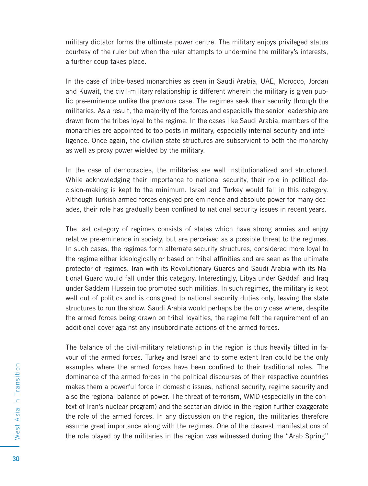military dictator forms the ultimate power centre. The military enjoys privileged status courtesy of the ruler but when the ruler attempts to undermine the military's interests, a further coup takes place.

In the case of tribe-based monarchies as seen in Saudi Arabia, UAE, Morocco, Jordan and Kuwait, the civil-military relationship is different wherein the military is given public pre-eminence unlike the previous case. The regimes seek their security through the militaries. As a result, the majority of the forces and especially the senior leadership are drawn from the tribes loyal to the regime. In the cases like Saudi Arabia, members of the monarchies are appointed to top posts in military, especially internal security and intelligence. Once again, the civilian state structures are subservient to both the monarchy as well as proxy power wielded by the military.

In the case of democracies, the militaries are well institutionalized and structured. While acknowledging their importance to national security, their role in political decision-making is kept to the minimum. Israel and Turkey would fall in this category. Although Turkish armed forces enjoyed pre-eminence and absolute power for many decades, their role has gradually been confined to national security issues in recent years.

The last category of regimes consists of states which have strong armies and enjoy relative pre-eminence in society, but are perceived as a possible threat to the regimes. In such cases, the regimes form alternate security structures, considered more loyal to the regime either ideologically or based on tribal affinities and are seen as the ultimate protector of regimes. Iran with its Revolutionary Guards and Saudi Arabia with its National Guard would fall under this category. Interestingly, Libya under Gaddafi and Iraq under Saddam Hussein too promoted such militias. In such regimes, the military is kept well out of politics and is consigned to national security duties only, leaving the state structures to run the show. Saudi Arabia would perhaps be the only case where, despite the armed forces being drawn on tribal loyalties, the regime felt the requirement of an additional cover against any insubordinate actions of the armed forces.

The balance of the civil-military relationship in the region is thus heavily tilted in favour of the armed forces. Turkey and Israel and to some extent Iran could be the only examples where the armed forces have been confined to their traditional roles. The dominance of the armed forces in the political discourses of their respective countries makes them a powerful force in domestic issues, national security, regime security and also the regional balance of power. The threat of terrorism, WMD (especially in the context of Iran's nuclear program) and the sectarian divide in the region further exaggerate the role of the armed forces. In any discussion on the region, the militaries therefore assume great importance along with the regimes. One of the clearest manifestations of the role played by the militaries in the region was witnessed during the "Arab Spring"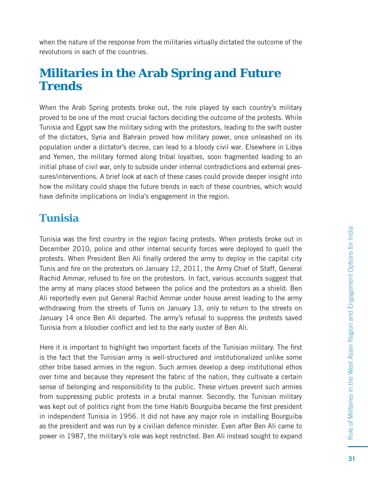when the nature of the response from the militaries virtually dictated the outcome of the revolutions in each of the countries.

#### **Militaries in the Arab Spring and Future Trends**

When the Arab Spring protests broke out, the role played by each country's military proved to be one of the most crucial factors deciding the outcome of the protests. While Tunisia and Egypt saw the military siding with the protestors, leading to the swift ouster of the dictators, Syria and Bahrain proved how military power, once unleashed on its population under a dictator's decree, can lead to a bloody civil war. Elsewhere in Libya and Yemen, the military formed along tribal loyalties, soon fragmented leading to an initial phase of civil war, only to subside under internal contradictions and external pressures/interventions. A brief look at each of these cases could provide deeper insight into how the military could shape the future trends in each of these countries, which would have definite implications on India's engagement in the region.

#### **Tunisia**

Tunisia was the first country in the region facing protests. When protests broke out in December 2010, police and other internal security forces were deployed to quell the protests. When President Ben Ali finally ordered the army to deploy in the capital city Tunis and fire on the protestors on January 12, 2011, the Army Chief of Staff, General Rachid Ammar, refused to fire on the protestors. In fact, various accounts suggest that the army at many places stood between the police and the protestors as a shield. Ben Ali reportedly even put General Rachid Ammar under house arrest leading to the army withdrawing from the streets of Tunis on January 13, only to return to the streets on January 14 once Ben Ali departed. The army's refusal to suppress the protests saved Tunisia from a bloodier conflict and led to the early ouster of Ben Ali.

Here it is important to highlight two important facets of the Tunisian military. The first is the fact that the Tunisian army is well-structured and institutionalized unlike some other tribe based armies in the region. Such armies develop a deep institutional ethos over time and because they represent the fabric of the nation, they cultivate a certain sense of belonging and responsibility to the public. These virtues prevent such armies from suppressing public protests in a brutal manner. Secondly, the Tunisian military was kept out of politics right from the time Habib Bourguiba became the first president in independent Tunisia in 1956. It did not have any major role in installing Bourguiba as the president and was run by a civilian defence minister. Even after Ben Ali came to power in 1987, the military's role was kept restricted. Ben Ali instead sought to expand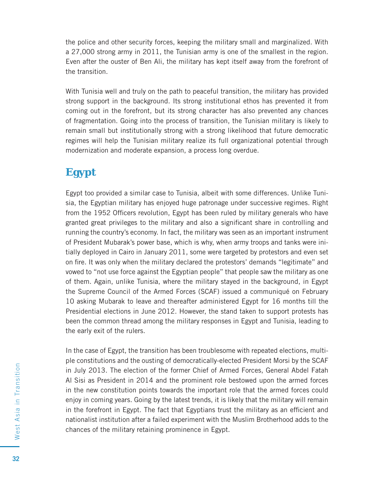the police and other security forces, keeping the military small and marginalized. With a 27,000 strong army in 2011, the Tunisian army is one of the smallest in the region. Even after the ouster of Ben Ali, the military has kept itself away from the forefront of the transition.

With Tunisia well and truly on the path to peaceful transition, the military has provided strong support in the background. Its strong institutional ethos has prevented it from coming out in the forefront, but its strong character has also prevented any chances of fragmentation. Going into the process of transition, the Tunisian military is likely to remain small but institutionally strong with a strong likelihood that future democratic regimes will help the Tunisian military realize its full organizational potential through modernization and moderate expansion, a process long overdue.

#### **Egypt**

Egypt too provided a similar case to Tunisia, albeit with some differences. Unlike Tunisia, the Egyptian military has enjoyed huge patronage under successive regimes. Right from the 1952 Officers revolution, Egypt has been ruled by military generals who have granted great privileges to the military and also a significant share in controlling and running the country's economy. In fact, the military was seen as an important instrument of President Mubarak's power base, which is why, when army troops and tanks were initially deployed in Cairo in January 2011, some were targeted by protestors and even set on fire. It was only when the military declared the protestors' demands "legitimate" and vowed to "not use force against the Egyptian people" that people saw the military as one of them. Again, unlike Tunisia, where the military stayed in the background, in Egypt the Supreme Council of the Armed Forces (SCAF) issued a communiqué on February 10 asking Mubarak to leave and thereafter administered Egypt for 16 months till the Presidential elections in June 2012. However, the stand taken to support protests has been the common thread among the military responses in Egypt and Tunisia, leading to the early exit of the rulers.

In the case of Egypt, the transition has been troublesome with repeated elections, multiple constitutions and the ousting of democratically-elected President Morsi by the SCAF in July 2013. The election of the former Chief of Armed Forces, General Abdel Fatah Al Sisi as President in 2014 and the prominent role bestowed upon the armed forces in the new constitution points towards the important role that the armed forces could enjoy in coming years. Going by the latest trends, it is likely that the military will remain in the forefront in Egypt. The fact that Egyptians trust the military as an efficient and nationalist institution after a failed experiment with the Muslim Brotherhood adds to the chances of the military retaining prominence in Egypt.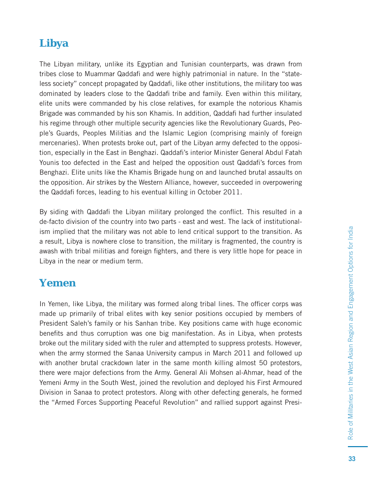#### **Libya**

The Libyan military, unlike its Egyptian and Tunisian counterparts, was drawn from tribes close to Muammar Qaddafi and were highly patrimonial in nature. In the "stateless society" concept propagated by Qaddafi, like other institutions, the military too was dominated by leaders close to the Qaddafi tribe and family. Even within this military, elite units were commanded by his close relatives, for example the notorious Khamis Brigade was commanded by his son Khamis. In addition, Qaddafi had further insulated his regime through other multiple security agencies like the Revolutionary Guards, People's Guards, Peoples Militias and the Islamic Legion (comprising mainly of foreign mercenaries). When protests broke out, part of the Libyan army defected to the opposition, especially in the East in Benghazi. Qaddafi 's interior Minister General Abdul Fatah Younis too defected in the East and helped the opposition oust Qaddafi's forces from Benghazi. Elite units like the Khamis Brigade hung on and launched brutal assaults on the opposition. Air strikes by the Western Alliance, however, succeeded in overpowering the Qaddafi forces, leading to his eventual killing in October 2011.

By siding with Qaddafi the Libyan military prolonged the conflict. This resulted in a de-facto division of the country into two parts - east and west. The lack of institutionalism implied that the military was not able to lend critical support to the transition. As a result, Libya is nowhere close to transition, the military is fragmented, the country is awash with tribal militias and foreign fighters, and there is very little hope for peace in Libya in the near or medium term.

#### **Yemen**

In Yemen, like Libya, the military was formed along tribal lines. The officer corps was made up primarily of tribal elites with key senior positions occupied by members of President Saleh's family or his Sanhan tribe. Key positions came with huge economic benefits and thus corruption was one big manifestation. As in Libya, when protests broke out the military sided with the ruler and attempted to suppress protests. However, when the army stormed the Sanaa University campus in March 2011 and followed up with another brutal crackdown later in the same month killing almost 50 protestors, there were major defections from the Army. General Ali Mohsen al-Ahmar, head of the Yemeni Army in the South West, joined the revolution and deployed his First Armoured Division in Sanaa to protect protestors. Along with other defecting generals, he formed the "Armed Forces Supporting Peaceful Revolution" and rallied support against Presi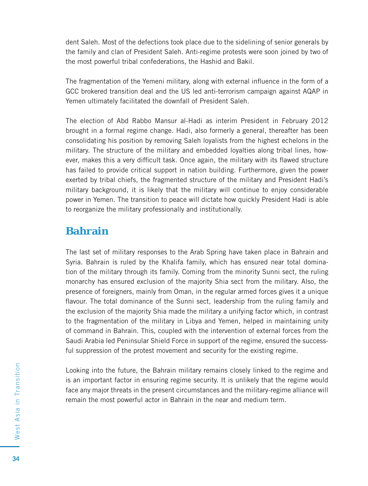dent Saleh. Most of the defections took place due to the sidelining of senior generals by the family and clan of President Saleh. Anti-regime protests were soon joined by two of the most powerful tribal confederations, the Hashid and Bakil.

The fragmentation of the Yemeni military, along with external influence in the form of a GCC brokered transition deal and the US led anti-terrorism campaign against AQAP in Yemen ultimately facilitated the downfall of President Saleh.

The election of Abd Rabbo Mansur al-Hadi as interim President in February 2012 brought in a formal regime change. Hadi, also formerly a general, thereafter has been consolidating his position by removing Saleh loyalists from the highest echelons in the military. The structure of the military and embedded loyalties along tribal lines, however, makes this a very difficult task. Once again, the military with its flawed structure has failed to provide critical support in nation building. Furthermore, given the power exerted by tribal chiefs, the fragmented structure of the military and President Hadi's military background, it is likely that the military will continue to enjoy considerable power in Yemen. The transition to peace will dictate how quickly President Hadi is able to reorganize the military professionally and institutionally.

#### **Bahrain**

The last set of military responses to the Arab Spring have taken place in Bahrain and Syria. Bahrain is ruled by the Khalifa family, which has ensured near total domination of the military through its family. Coming from the minority Sunni sect, the ruling monarchy has ensured exclusion of the majority Shia sect from the military. Also, the presence of foreigners, mainly from Oman, in the regular armed forces gives it a unique flavour. The total dominance of the Sunni sect, leadership from the ruling family and the exclusion of the majority Shia made the military a unifying factor which, in contrast to the fragmentation of the military in Libya and Yemen, helped in maintaining unity of command in Bahrain. This, coupled with the intervention of external forces from the Saudi Arabia led Peninsular Shield Force in support of the regime, ensured the successful suppression of the protest movement and security for the existing regime.

Looking into the future, the Bahrain military remains closely linked to the regime and is an important factor in ensuring regime security. It is unlikely that the regime would face any major threats in the present circumstances and the military-regime alliance will remain the most powerful actor in Bahrain in the near and medium term.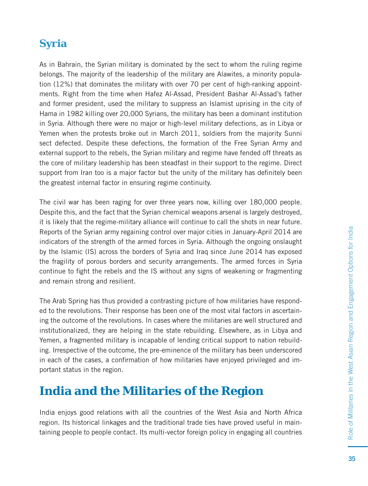#### **Syria**

As in Bahrain, the Syrian military is dominated by the sect to whom the ruling regime belongs. The majority of the leadership of the military are Alawites, a minority population (12%) that dominates the military with over 70 per cent of high-ranking appointments. Right from the time when Hafez Al-Assad, President Bashar Al-Assad's father and former president, used the military to suppress an Islamist uprising in the city of Hama in 1982 killing over 20,000 Syrians, the military has been a dominant institution in Syria. Although there were no major or high-level military defections, as in Libya or Yemen when the protests broke out in March 2011, soldiers from the majority Sunni sect defected. Despite these defections, the formation of the Free Syrian Army and external support to the rebels, the Syrian military and regime have fended off threats as the core of military leadership has been steadfast in their support to the regime. Direct support from Iran too is a major factor but the unity of the military has definitely been the greatest internal factor in ensuring regime continuity.

The civil war has been raging for over three years now, killing over 180,000 people. Despite this, and the fact that the Syrian chemical weapons arsenal is largely destroyed, it is likely that the regime-military alliance will continue to call the shots in near future. Reports of the Syrian army regaining control over major cities in January-April 2014 are indicators of the strength of the armed forces in Syria. Although the ongoing onslaught by the Islamic (IS) across the borders of Syria and Iraq since June 2014 has exposed the fragility of porous borders and security arrangements. The armed forces in Syria continue to fight the rebels and the IS without any signs of weakening or fragmenting and remain strong and resilient.

The Arab Spring has thus provided a contrasting picture of how militaries have responded to the revolutions. Their response has been one of the most vital factors in ascertaining the outcome of the revolutions. In cases where the militaries are well structured and institutionalized, they are helping in the state rebuilding. Elsewhere, as in Libya and Yemen, a fragmented military is incapable of lending critical support to nation rebuilding. Irrespective of the outcome, the pre-eminence of the military has been underscored in each of the cases, a confirmation of how militaries have enjoyed privileged and important status in the region.

#### **India and the Militaries of the Region**

India enjoys good relations with all the countries of the West Asia and North Africa region. Its historical linkages and the traditional trade ties have proved useful in maintaining people to people contact. Its multi-vector foreign policy in engaging all countries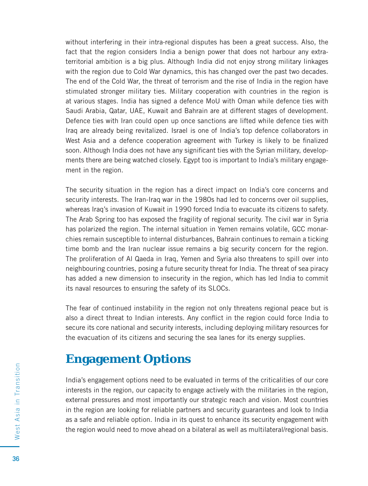without interfering in their intra-regional disputes has been a great success. Also, the fact that the region considers India a benign power that does not harbour any extraterritorial ambition is a big plus. Although India did not enjoy strong military linkages with the region due to Cold War dynamics, this has changed over the past two decades. The end of the Cold War, the threat of terrorism and the rise of India in the region have stimulated stronger military ties. Military cooperation with countries in the region is at various stages. India has signed a defence MoU with Oman while defence ties with Saudi Arabia, Qatar, UAE, Kuwait and Bahrain are at different stages of development. Defence ties with Iran could open up once sanctions are lifted while defence ties with Iraq are already being revitalized. Israel is one of India's top defence collaborators in West Asia and a defence cooperation agreement with Turkey is likely to be finalized soon. Although India does not have any significant ties with the Syrian military, developments there are being watched closely. Egypt too is important to India's military engagement in the region.

The security situation in the region has a direct impact on India's core concerns and security interests. The Iran-Iraq war in the 1980s had led to concerns over oil supplies, whereas Iraq's invasion of Kuwait in 1990 forced India to evacuate its citizens to safety. The Arab Spring too has exposed the fragility of regional security. The civil war in Syria has polarized the region. The internal situation in Yemen remains volatile, GCC monarchies remain susceptible to internal disturbances, Bahrain continues to remain a ticking time bomb and the Iran nuclear issue remains a big security concern for the region. The proliferation of Al Qaeda in Iraq, Yemen and Syria also threatens to spill over into neighbouring countries, posing a future security threat for India. The threat of sea piracy has added a new dimension to insecurity in the region, which has led India to commit its naval resources to ensuring the safety of its SLOCs.

The fear of continued instability in the region not only threatens regional peace but is also a direct threat to Indian interests. Any conflict in the region could force India to secure its core national and security interests, including deploying military resources for the evacuation of its citizens and securing the sea lanes for its energy supplies.

# **Engagement Options**

India's engagement options need to be evaluated in terms of the criticalities of our core interests in the region, our capacity to engage actively with the militaries in the region, external pressures and most importantly our strategic reach and vision. Most countries in the region are looking for reliable partners and security guarantees and look to India as a safe and reliable option. India in its quest to enhance its security engagement with the region would need to move ahead on a bilateral as well as multilateral/regional basis.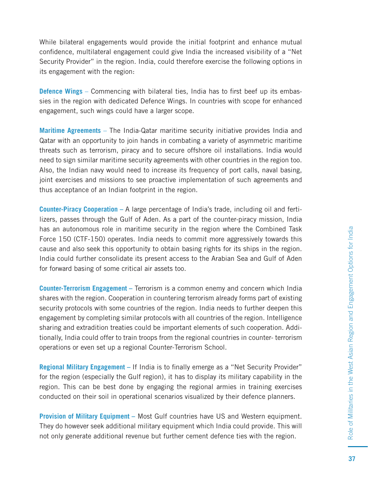While bilateral engagements would provide the initial footprint and enhance mutual confidence, multilateral engagement could give India the increased visibility of a "Net Security Provider" in the region. India, could therefore exercise the following options in its engagement with the region:

**Defence Wings** – Commencing with bilateral ties, India has to first beef up its embassies in the region with dedicated Defence Wings. In countries with scope for enhanced engagement, such wings could have a larger scope.

**Maritime Agreements** – The India-Qatar maritime security initiative provides India and Qatar with an opportunity to join hands in combating a variety of asymmetric maritime threats such as terrorism, piracy and to secure offshore oil installations. India would need to sign similar maritime security agreements with other countries in the region too. Also, the Indian navy would need to increase its frequency of port calls, naval basing, joint exercises and missions to see proactive implementation of such agreements and thus acceptance of an Indian footprint in the region.

**Counter-Piracy Cooperation –** A large percentage of India's trade, including oil and fertilizers, passes through the Gulf of Aden. As a part of the counter-piracy mission, India has an autonomous role in maritime security in the region where the Combined Task Force 150 (CTF-150) operates. India needs to commit more aggressively towards this cause and also seek this opportunity to obtain basing rights for its ships in the region. India could further consolidate its present access to the Arabian Sea and Gulf of Aden for forward basing of some critical air assets too.

**Counter-Terrorism Engagement –** Terrorism is a common enemy and concern which India shares with the region. Cooperation in countering terrorism already forms part of existing security protocols with some countries of the region. India needs to further deepen this engagement by completing similar protocols with all countries of the region. Intelligence sharing and extradition treaties could be important elements of such cooperation. Additionally, India could offer to train troops from the regional countries in counter- terrorism operations or even set up a regional Counter-Terrorism School.

**Regional Military Engagement** – If India is to finally emerge as a "Net Security Provider" for the region (especially the Gulf region), it has to display its military capability in the region. This can be best done by engaging the regional armies in training exercises conducted on their soil in operational scenarios visualized by their defence planners.

**Provision of Military Equipment –** Most Gulf countries have US and Western equipment. They do however seek additional military equipment which India could provide. This will not only generate additional revenue but further cement defence ties with the region.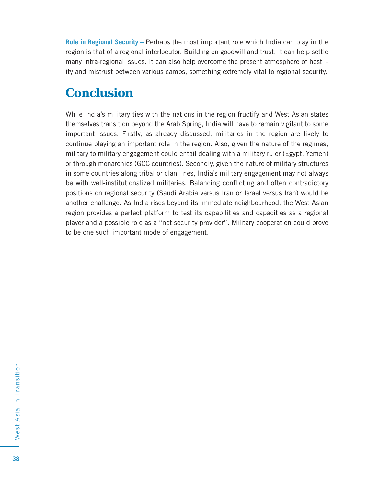**Role in Regional Security –** Perhaps the most important role which India can play in the region is that of a regional interlocutor. Building on goodwill and trust, it can help settle many intra-regional issues. It can also help overcome the present atmosphere of hostility and mistrust between various camps, something extremely vital to regional security.

# **Conclusion**

While India's military ties with the nations in the region fructify and West Asian states themselves transition beyond the Arab Spring, India will have to remain vigilant to some important issues. Firstly, as already discussed, militaries in the region are likely to continue playing an important role in the region. Also, given the nature of the regimes, military to military engagement could entail dealing with a military ruler (Egypt, Yemen) or through monarchies (GCC countries). Secondly, given the nature of military structures in some countries along tribal or clan lines, India's military engagement may not always be with well-institutionalized militaries. Balancing conflicting and often contradictory positions on regional security (Saudi Arabia versus Iran or Israel versus Iran) would be another challenge. As India rises beyond its immediate neighbourhood, the West Asian region provides a perfect platform to test its capabilities and capacities as a regional player and a possible role as a "net security provider". Military cooperation could prove to be one such important mode of engagement.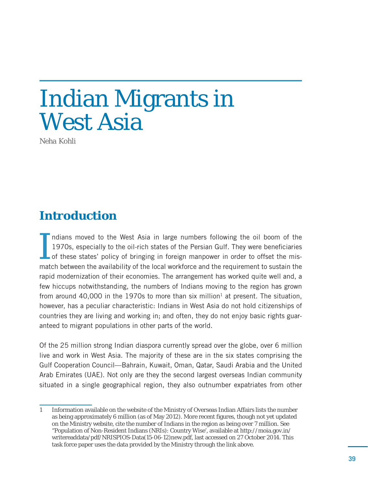# Indian Migrants in West Asia

*Neha Kohli*

# **Introduction**

I ndians moved to the West Asia in large numbers following the oil boom of the 1970s, especially to the oil-rich states of the Persian Gulf. They were beneficiaries of these states' policy of bringing in foreign manpower in order to offset the mismatch between the availability of the local workforce and the requirement to sustain the rapid modernization of their economies. The arrangement has worked quite well and, a few hiccups notwithstanding, the numbers of Indians moving to the region has grown from around 40,000 in the 1970s to more than six million<sup>1</sup> at present. The situation, however, has a peculiar characteristic: Indians in West Asia do not hold citizenships of countries they are living and working in; and often, they do not enjoy basic rights guaranteed to migrant populations in other parts of the world.

Of the 25 million strong Indian diaspora currently spread over the globe, over 6 million live and work in West Asia. The majority of these are in the six states comprising the Gulf Cooperation Council—Bahrain, Kuwait, Oman, Qatar, Saudi Arabia and the United Arab Emirates (UAE). Not only are they the second largest overseas Indian community situated in a single geographical region, they also outnumber expatriates from other

<sup>1</sup> Information available on the website of the Ministry of Overseas Indian Affairs lists the number as being approximately 6 million (as of May 2012). More recent figures, though not yet updated on the Ministry website, cite the number of Indians in the region as being over 7 million. See "Population of Non-Resident Indians (NRIs): Country Wise', available at http://moia.gov.in/ writereaddata/pdf/NRISPIOS-Data(15-06-12)new.pdf, last accessed on 27 October 2014. This task force paper uses the data provided by the Ministry through the link above.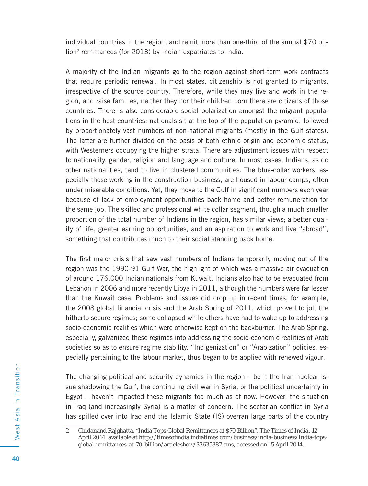individual countries in the region, and remit more than one-third of the annual \$70 billion2 remittances (for 2013) by Indian expatriates to India.

A majority of the Indian migrants go to the region against short-term work contracts that require periodic renewal. In most states, citizenship is not granted to migrants, irrespective of the source country. Therefore, while they may live and work in the region, and raise families, neither they nor their children born there are citizens of those countries. There is also considerable social polarization amongst the migrant populations in the host countries; nationals sit at the top of the population pyramid, followed by proportionately vast numbers of non-national migrants (mostly in the Gulf states). The latter are further divided on the basis of both ethnic origin and economic status, with Westerners occupying the higher strata. There are adjustment issues with respect to nationality, gender, religion and language and culture. In most cases, Indians, as do other nationalities, tend to live in clustered communities. The blue-collar workers, especially those working in the construction business, are housed in labour camps, often under miserable conditions. Yet, they move to the Gulf in significant numbers each year because of lack of employment opportunities back home and better remuneration for the same job. The skilled and professional white collar segment, though a much smaller proportion of the total number of Indians in the region, has similar views; a better quality of life, greater earning opportunities, and an aspiration to work and live "abroad", something that contributes much to their social standing back home.

The first major crisis that saw vast numbers of Indians temporarily moving out of the region was the 1990-91 Gulf War, the highlight of which was a massive air evacuation of around 176,000 Indian nationals from Kuwait. Indians also had to be evacuated from Lebanon in 2006 and more recently Libya in 2011, although the numbers were far lesser than the Kuwait case. Problems and issues did crop up in recent times, for example, the 2008 global financial crisis and the Arab Spring of 2011, which proved to jolt the hitherto secure regimes; some collapsed while others have had to wake up to addressing socio-economic realities which were otherwise kept on the backburner. The Arab Spring, especially, galvanized these regimes into addressing the socio-economic realities of Arab societies so as to ensure regime stability. "Indigenization" or "Arabization" policies, especially pertaining to the labour market, thus began to be applied with renewed vigour.

The changing political and security dynamics in the region – be it the Iran nuclear issue shadowing the Gulf, the continuing civil war in Syria, or the political uncertainty in Egypt – haven't impacted these migrants too much as of now. However, the situation in Iraq (and increasingly Syria) is a matter of concern. The sectarian conflict in Syria has spilled over into Iraq and the Islamic State (IS) overran large parts of the country

<sup>2</sup> Chidanand Rajghatta, "India Tops Global Remittances at \$70 Billion", *The Times of India*, 12 April 2014, available at http://timesofindia.indiatimes.com/business/india-business/India-topsglobal-remittances-at-70-billion/articleshow/33635387.cms, accessed on 15 April 2014.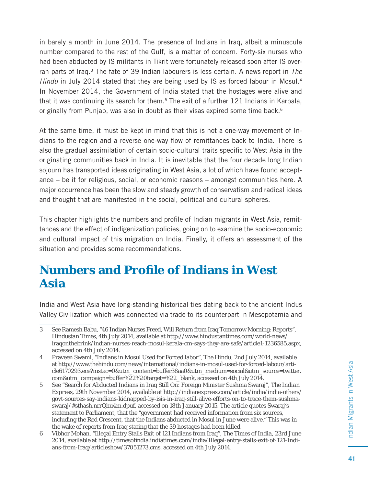in barely a month in June 2014. The presence of Indians in Iraq, albeit a minuscule number compared to the rest of the Gulf, is a matter of concern. Forty-six nurses who had been abducted by IS militants in Tikrit were fortunately released soon after IS overran parts of Iraq.<sup>3</sup> The fate of 39 Indian labourers is less certain. A news report in The Hindu in July 2014 stated that they are being used by IS as forced labour in Mosul.<sup>4</sup> In November 2014, the Government of India stated that the hostages were alive and that it was continuing its search for them.<sup>5</sup> The exit of a further 121 Indians in Karbala, originally from Punjab, was also in doubt as their visas expired some time back.<sup>6</sup>

At the same time, it must be kept in mind that this is not a one-way movement of Indians to the region and a reverse one-way flow of remittances back to India. There is also the gradual assimilation of certain socio-cultural traits specific to West Asia in the originating communities back in India. It is inevitable that the four decade long Indian sojourn has transported ideas originating in West Asia, a lot of which have found acceptance – be it for religious, social, or economic reasons – amongst communities here. A major occurrence has been the slow and steady growth of conservatism and radical ideas and thought that are manifested in the social, political and cultural spheres.

This chapter highlights the numbers and profile of Indian migrants in West Asia, remittances and the effect of indigenization policies, going on to examine the socio-economic and cultural impact of this migration on India. Finally, it offers an assessment of the situation and provides some recommendations.

#### **Numbers and Profi le of Indians in West Asia**

India and West Asia have long-standing historical ties dating back to the ancient Indus Valley Civilization which was connected via trade to its counterpart in Mesopotamia and

<sup>3</sup> See Ramesh Babu, "46 Indian Nurses Freed, Will Return from Iraq Tomorrow Morning: Reports", *Hindustan Times*, 4th July 2014, available at http://www.hindustantimes.com/world-news/ iraqonthebrink/indian-nurses-reach-mosul-kerala-cm-says-they-are-safe/article1-1236585.aspx, accessed on 4th July 2014.

<sup>4</sup> Praveen Swami, "Indians in Mosul Used for Forced labor", *The Hindu*, 2nd July 2014, available at http://www.thehindu.com/news/international/indians-in-mosul-used-for-forced-labour/article6170293.ece?mstac=0&utm\_content=buffer38aa0&utm\_medium=social&utm\_source=twitter. com&utm\_campaign=buffer%22%20target=%22\_blank, accessed on 4th July 2014.

<sup>5</sup> See "Search for Abducted Indians in Iraq Still On: Foreign Minister Sushma Swaraj", *The Indian Express*, 29th November 2014, available at http://indianexpress.com/article/india/india-others/ govt-sources-say-indians-kidnapped-by-isis-in-iraq-still-alive-efforts-on-to-trace-them-sushmaswaraj/#sthash.nrrQhu4m.dpuf, accessed on 18th January 2015. The article quotes Swaraj's statement to Parliament, that the "government had received information from six sources, including the Red Crescent, that the Indians abducted in Mosul in June were alive." This was in the wake of reports from Iraq stating that the 39 hostages had been killed.

<sup>6</sup> Vibhor Mohan, "Illegal Entry Stalls Exit of 121 Indians from Iraq", *The Times of India*, 23rd June 2014, available at http://timesofindia.indiatimes.com/india/Illegal-entry-stalls-exit-of-121-Indians-from-Iraq/articleshow/37051273.cms, accessed on 4th July 2014.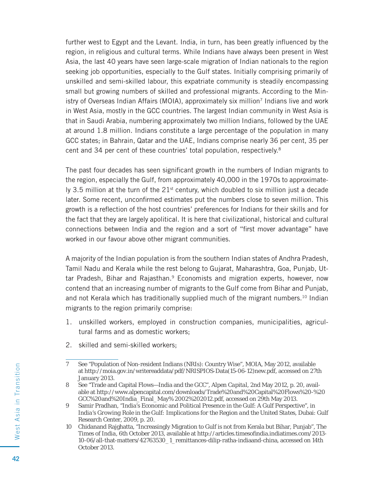further west to Egypt and the Levant. India, in turn, has been greatly influenced by the region, in religious and cultural terms. While Indians have always been present in West Asia, the last 40 years have seen large-scale migration of Indian nationals to the region seeking job opportunities, especially to the Gulf states. Initially comprising primarily of unskilled and semi-skilled labour, this expatriate community is steadily encompassing small but growing numbers of skilled and professional migrants. According to the Ministry of Overseas Indian Affairs (MOIA), approximately six million<sup>7</sup> Indians live and work in West Asia, mostly in the GCC countries. The largest Indian community in West Asia is that in Saudi Arabia, numbering approximately two million Indians, followed by the UAE at around 1.8 million. Indians constitute a large percentage of the population in many GCC states; in Bahrain, Qatar and the UAE, Indians comprise nearly 36 per cent, 35 per cent and 34 per cent of these countries' total population, respectively.8

The past four decades has seen significant growth in the numbers of Indian migrants to the region, especially the Gulf, from approximately 40,000 in the 1970s to approximately 3.5 million at the turn of the  $21<sup>st</sup>$  century, which doubled to six million just a decade later. Some recent, unconfirmed estimates put the numbers close to seven million. This growth is a reflection of the host countries' preferences for Indians for their skills and for the fact that they are largely apolitical. It is here that civilizational, historical and cultural connections between India and the region and a sort of "first mover advantage" have worked in our favour above other migrant communities.

A majority of the Indian population is from the southern Indian states of Andhra Pradesh, Tamil Nadu and Kerala while the rest belong to Gujarat, Maharashtra, Goa, Punjab, Uttar Pradesh, Bihar and Rajasthan.<sup>9</sup> Economists and migration experts, however, now contend that an increasing number of migrants to the Gulf come from Bihar and Punjab, and not Kerala which has traditionally supplied much of the migrant numbers.10 Indian migrants to the region primarily comprise:

- 1. unskilled workers, employed in construction companies, municipalities, agricultural farms and as domestic workers;
- 2. skilled and semi-skilled workers;

<sup>7</sup> See "Population of Non-resident Indians (NRIs): Country Wise", MOIA, May 2012, available at http://moia.gov.in/writereaddata/pdf/NRISPIOS-Data(15-06-12)new.pdf, accessed on 27th January 2013.

<sup>8</sup> See "Trade and Capital Flows—India and the GCC", *Alpen Capital*, 2nd May 2012, p. 20, available at http://www.alpencapital.com/downloads/Trade%20and%20Capital%20Flows%20-%20 GCC%20and%20India\_Final\_May% 2002%202012.pdf, accessed on 29th May 2013.

<sup>9</sup> Samir Pradhan, "India's Economic and Political Presence in the Gulf: A Gulf Perspective", in *India's Growing Role in the Gulf: Implications for the Region and the United States*, Dubai: Gulf Research Center, 2009, p. 20.

<sup>10</sup> Chidanand Rajghatta, "Increasingly Migration to Gulf is not from Kerala but Bihar, Punjab", *The Times of India*, 6th October 2013, available at http://articles.timesofindia.indiatimes.com/2013-10-06/all-that-matters/42763530\_1\_remittances-dilip-ratha-indiaand-china, accessed on 14th October 2013.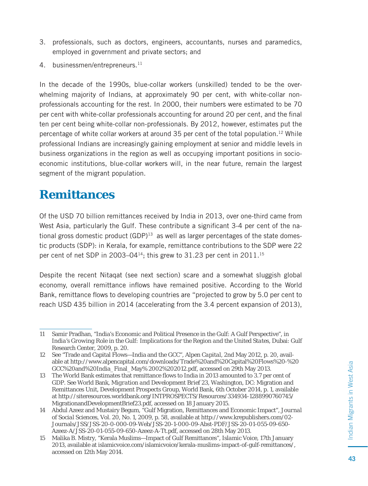- 3. professionals, such as doctors, engineers, accountants, nurses and paramedics, employed in government and private sectors; and
- 4. businessmen/entrepreneurs.<sup>11</sup>

In the decade of the 1990s, blue-collar workers (unskilled) tended to be the overwhelming majority of Indians, at approximately 90 per cent, with white-collar nonprofessionals accounting for the rest. In 2000, their numbers were estimated to be 70 per cent with white-collar professionals accounting for around 20 per cent, and the final ten per cent being white-collar non-professionals. By 2012, however, estimates put the percentage of white collar workers at around 35 per cent of the total population.12 While professional Indians are increasingly gaining employment at senior and middle levels in business organizations in the region as well as occupying important positions in socioeconomic institutions, blue-collar workers will, in the near future, remain the largest segment of the migrant population.

### **Remittances**

Of the USD 70 billion remittances received by India in 2013, over one-third came from West Asia, particularly the Gulf. These contribute a significant 3-4 per cent of the national gross domestic product  $(GDP)^{13}$  as well as larger percentages of the state domestic products (SDP): in Kerala, for example, remittance contributions to the SDP were 22 per cent of net SDP in 2003–04 $14$ ; this grew to 31.23 per cent in 2011.<sup>15</sup>

Despite the recent Nitaqat (see next section) scare and a somewhat sluggish global economy, overall remittance inflows have remained positive. According to the World Bank, remittance flows to developing countries are "projected to grow by 5.0 per cent to reach USD 435 billion in 2014 (accelerating from the 3.4 percent expansion of 2013),

<sup>11</sup> Samir Pradhan, "India's Economic and Political Presence in the Gulf: A Gulf Perspective", in *India's Growing Role in the Gulf: Implications for the Region and the United States*, Dubai: Gulf Research Center, 2009, p. 20.

<sup>12</sup> See "Trade and Capital Flows—India and the GCC", *Alpen Capital*, 2nd May 2012, p. 20, available at http://www.alpencapital.com/downloads/Trade%20and%20Capital%20Flows%20-%20 GCC%20and%20India\_Final\_May% 2002%202012.pdf, accessed on 29th May 2013.

<sup>13</sup> The World Bank estimates that remittance flows to India in 2013 amounted to 3.7 per cent of GDP. See World Bank, *Migration and Development Brief 23*, Washington, DC: Migration and Remittances Unit, Development Prospects Group, World Bank, 6th October 2014, p. 1, available at http://siteresources.worldbank.org/INTPROSPECTS/Resources/334934-1288990760745/ MigrationandDevelopmentBrief23.pdf, accessed on 18 January 2015.

<sup>14</sup> Abdul Azeez and Mustairy Begum, "Gulf Migration, Remittances and Economic Impact", *Journal of Social Sciences*, Vol. 20, No. 1, 2009, p. 58, available at http://www.krepublishers.com/02- Journals/JSS/JSS-20-0-000-09-Web/JSS-20-1-000-09-Abst-PDF/JSS-20-01-055-09-650- Azeez-A/JSS-20-01-055-09-650-Azeez-A-Tt.pdf, accessed on 28th May 2013.

<sup>15</sup> Malika B. Mistry, "Kerala Muslims—Impact of Gulf Remittances", *Islamic Voice*, 17th January 2013, available at islamicvoice.com/islamicvoice/kerala-muslims-impact-of-gulf-remittances/, accessed on 12th May 2014.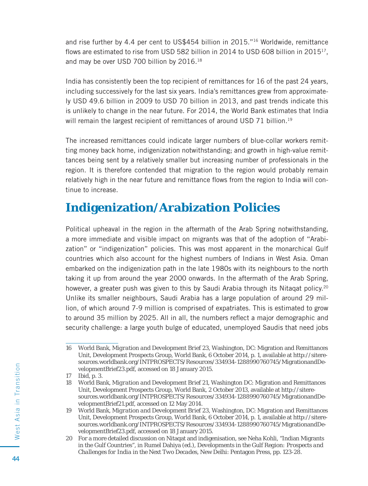and rise further by 4.4 per cent to US\$454 billion in 2015."16 Worldwide, remittance flows are estimated to rise from USD 582 billion in 2014 to USD 608 billion in  $2015^{17}$ . and may be over USD 700 billion by 2016.18

India has consistently been the top recipient of remittances for 16 of the past 24 years, including successively for the last six years. India's remittances grew from approximately USD 49.6 billion in 2009 to USD 70 billion in 2013, and past trends indicate this is unlikely to change in the near future. For 2014, the World Bank estimates that India will remain the largest recipient of remittances of around USD 71 billion.<sup>19</sup>

The increased remittances could indicate larger numbers of blue-collar workers remitting money back home, indigenization notwithstanding; and growth in high-value remittances being sent by a relatively smaller but increasing number of professionals in the region. It is therefore contended that migration to the region would probably remain relatively high in the near future and remittance flows from the region to India will continue to increase.

# **Indigenization/Arabization Policies**

Political upheaval in the region in the aftermath of the Arab Spring notwithstanding, a more immediate and visible impact on migrants was that of the adoption of "Arabization" or "indigenization" policies. This was most apparent in the monarchical Gulf countries which also account for the highest numbers of Indians in West Asia. Oman embarked on the indigenization path in the late 1980s with its neighbours to the north taking it up from around the year 2000 onwards. In the aftermath of the Arab Spring, however, a greater push was given to this by Saudi Arabia through its Nitaqat policy.<sup>20</sup> Unlike its smaller neighbours, Saudi Arabia has a large population of around 29 million, of which around 7-9 million is comprised of expatriates. This is estimated to grow to around 35 million by 2025. All in all, the numbers reflect a major demographic and security challenge: a large youth bulge of educated, unemployed Saudis that need jobs

<sup>16</sup> World Bank, *Migration and Development Brief 23*, Washington, DC: Migration and Remittances Unit, Development Prospects Group, World Bank, 6 October 2014, p. 1, available at http://siteresources.worldbank.org/INTPROSPECTS/Resources/334934-1288990760745/MigrationandDevelopmentBrief23.pdf, accessed on 18 January 2015.

<sup>17</sup> Ibid, p. 3.

<sup>18</sup> World Bank, *Migration and Development Brief 21*, Washington DC: Migration and Remittances Unit, Development Prospects Group, World Bank, 2 October 2013, available at http://siteresources.worldbank.org/INTPROSPECTS/Resources/334934-1288990760745/MigrationandDevelopmentBrief21.pdf, accessed on 12 May 2014.

<sup>19</sup> World Bank, *Migration and Development Brief 23*, Washington, DC: Migration and Remittances Unit, Development Prospects Group, World Bank, 6 October 2014, p. 1, available at http://siteresources.worldbank.org/INTPROSPECTS/Resources/334934-1288990760745/MigrationandDevelopmentBrief23.pdf, accessed on 18 January 2015.

<sup>20</sup> For a more detailed discussion on Nitaqat and indigenisation, see Neha Kohli, "Indian Migrants in the Gulf Countries", in Rumel Dahiya (ed.), *Developments in the Gulf Region: Prospects and Challenges for India in the Next Two Decades*, New Delhi: Pentagon Press, pp. 123-28.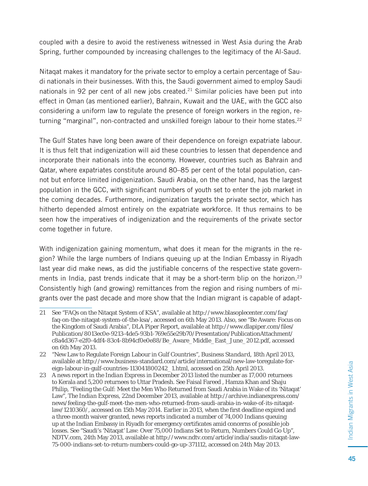coupled with a desire to avoid the restiveness witnessed in West Asia during the Arab Spring, further compounded by increasing challenges to the legitimacy of the Al-Saud.

Nitaqat makes it mandatory for the private sector to employ a certain percentage of Saudi nationals in their businesses. With this, the Saudi government aimed to employ Saudi nationals in 92 per cent of all new jobs created.<sup>21</sup> Similar policies have been put into effect in Oman (as mentioned earlier), Bahrain, Kuwait and the UAE, with the GCC also considering a uniform law to regulate the presence of foreign workers in the region, returning "marginal", non-contracted and unskilled foreign labour to their home states. $22$ 

The Gulf States have long been aware of their dependence on foreign expatriate labour. It is thus felt that indigenization will aid these countries to lessen that dependence and incorporate their nationals into the economy. However, countries such as Bahrain and Qatar, where expatriates constitute around 80–85 per cent of the total population, cannot but enforce limited indigenization. Saudi Arabia, on the other hand, has the largest population in the GCC, with significant numbers of youth set to enter the job market in the coming decades. Furthermore, indigenization targets the private sector, which has hitherto depended almost entirely on the expatriate workforce. It thus remains to be seen how the imperatives of indigenization and the requirements of the private sector come together in future.

With indigenization gaining momentum, what does it mean for the migrants in the region? While the large numbers of Indians queuing up at the Indian Embassy in Riyadh last year did make news, as did the justifiable concerns of the respective state governments in India, past trends indicate that it may be a short-term blip on the horizon.<sup>23</sup> Consistently high (and growing) remittances from the region and rising numbers of migrants over the past decade and more show that the Indian migrant is capable of adapt-

<sup>21</sup> See "FAQs on the Nitaqat System of KSA", available at http://www.blasoplecenter.com/faq/ faq-on-the-nitaqat-system-of-the-ksa/, accessed on 6th May 2013. Also, see "Be Aware: Focus on the Kingdom of Saudi Arabia", DLA Piper Report, available at http://www.dlapiper.com/files/ Publication/8013ec0e-9213-4de5-93b1-769e55e29b70/Presentation/PublicationAttachment/ c8a4d367-e2f0-4df4-83c4-8b94cf0e0e88/Be\_Aware\_Middle\_East\_June\_2012.pdf, accessed on 6th May 2013.

<sup>22 &</sup>quot;New Law to Regulate Foreign Labour in Gulf Countries", *Business Standard*, 18th April 2013, available at http://www.business-standard.com/article/international/new-law-toregulate-foreign-labour-in-gulf-countries-113041800242\_1.html, accessed on 25th April 2013.

<sup>23</sup> A news report in the *Indian Express* in December 2013 listed the number as 17,000 returnees to Kerala and 5,200 returnees to Uttar Pradesh. See Faisal Fareed , Hamza Khan and Shaju Philip, "Feeling the Gulf: Meet the Men Who Returned from Saudi Arabia in Wake of its 'Nitaqat' Law", *The Indian Express*, 22nd December 2013, available at http://archive.indianexpress.com/ news/feeling-the-gulf-meet-the-men-who-returned-from-saudi-arabia-in-wake-of-its-nitaqatlaw/1210360/, accessed on 15th May 2014. Earlier in 2013, when the first deadline expired and a three-month waiver granted, news reports indicated a number of 74,000 Indians queuing up at the Indian Embassy in Riyadh for emergency certificates amid concerns of possible job losses. See "Saudi's 'Nitaqat' Law: Over 75,000 Indians Set to Return, Numbers Could Go Up", *NDTV.com*, 24th May 2013, available at http://www.ndtv.com/article/india/saudis-nitaqat-law-75-000-indians-set-to-return-numbers-could-go-up-371112, accessed on 24th May 2013.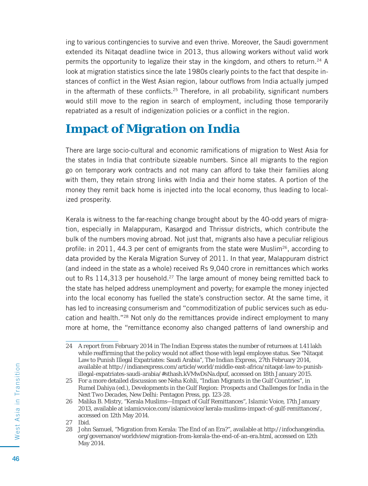ing to various contingencies to survive and even thrive. Moreover, the Saudi government extended its Nitaqat deadline twice in 2013, thus allowing workers without valid work permits the opportunity to legalize their stay in the kingdom, and others to return.24 A look at migration statistics since the late 1980s clearly points to the fact that despite instances of conflict in the West Asian region, labour outflows from India actually jumped in the aftermath of these conflicts.<sup>25</sup> Therefore, in all probability, significant numbers would still move to the region in search of employment, including those temporarily repatriated as a result of indigenization policies or a conflict in the region.

# **Impact of Migration on India**

There are large socio-cultural and economic ramifications of migration to West Asia for the states in India that contribute sizeable numbers. Since all migrants to the region go on temporary work contracts and not many can afford to take their families along with them, they retain strong links with India and their home states. A portion of the money they remit back home is injected into the local economy, thus leading to localized prosperity.

Kerala is witness to the far-reaching change brought about by the 40-odd years of migration, especially in Malappuram, Kasargod and Thrissur districts, which contribute the bulk of the numbers moving abroad. Not just that, migrants also have a peculiar religious profile: in 2011, 44.3 per cent of emigrants from the state were Muslim<sup>26</sup>, according to data provided by the Kerala Migration Survey of 2011. In that year, Malappuram district (and indeed in the state as a whole) received Rs 9,040 crore in remittances which works out to Rs  $114,313$  per household.<sup>27</sup> The large amount of money being remitted back to the state has helped address unemployment and poverty; for example the money injected into the local economy has fuelled the state's construction sector. At the same time, it has led to increasing consumerism and "commoditization of public services such as education and health."28 Not only do the remittances provide indirect employment to many more at home, the "remittance economy also changed patterns of land ownership and

<sup>24</sup> A report from February 2014 in *The Indian Express* states the number of returnees at 1.41 lakh while reaffirming that the policy would not affect those with legal employee status. See "Nitaqat" Law to Punish Illegal Expatriates: Saudi Arabia", *The Indian Express*, 27th February 2014, available at http://indianexpress.com/article/world/middle-east-africa/nitaqat-law-to-punishillegal-expatriates-saudi-arabia/#sthash.kVMwDsNa.dpuf, accessed on 18th January 2015.

<sup>25</sup> For a more detailed discussion see Neha Kohli, "Indian Migrants in the Gulf Countries", in Rumel Dahiya (ed.), *Developments in the Gulf Region: Prospects and Challenges for India in the Next Two Decades*, New Delhi: Pentagon Press, pp. 123-28.

<sup>26</sup> Malika B. Mistry, "Kerala Muslims—Impact of Gulf Remittances", *Islamic Voice*, 17th January 2013, available at islamicvoice.com/islamicvoice/kerala-muslims-impact-of-gulf-remittances/, accessed on 12th May 2014.

<sup>27</sup> Ibid.

<sup>28</sup> John Samuel, "Migration from Kerala: The End of an Era?", available at http://infochangeindia. org/governance/worldview/migration-from-kerala-the-end-of-an-era.html, accessed on 12th May 2014.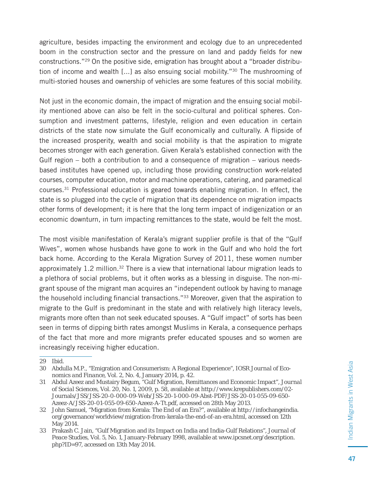agriculture, besides impacting the environment and ecology due to an unprecedented boom in the construction sector and the pressure on land and paddy fields for new constructions."29 On the positive side, emigration has brought about a "broader distribution of income and wealth [...] as also ensuing social mobility."<sup>30</sup> The mushrooming of multi-storied houses and ownership of vehicles are some features of this social mobility.

Not just in the economic domain, the impact of migration and the ensuing social mobility mentioned above can also be felt in the socio-cultural and political spheres. Consumption and investment patterns, lifestyle, religion and even education in certain districts of the state now simulate the Gulf economically and culturally. A flipside of the increased prosperity, wealth and social mobility is that the aspiration to migrate becomes stronger with each generation. Given Kerala's established connection with the Gulf region – both a contribution to and a consequence of migration – various needsbased institutes have opened up, including those providing construction work-related courses, computer education, motor and machine operations, catering, and paramedical courses.31 Professional education is geared towards enabling migration. In effect, the state is so plugged into the cycle of migration that its dependence on migration impacts other forms of development; it is here that the long term impact of indigenization or an economic downturn, in turn impacting remittances to the state, would be felt the most.

The most visible manifestation of Kerala's migrant supplier profile is that of the "Gulf Wives", women whose husbands have gone to work in the Gulf and who hold the fort back home. According to the Kerala Migration Survey of 2011, these women number approximately 1.2 million.<sup>32</sup> There is a view that international labour migration leads to a plethora of social problems, but it often works as a blessing in disguise. The non-migrant spouse of the migrant man acquires an "independent outlook by having to manage the household including financial transactions."<sup>33</sup> Moreover, given that the aspiration to migrate to the Gulf is predominant in the state and with relatively high literacy levels, migrants more often than not seek educated spouses. A "Gulf impact" of sorts has been seen in terms of dipping birth rates amongst Muslims in Kerala, a consequence perhaps of the fact that more and more migrants prefer educated spouses and so women are increasingly receiving higher education.

<sup>29</sup> Ibid.

<sup>30</sup> Abdulla M.P., "Emigration and Consumerism: A Regional Experience", *IOSR Journal of Economics and Finance*, Vol. 2, No. 4, January 2014, p. 42.

<sup>31</sup> Abdul Azeez and Mustairy Begum, "Gulf Migration, Remittances and Economic Impact", *Journal of Social Sciences*, Vol. 20, No. 1, 2009, p. 58, available at http://www.krepublishers.com/02- Journals/JSS/JSS-20-0-000-09-Web/JSS-20-1-000-09-Abst-PDF/JSS-20-01-055-09-650- Azeez-A/JSS-20-01-055-09-650-Azeez-A-Tt.pdf, accessed on 28th May 2013.

<sup>32</sup> John Samuel, "Migration from Kerala: The End of an Era?", available at http://infochangeindia. org/governance/worldview/migration-from-kerala-the-end-of-an-era.html, accessed on 12th May 2014.

<sup>33</sup> Prakash C. Jain, "Gulf Migration and its Impact on India and India-Gulf Relations", *Journal of Peace Studies*, Vol. 5, No. 1, January-February 1998, available at www.ipcsnet.org/description. php?ID=97, accessed on 13th May 2014.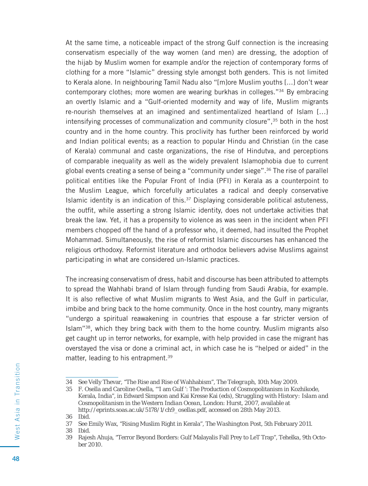At the same time, a noticeable impact of the strong Gulf connection is the increasing conservatism especially of the way women (and men) are dressing, the adoption of the hijab by Muslim women for example and/or the rejection of contemporary forms of clothing for a more "Islamic" dressing style amongst both genders. This is not limited to Kerala alone. In neighbouring Tamil Nadu also "[m]ore Muslim youths [...] don't wear contemporary clothes; more women are wearing burkhas in colleges."34 By embracing an overtly Islamic and a "Gulf-oriented modernity and way of life, Muslim migrants re-nourish themselves at an imagined and sentimentalized heartland of Islam […} intensifying processes of communalization and community closure",35 both in the host country and in the home country. This proclivity has further been reinforced by world and Indian political events; as a reaction to popular Hindu and Christian (in the case of Kerala) communal and caste organizations, the rise of Hindutva, and perceptions of comparable inequality as well as the widely prevalent Islamophobia due to current global events creating a sense of being a "community under siege".36 The rise of parallel political entities like the Popular Front of India (PFI) in Kerala as a counterpoint to the Muslim League, which forcefully articulates a radical and deeply conservative Islamic identity is an indication of this.37 Displaying considerable political astuteness, the outfit, while asserting a strong Islamic identity, does not undertake activities that break the law. Yet, it has a propensity to violence as was seen in the incident when PFI members chopped off the hand of a professor who, it deemed, had insulted the Prophet Mohammad. Simultaneously, the rise of reformist Islamic discourses has enhanced the religious orthodoxy. Reformist literature and orthodox believers advise Muslims against participating in what are considered un-Islamic practices.

The increasing conservatism of dress, habit and discourse has been attributed to attempts to spread the Wahhabi brand of Islam through funding from Saudi Arabia, for example. It is also reflective of what Muslim migrants to West Asia, and the Gulf in particular, imbibe and bring back to the home community. Once in the host country, many migrants "undergo a spiritual reawakening in countries that espouse a far stricter version of Islam"38, which they bring back with them to the home country. Muslim migrants also get caught up in terror networks, for example, with help provided in case the migrant has overstayed the visa or done a criminal act, in which case he is "helped or aided" in the matter, leading to his entrapment.<sup>39</sup>

<sup>34</sup> See Velly Thevar, "The Rise and Rise of Wahhabism", *The Telegraph*, 10th May 2009.

<sup>35</sup> F. Osella and Caroline Osella, "'I am Gulf ': The Production of Cosmopolitanism in Kozhikode, Kerala, India", in Edward Simpson and Kai Kresse Kai (eds), *Struggling with History: Islam and Cosmopolitanism in the Western Indian Ocean*, London: Hurst, 2007, available at http://eprints.soas.ac.uk/5178/1/ch9\_osellas.pdf, accessed on 28th May 2013.

<sup>36</sup> Ibid.

<sup>37</sup> See Emily Wax, "Rising Muslim Right in Kerala", *The Washington Post*, 5th February 2011.

<sup>38</sup> Ibid.

<sup>39</sup> Rajesh Ahuja, "Terror Beyond Borders: Gulf Malayalis Fall Prey to LeT Trap", *Tehelka*, 9th October 2010.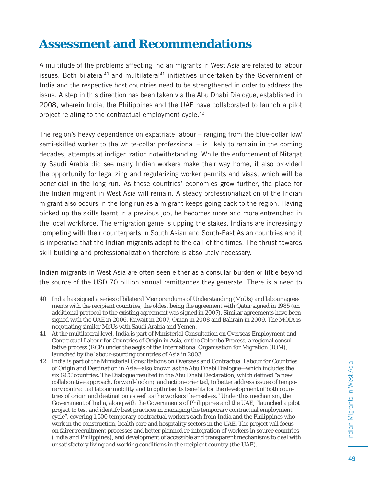#### **Assessment and Recommendations**

A multitude of the problems affecting Indian migrants in West Asia are related to labour issues. Both bilateral<sup>40</sup> and multilateral<sup>41</sup> initiatives undertaken by the Government of India and the respective host countries need to be strengthened in order to address the issue. A step in this direction has been taken via the Abu Dhabi Dialogue, established in 2008, wherein India, the Philippines and the UAE have collaborated to launch a pilot project relating to the contractual employment cycle.42

The region's heavy dependence on expatriate labour – ranging from the blue-collar low/ semi-skilled worker to the white-collar professional – is likely to remain in the coming decades, attempts at indigenization notwithstanding. While the enforcement of Nitaqat by Saudi Arabia did see many Indian workers make their way home, it also provided the opportunity for legalizing and regularizing worker permits and visas, which will be beneficial in the long run. As these countries' economies grow further, the place for the Indian migrant in West Asia will remain. A steady professionalization of the Indian migrant also occurs in the long run as a migrant keeps going back to the region. Having picked up the skills learnt in a previous job, he becomes more and more entrenched in the local workforce. The emigration game is upping the stakes. Indians are increasingly competing with their counterparts in South Asian and South-East Asian countries and it is imperative that the Indian migrants adapt to the call of the times. The thrust towards skill building and professionalization therefore is absolutely necessary.

Indian migrants in West Asia are often seen either as a consular burden or little beyond the source of the USD 70 billion annual remittances they generate. There is a need to

<sup>40</sup> India has signed a series of bilateral Memorandums of Understanding (MoUs) and labour agreements with the recipient countries, the oldest being the agreement with Qatar signed in 1985 (an additional protocol to the existing agreement was signed in 2007). Similar agreements have been signed with the UAE in 2006, Kuwait in 2007, Oman in 2008 and Bahrain in 2009. The MOIA is negotiating similar MoUs with Saudi Arabia and Yemen.

<sup>41</sup> At the multilateral level, India is part of Ministerial Consultation on Overseas Employment and Contractual Labour for Countries of Origin in Asia, or the Colombo Process, a regional consultative process (RCP) under the aegis of the International Organisation for Migration (IOM), launched by the labour-sourcing countries of Asia in 2003.

<sup>42</sup> India is part of the Ministerial Consultations on Overseas and Contractual Labour for Countries of Origin and Destination in Asia—also known as the Abu Dhabi Dialogue—which includes the six GCC countries. The Dialogue resulted in the Abu Dhabi Declaration, which defined "a new collaborative approach, forward-looking and action-oriented, to better address issues of temporary contractual labour mobility and to optimise its benefits for the development of both countries of origin and destination as well as the workers themselves." Under this mechanism, the Government of India, along with the Governments of Philippines and the UAE, "launched a pilot project to test and identify best practices in managing the temporary contractual employment cycle", covering 1,500 temporary contractual workers each from India and the Philippines who work in the construction, health care and hospitality sectors in the UAE. The project will focus on fairer recruitment processes and better planned re-integration of workers in source countries (India and Philippines), and development of accessible and transparent mechanisms to deal with unsatisfactory living and working conditions in the recipient country (the UAE).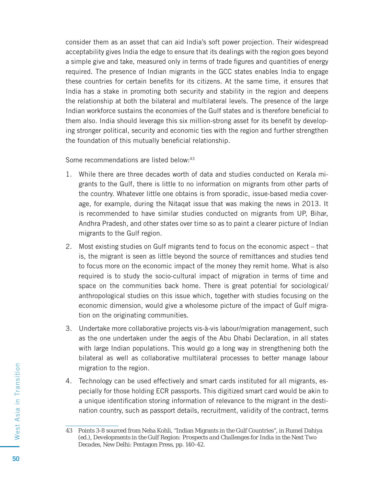consider them as an asset that can aid India's soft power projection. Their widespread acceptability gives India the edge to ensure that its dealings with the region goes beyond a simple give and take, measured only in terms of trade figures and quantities of energy required. The presence of Indian migrants in the GCC states enables India to engage these countries for certain benefits for its citizens. At the same time, it ensures that India has a stake in promoting both security and stability in the region and deepens the relationship at both the bilateral and multilateral levels. The presence of the large Indian workforce sustains the economies of the Gulf states and is therefore beneficial to them also. India should leverage this six million-strong asset for its benefit by developing stronger political, security and economic ties with the region and further strengthen the foundation of this mutually beneficial relationship.

Some recommendations are listed below:<sup>43</sup>

- 1. While there are three decades worth of data and studies conducted on Kerala migrants to the Gulf, there is little to no information on migrants from other parts of the country. Whatever little one obtains is from sporadic, issue-based media coverage, for example, during the Nitaqat issue that was making the news in 2013. It is recommended to have similar studies conducted on migrants from UP, Bihar, Andhra Pradesh, and other states over time so as to paint a clearer picture of Indian migrants to the Gulf region.
- 2. Most existing studies on Gulf migrants tend to focus on the economic aspect that is, the migrant is seen as little beyond the source of remittances and studies tend to focus more on the economic impact of the money they remit home. What is also required is to study the socio-cultural impact of migration in terms of time and space on the communities back home. There is great potential for sociological/ anthropological studies on this issue which, together with studies focusing on the economic dimension, would give a wholesome picture of the impact of Gulf migration on the originating communities.
- 3. Undertake more collaborative projects vis-à-vis labour/migration management, such as the one undertaken under the aegis of the Abu Dhabi Declaration, in all states with large Indian populations. This would go a long way in strengthening both the bilateral as well as collaborative multilateral processes to better manage labour migration to the region.
- 4. Technology can be used effectively and smart cards instituted for all migrants, especially for those holding ECR passports. This digitized smart card would be akin to a unique identification storing information of relevance to the migrant in the destination country, such as passport details, recruitment, validity of the contract, terms

<sup>43</sup> Points 3-8 sourced from Neha Kohli, "Indian Migrants in the Gulf Countries", in Rumel Dahiya (ed.), *Developments in the Gulf Region: Prospects and Challenges for India in the Next Two Decades*, New Delhi: Pentagon Press, pp. 140-42.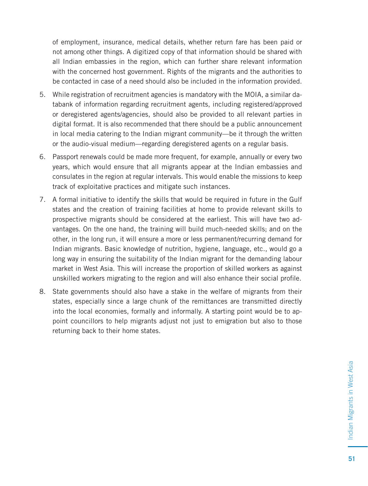of employment, insurance, medical details, whether return fare has been paid or not among other things. A digitized copy of that information should be shared with all Indian embassies in the region, which can further share relevant information with the concerned host government. Rights of the migrants and the authorities to be contacted in case of a need should also be included in the information provided.

- 5. While registration of recruitment agencies is mandatory with the MOIA, a similar databank of information regarding recruitment agents, including registered/approved or deregistered agents/agencies, should also be provided to all relevant parties in digital format. It is also recommended that there should be a public announcement in local media catering to the Indian migrant community—be it through the written or the audio-visual medium—regarding deregistered agents on a regular basis.
- 6. Passport renewals could be made more frequent, for example, annually or every two years, which would ensure that all migrants appear at the Indian embassies and consulates in the region at regular intervals. This would enable the missions to keep track of exploitative practices and mitigate such instances.
- 7. A formal initiative to identify the skills that would be required in future in the Gulf states and the creation of training facilities at home to provide relevant skills to prospective migrants should be considered at the earliest. This will have two advantages. On the one hand, the training will build much-needed skills; and on the other, in the long run, it will ensure a more or less permanent/recurring demand for Indian migrants. Basic knowledge of nutrition, hygiene, language, etc., would go a long way in ensuring the suitability of the Indian migrant for the demanding labour market in West Asia. This will increase the proportion of skilled workers as against unskilled workers migrating to the region and will also enhance their social profile.
- 8. State governments should also have a stake in the welfare of migrants from their states, especially since a large chunk of the remittances are transmitted directly into the local economies, formally and informally. A starting point would be to appoint councillors to help migrants adjust not just to emigration but also to those returning back to their home states.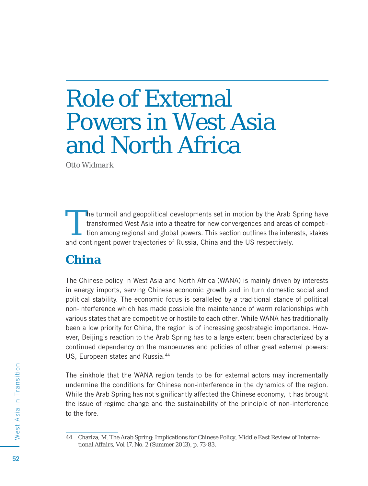# Role of External Powers in West Asia and North Africa

*Otto Widmark*

The turmoil and geopolitical developments set in motion by the Arab Spring have<br>transformed West Asia into a theatre for new convergences and areas of competi-<br>tion among regional and global powers. This section outlines t transformed West Asia into a theatre for new convergences and areas of competition among regional and global powers. This section outlines the interests, stakes and contingent power trajectories of Russia, China and the US respectively.

#### **China**

The Chinese policy in West Asia and North Africa (WANA) is mainly driven by interests in energy imports, serving Chinese economic growth and in turn domestic social and political stability. The economic focus is paralleled by a traditional stance of political non-interference which has made possible the maintenance of warm relationships with various states that are competitive or hostile to each other. While WANA has traditionally been a low priority for China, the region is of increasing geostrategic importance. However, Beijing's reaction to the Arab Spring has to a large extent been characterized by a continued dependency on the manoeuvres and policies of other great external powers: US, European states and Russia.<sup>44</sup>

The sinkhole that the WANA region tends to be for external actors may incrementally undermine the conditions for Chinese non-interference in the dynamics of the region. While the Arab Spring has not significantly affected the Chinese economy, it has brought the issue of regime change and the sustainability of the principle of non-interference to the fore.

<sup>44</sup> Chaziza, M. The Arab Spring: Implications for Chinese Policy, *Middle East Review of International Affairs*, Vol 17, No. 2 (Summer 2013), p. 73-83.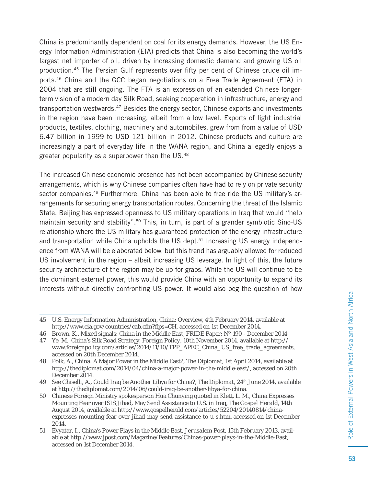China is predominantly dependent on coal for its energy demands. However, the US Energy Information Administration (EIA) predicts that China is also becoming the world's largest net importer of oil, driven by increasing domestic demand and growing US oil production.<sup>45</sup> The Persian Gulf represents over fifty per cent of Chinese crude oil imports.46 China and the GCC began negotiations on a Free Trade Agreement (FTA) in 2004 that are still ongoing. The FTA is an expression of an extended Chinese longerterm vision of a modern day Silk Road, seeking cooperation in infrastructure, energy and transportation westwards.47 Besides the energy sector, Chinese exports and investments in the region have been increasing, albeit from a low level. Exports of light industrial products, textiles, clothing, machinery and automobiles, grew from from a value of USD 6.47 billion in 1999 to USD 121 billion in 2012. Chinese products and culture are increasingly a part of everyday life in the WANA region, and China allegedly enjoys a greater popularity as a superpower than the US.<sup>48</sup>

The increased Chinese economic presence has not been accompanied by Chinese security arrangements, which is why Chinese companies often have had to rely on private security sector companies.<sup>49</sup> Furthermore, China has been able to free ride the US military's arrangements for securing energy transportation routes. Concerning the threat of the Islamic State, Beijing has expressed openness to US military operations in Iraq that would "help maintain security and stability".<sup>50</sup> This, in turn, is part of a grander symbiotic Sino-US relationship where the US military has guaranteed protection of the energy infrastructure and transportation while China upholds the US dept.<sup>51</sup> Increasing US energy independence from WANA will be elaborated below, but this trend has arguably allowed for reduced US involvement in the region – albeit increasing US leverage. In light of this, the future security architecture of the region may be up for grabs. While the US will continue to be the dominant external power, this would provide China with an opportunity to expand its interests without directly confronting US power. It would also beg the question of how

<sup>45</sup> U.S. Energy Information Administration, China: Overview, 4th February 2014, available at http://www.eia.gov/countries/cab.cfm?fips=CH, accessed on 1st December 2014.

<sup>46</sup> Brown, K., Mixed signals: China in the Middle East, FRIDE Paper; Nº 190 - December 2014

<sup>47</sup> Ye, M., China's Silk Road Strategy, *Foreign Policy*, 10th November 2014, available at http:// www.foreignpolicy.com/articles/2014/11/10/TPP\_APEC\_China\_US\_free\_trade\_agreements, accessed on 20th December 2014.

<sup>48</sup> Polk, A., China: A Major Power in the Middle East?, *The Diplomat*, 1st April 2014, available at http://thediplomat.com/2014/04/china-a-major-power-in-the-middle-east/, accessed on 20th December 2014.

<sup>49</sup> See Ghiselli, A., Could Iraq be Another Libya for China?, *The Diplomat,* 24th June 2014, available at http://thediplomat.com/2014/06/could-iraq-be-another-libya-for-china.

<sup>50</sup> Chinese Foreign Ministry spokesperson Hua Chunying quoted in Klett, L. M., China Expresses Mounting Fear over ISIS Jihad, May Send Assistance to U.S. in Iraq, *The Gospel Herald*, 14th August 2014, available at http://www.gospelherald.com/articles/52204/20140814/chinaexpresses-mounting-fear-over-jihad-may-send-assistance-to-u-s.htm, accessed on 1st December 2014.

<sup>51</sup> Evyatar, I., China's Power Plays in the Middle East, *Jerusalem Post*, 15th February 2013, available at http://www.jpost.com/Magazine/Features/Chinas-power-plays-in-the-Middle-East, accessed on 1st December 2014.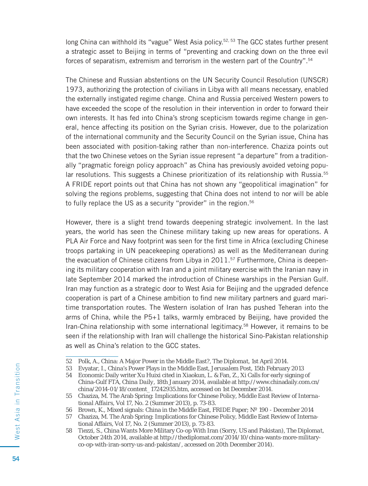long China can withhold its "vague" West Asia policy.<sup>52, 53</sup> The GCC states further present a strategic asset to Beijing in terms of "preventing and cracking down on the three evil forces of separatism, extremism and terrorism in the western part of the Country".<sup>54</sup>

The Chinese and Russian abstentions on the UN Security Council Resolution (UNSCR) 1973, authorizing the protection of civilians in Libya with all means necessary, enabled the externally instigated regime change. China and Russia perceived Western powers to have exceeded the scope of the resolution in their intervention in order to forward their own interests. It has fed into China's strong scepticism towards regime change in general, hence affecting its position on the Syrian crisis. However, due to the polarization of the international community and the Security Council on the Syrian issue, China has been associated with position-taking rather than non-interference. Chaziza points out that the two Chinese vetoes on the Syrian issue represent "a departure" from a traditionally "pragmatic foreign policy approach" as China has previously avoided vetoing popular resolutions. This suggests a Chinese prioritization of its relationship with Russia.<sup>55</sup> A FRIDE report points out that China has not shown any "geopolitical imagination" for solving the regions problems, suggesting that China does not intend to nor will be able to fully replace the US as a security "provider" in the region.<sup>56</sup>

However, there is a slight trend towards deepening strategic involvement. In the last years, the world has seen the Chinese military taking up new areas for operations. A PLA Air Force and Navy footprint was seen for the first time in Africa (excluding Chinese troops partaking in UN peacekeeping operations) as well as the Mediterranean during the evacuation of Chinese citizens from Libya in 2011.<sup>57</sup> Furthermore, China is deepening its military cooperation with Iran and a joint military exercise with the Iranian navy in late September 2014 marked the introduction of Chinese warships in the Persian Gulf. Iran may function as a strategic door to West Asia for Beijing and the upgraded defence cooperation is part of a Chinese ambition to find new military partners and guard maritime transportation routes. The Western isolation of Iran has pushed Teheran into the arms of China, while the P5+1 talks, warmly embraced by Beijing, have provided the Iran-China relationship with some international legitimacy.58 However, it remains to be seen if the relationship with Iran will challenge the historical Sino-Pakistan relationship as well as China's relation to the GCC states.

<sup>52</sup> Polk, A., China: A Major Power in the Middle East?, *The Diplomat*, 1st April 2014.

<sup>53</sup> Evyatar, I., China's Power Plays in the Middle East, *Jerusalem Post*, 15th February 2013

<sup>54</sup> Economic Daily writer Xu Huixi cited in Xiaokun, L. & Fan, Z., Xi Calls for early signing of China-Gulf FTA, *China Daily*, 18th January 2014, available at http://www.chinadaily.com.cn/ china/2014-01/18/content\_17242935.htm, accessed on 1st December 2014.

<sup>55</sup> Chaziza, M. The Arab Spring: Implications for Chinese Policy, *Middle East Review of International Affairs*, Vol 17, No. 2 (Summer 2013), p. 73-83.

<sup>56</sup> Brown, K., Mixed signals: China in the Middle East, FRIDE Paper; Nº 190 - December 2014

<sup>57</sup> Chaziza, M. The Arab Spring: Implications for Chinese Policy, Middle East Review of International Affairs, Vol 17, No. 2 (Summer 2013), p. 73-83.

<sup>58</sup> Tiezzi, S., China Wants More Military Co-op With Iran (Sorry, US and Pakistan), *The Diplomat,* October 24th 2014, available at http://thediplomat.com/2014/10/china-wants-more-militaryco-op-with-iran-sorry-us-and-pakistan/, accessed on 20th December 2014).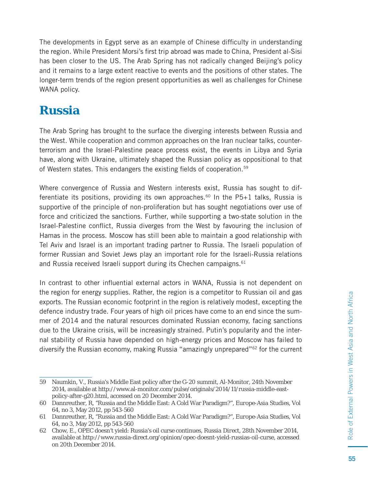The developments in Egypt serve as an example of Chinese difficulty in understanding the region. While President Morsi's first trip abroad was made to China, President al-Sisi has been closer to the US. The Arab Spring has not radically changed Beijing's policy and it remains to a large extent reactive to events and the positions of other states. The longer-term trends of the region present opportunities as well as challenges for Chinese WANA policy.

### **Russia**

The Arab Spring has brought to the surface the diverging interests between Russia and the West. While cooperation and common approaches on the Iran nuclear talks, counterterrorism and the Israel-Palestine peace process exist, the events in Libya and Syria have, along with Ukraine, ultimately shaped the Russian policy as oppositional to that of Western states. This endangers the existing fields of cooperation.<sup>59</sup>

Where convergence of Russia and Western interests exist, Russia has sought to differentiate its positions, providing its own approaches.<sup>60</sup> In the P5+1 talks, Russia is supportive of the principle of non-proliferation but has sought negotiations over use of force and criticized the sanctions. Further, while supporting a two-state solution in the Israel-Palestine conflict, Russia diverges from the West by favouring the inclusion of Hamas in the process. Moscow has still been able to maintain a good relationship with Tel Aviv and Israel is an important trading partner to Russia. The Israeli population of former Russian and Soviet Jews play an important role for the Israeli-Russia relations and Russia received Israeli support during its Chechen campaigns.<sup>61</sup>

In contrast to other influential external actors in WANA, Russia is not dependent on the region for energy supplies. Rather, the region is a competitor to Russian oil and gas exports. The Russian economic footprint in the region is relatively modest, excepting the defence industry trade. Four years of high oil prices have come to an end since the summer of 2014 and the natural resources dominated Russian economy, facing sanctions due to the Ukraine crisis, will be increasingly strained. Putin's popularity and the internal stability of Russia have depended on high-energy prices and Moscow has failed to diversify the Russian economy, making Russia "amazingly unprepared"62 for the current

<sup>59</sup> Naumkin, V., Russia's Middle East policy after the G-20 summit, Al-Monitor, 24th November 2014, available at http://www.al-monitor.com/pulse/originals/2014/11/russia-middle-eastpolicy-after-g20.html, accessed on 20 December 2014.

<sup>60</sup> Dannreuther, R, "Russia and the Middle East: A Cold War Paradigm?", *Europe-Asia Studies*, Vol 64, no 3, May 2012, pp 543-560

<sup>61</sup> Dannreuther, R, "Russia and the Middle East: A Cold War Paradigm?", *Europe-Asia Studies*, Vol 64, no 3, May 2012, pp 543-560

<sup>62</sup> Chow, E., OPEC doesn't yield: Russia's oil curse continues, *Russia Direct*, 28th November 2014, available at http://www.russia-direct.org/opinion/opec-doesnt-yield-russias-oil-curse, accessed on 20th December 2014.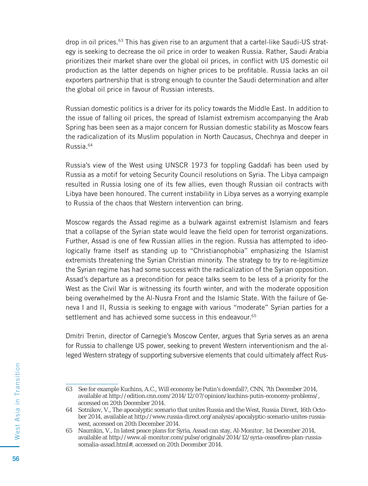drop in oil prices.63 This has given rise to an argument that a cartel-like Saudi-US strategy is seeking to decrease the oil price in order to weaken Russia. Rather, Saudi Arabia prioritizes their market share over the global oil prices, in conflict with US domestic oil production as the latter depends on higher prices to be profitable. Russia lacks an oil exporters partnership that is strong enough to counter the Saudi determination and alter the global oil price in favour of Russian interests.

Russian domestic politics is a driver for its policy towards the Middle East. In addition to the issue of falling oil prices, the spread of Islamist extremism accompanying the Arab Spring has been seen as a major concern for Russian domestic stability as Moscow fears the radicalization of its Muslim population in North Caucasus, Chechnya and deeper in Russia.64

Russia's view of the West using UNSCR 1973 for toppling Gaddafi has been used by Russia as a motif for vetoing Security Council resolutions on Syria. The Libya campaign resulted in Russia losing one of its few allies, even though Russian oil contracts with Libya have been honoured. The current instability in Libya serves as a worrying example to Russia of the chaos that Western intervention can bring.

Moscow regards the Assad regime as a bulwark against extremist Islamism and fears that a collapse of the Syrian state would leave the field open for terrorist organizations. Further, Assad is one of few Russian allies in the region. Russia has attempted to ideologically frame itself as standing up to "Christianophobia" emphasizing the Islamist extremists threatening the Syrian Christian minority. The strategy to try to re-legitimize the Syrian regime has had some success with the radicalization of the Syrian opposition. Assad's departure as a precondition for peace talks seem to be less of a priority for the West as the Civil War is witnessing its fourth winter, and with the moderate opposition being overwhelmed by the Al-Nusra Front and the Islamic State. With the failure of Geneva I and II, Russia is seeking to engage with various "moderate" Syrian parties for a settlement and has achieved some success in this endeavour.<sup>65</sup>

Dmitri Trenin, director of Carnegie's Moscow Center, argues that Syria serves as an arena for Russia to challenge US power, seeking to prevent Western interventionism and the alleged Western strategy of supporting subversive elements that could ultimately affect Rus-

<sup>63</sup> See for example Kuchins, A.C., Will economy be Putin's downfall?, *CNN*, 7th December 2014, available at http://edition.cnn.com/2014/12/07/opinion/kuchins-putin-economy-problems/, accessed on 20th December 2014.

<sup>64</sup> Sotnikov, V., The apocalyptic scenario that unites Russia and the West, *Russia Direct*, 16th October 2014, available at http://www.russia-direct.org/analysis/apocalyptic-scenario-unites-russiawest, accessed on 20th December 2014.

<sup>65</sup> Naumkin, V., In latest peace plans for Syria, Assad can stay, *Al-Monitor*, 1st December 2014, available at http://www.al-monitor.com/pulse/originals/2014/12/syria-ceasefires-plan-russiasomalia-assad.html#, accessed on 20th December 2014.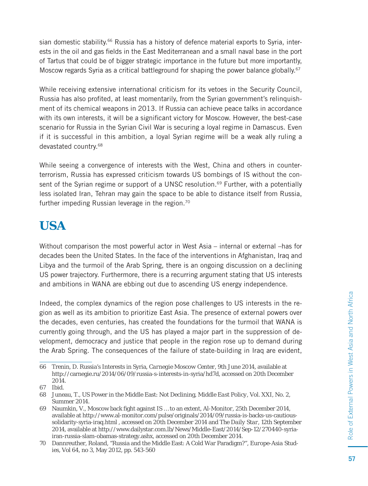sian domestic stability.<sup>66</sup> Russia has a history of defence material exports to Syria, interests in the oil and gas fields in the East Mediterranean and a small naval base in the port of Tartus that could be of bigger strategic importance in the future but more importantly, Moscow regards Syria as a critical battleground for shaping the power balance globally.<sup>67</sup>

While receiving extensive international criticism for its vetoes in the Security Council, Russia has also profited, at least momentarily, from the Syrian government's relinquishment of its chemical weapons in 2013. If Russia can achieve peace talks in accordance with its own interests, it will be a significant victory for Moscow. However, the best-case scenario for Russia in the Syrian Civil War is securing a loyal regime in Damascus. Even if it is successful in this ambition, a loyal Syrian regime will be a weak ally ruling a devastated country.68

While seeing a convergence of interests with the West, China and others in counterterrorism, Russia has expressed criticism towards US bombings of IS without the consent of the Syrian regime or support of a UNSC resolution.<sup>69</sup> Further, with a potentially less isolated Iran, Tehran may gain the space to be able to distance itself from Russia, further impeding Russian leverage in the region.<sup>70</sup>

# **USA**

Without comparison the most powerful actor in West Asia – internal or external –has for decades been the United States. In the face of the interventions in Afghanistan, Iraq and Libya and the turmoil of the Arab Spring, there is an ongoing discussion on a declining US power trajectory. Furthermore, there is a recurring argument stating that US interests and ambitions in WANA are ebbing out due to ascending US energy independence.

Indeed, the complex dynamics of the region pose challenges to US interests in the region as well as its ambition to prioritize East Asia. The presence of external powers over the decades, even centuries, has created the foundations for the turmoil that WANA is currently going through, and the US has played a major part in the suppression of development, democracy and justice that people in the region rose up to demand during the Arab Spring. The consequences of the failure of state-building in Iraq are evident,

<sup>66</sup> Trenin, D. Russia's Interests in Syria, *Carnegie Moscow Center*, 9th June 2014, available at http://carnegie.ru/2014/06/09/russia-s-interests-in-syria/hd7d, accessed on 20th December 2014.

<sup>67</sup> Ibid.

<sup>68</sup> Juneau, T., US Power in the Middle East: Not Declining, *Middle East Policy*, Vol. XXI, No. 2, Summer 2014.

<sup>69</sup> Naumkin, V., Moscow back fight against IS ... to an extent, *Al-Monitor*, 25th December 2014, available at http://www.al-monitor.com/pulse/originals/2014/09/russia-is-backs-us-cautioussolidarity-syria-iraq.html , accessed on 20th December 2014 and *The Daily Star*, 12th September 2014, available at http://www.dailystar.com.lb/News/Middle-East/2014/Sep-12/270440-syriairan-russia-slam-obamas-strategy.ashx, accessed on 20th December 2014.

<sup>70</sup> Dannreuther, Roland, "Russia and the Middle East: A Cold War Paradigm?", *Europe-Asia Studies*, Vol 64, no 3, May 2012, pp. 543-560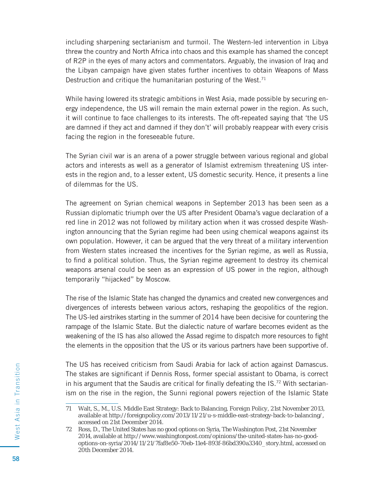including sharpening sectarianism and turmoil. The Western-led intervention in Libya threw the country and North Africa into chaos and this example has shamed the concept of R2P in the eyes of many actors and commentators. Arguably, the invasion of Iraq and the Libyan campaign have given states further incentives to obtain Weapons of Mass Destruction and critique the humanitarian posturing of the West. $71$ 

While having lowered its strategic ambitions in West Asia, made possible by securing energy independence, the US will remain the main external power in the region. As such, it will continue to face challenges to its interests. The oft-repeated saying that 'the US are damned if they act and damned if they don't' will probably reappear with every crisis facing the region in the foreseeable future.

The Syrian civil war is an arena of a power struggle between various regional and global actors and interests as well as a generator of Islamist extremism threatening US interests in the region and, to a lesser extent, US domestic security. Hence, it presents a line of dilemmas for the US.

The agreement on Syrian chemical weapons in September 2013 has been seen as a Russian diplomatic triumph over the US after President Obama's vague declaration of a red line in 2012 was not followed by military action when it was crossed despite Washington announcing that the Syrian regime had been using chemical weapons against its own population. However, it can be argued that the very threat of a military intervention from Western states increased the incentives for the Syrian regime, as well as Russia, to find a political solution. Thus, the Syrian regime agreement to destroy its chemical weapons arsenal could be seen as an expression of US power in the region, although temporarily "hijacked" by Moscow.

The rise of the Islamic State has changed the dynamics and created new convergences and divergences of interests between various actors, reshaping the geopolitics of the region. The US-led airstrikes starting in the summer of 2014 have been decisive for countering the rampage of the Islamic State. But the dialectic nature of warfare becomes evident as the weakening of the IS has also allowed the Assad regime to dispatch more resources to fight the elements in the opposition that the US or its various partners have been supportive of.

The US has received criticism from Saudi Arabia for lack of action against Damascus. The stakes are significant if Dennis Ross, former special assistant to Obama, is correct in his argument that the Saudis are critical for finally defeating the IS.<sup>72</sup> With sectarianism on the rise in the region, the Sunni regional powers rejection of the Islamic State

<sup>71</sup> Walt, S., M., U.S. Middle East Strategy: Back to Balancing, *Foreign Policy*, 21st November 2013, available at http://foreignpolicy.com/2013/11/21/u-s-middle-east-strategy-back-to-balancing/, accessed on 21st December 2014.

<sup>72</sup> Ross, D., The United States has no good options on Syria, *The Washington Post*, 21st November 2014, available at http://www.washingtonpost.com/opinions/the-united-states-has-no-goodoptions-on-syria/2014/11/21/7faf8e50-70eb-11e4-893f-86bd390a3340\_story.html, accessed on 20th December 2014.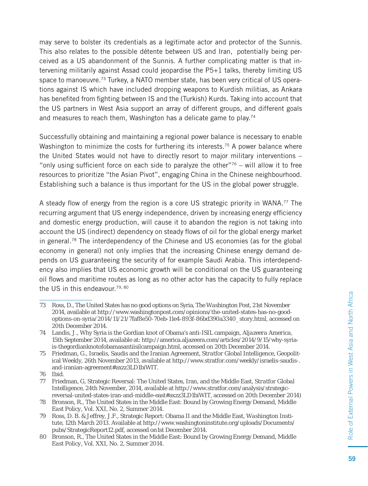may serve to bolster its credentials as a legitimate actor and protector of the Sunnis. This also relates to the possible détente between US and Iran, potentially being perceived as a US abandonment of the Sunnis. A further complicating matter is that intervening militarily against Assad could jeopardise the P5+1 talks, thereby limiting US space to manoeuvre.<sup>73</sup> Turkey, a NATO member state, has been very critical of US operations against IS which have included dropping weapons to Kurdish militias, as Ankara has benefited from fighting between IS and the (Turkish) Kurds. Taking into account that the US partners in West Asia support an array of different groups, and different goals and measures to reach them, Washington has a delicate game to play.<sup>74</sup>

Successfully obtaining and maintaining a regional power balance is necessary to enable Washington to minimize the costs for furthering its interests.<sup>75</sup> A power balance where the United States would not have to directly resort to major military interventions – "only using sufficient force on each side to paralyze the other" $76 -$  will allow it to free resources to prioritize "the Asian Pivot", engaging China in the Chinese neighbourhood. Establishing such a balance is thus important for the US in the global power struggle.

A steady flow of energy from the region is a core US strategic priority in WANA.<sup>77</sup> The recurring argument that US energy independence, driven by increasing energy efficiency and domestic energy production, will cause it to abandon the region is not taking into account the US (indirect) dependency on steady flows of oil for the global energy market in general.<sup>78</sup> The interdependency of the Chinese and US economies (as for the global economy in general) not only implies that the increasing Chinese energy demand depends on US guaranteeing the security of for example Saudi Arabia. This interdependency also implies that US economic growth will be conditional on the US guaranteeing oil flows and maritime routes as long as no other actor has the capacity to fully replace the US in this endeavour.<sup>79, 80</sup>

<sup>73</sup> Ross, D., The United States has no good options on Syria, *The Washington Post*, 21st November 2014, available at http://www.washingtonpost.com/opinions/the-united-states-has-no-goodoptions-on-syria/2014/11/21/7faf8e50-70eb-11e4-893f-86bd390a3340\_story.html, accessed on 20th December 2014.

<sup>74</sup> Landis, J., Why Syria is the Gordian knot of Obama's anti-ISIL campaign, *Aljazeera America*, 15th September 2014, available at: http://america.aljazeera.com/articles/2014/9/15/why-syriais-thegordianknotofobamasantiisilcampaign.html, accessed on 20th December 2014.

<sup>75</sup> Friedman, G., Israelis, Saudis and the Iranian Agreement, *Stratfor Global Intelligence*, Geopolitical Weekly, 26th November 2013, available at http://www.stratfor.com/weekly/israelis-saudis-. and-iranian-agreement#axzz3LD1biWIT.

<sup>76</sup> Ibid.

<sup>77</sup> Friedman, G, Strategic Reversal: The United States, Iran, and the Middle East, *Stratfor Global Intelligence*, 24th November, 2014, available at http://www.stratfor.com/analysis/strategicreversal-united-states-iran-and-middle-east#axzz3LD1biWIT, accessed on 20th December 2014)

<sup>78</sup> Bronson, R., The United States in the Middle East: Bound by Growing Energy Demand, *Middle East Policy*, Vol. XXI, No. 2, Summer 2014.

<sup>79</sup> Ross, D. B. & Jeffrey, J.F., Strategic Report: Obama II and the Middle East, *Washington Institute*, 12th March 2013. Available at http://www.washingtoninstitute.org/uploads/Documents/ pubs/StrategicReport12.pdf, accessed on1st December 2014.

<sup>80</sup> Bronson, R., The United States in the Middle East: Bound by Growing Energy Demand, *Middle East Policy*, Vol. XXI, No. 2, Summer 2014.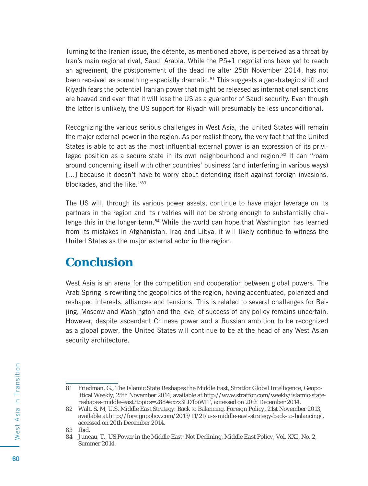Turning to the Iranian issue, the détente, as mentioned above, is perceived as a threat by Iran's main regional rival, Saudi Arabia. While the P5+1 negotiations have yet to reach an agreement, the postponement of the deadline after 25th November 2014, has not been received as something especially dramatic.<sup>81</sup> This suggests a geostrategic shift and Riyadh fears the potential Iranian power that might be released as international sanctions are heaved and even that it will lose the US as a guarantor of Saudi security. Even though the latter is unlikely, the US support for Riyadh will presumably be less unconditional.

Recognizing the various serious challenges in West Asia, the United States will remain the major external power in the region. As per realist theory, the very fact that the United States is able to act as the most influential external power is an expression of its privileged position as a secure state in its own neighbourhood and region.82 It can "roam around concerning itself with other countries' business (and interfering in various ways) [...] because it doesn't have to worry about defending itself against foreign invasions, blockades, and the like."83

The US will, through its various power assets, continue to have major leverage on its partners in the region and its rivalries will not be strong enough to substantially challenge this in the longer term.<sup>84</sup> While the world can hope that Washington has learned from its mistakes in Afghanistan, Iraq and Libya, it will likely continue to witness the United States as the major external actor in the region.

#### **Conclusion**

West Asia is an arena for the competition and cooperation between global powers. The Arab Spring is rewriting the geopolitics of the region, having accentuated, polarized and reshaped interests, alliances and tensions. This is related to several challenges for Beijing, Moscow and Washington and the level of success of any policy remains uncertain. However, despite ascendant Chinese power and a Russian ambition to be recognized as a global power, the United States will continue to be at the head of any West Asian security architecture.

<sup>81</sup> Friedman, G., The Islamic State Reshapes the Middle East, Stratfor Global Intelligence, Geopolitical Weekly, 25th November 2014, available at http://www.stratfor.com/weekly/islamic-statereshapes-middle-east?topics=288#axzz3LD1biWIT, accessed on 20th December 2014.

<sup>82</sup> Walt, S. M, U.S. Middle East Strategy: Back to Balancing, *Foreign Policy*, 21st November 2013, available at http://foreignpolicy.com/2013/11/21/u-s-middle-east-strategy-back-to-balancing/, accessed on 20th December 2014.

<sup>83</sup> Ibid.

<sup>84</sup> Juneau, T., US Power in the Middle East: Not Declining, *Middle East Policy*, Vol. XXI, No. 2, Summer 2014.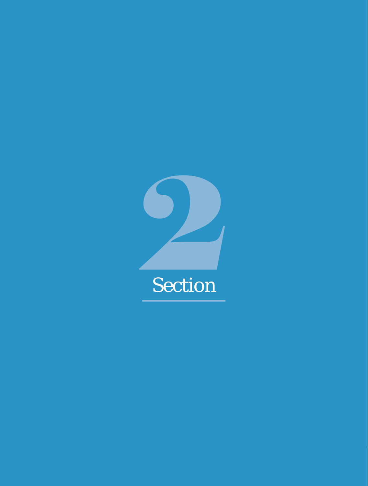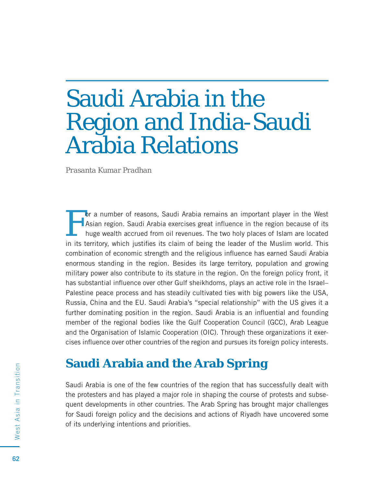# Saudi Arabia in the Region and India-Saudi Arabia Relations

*Prasanta Kumar Pradhan*

For a number of reasons, Saudi Arabia remains an important player in the West<br>Asian region. Saudi Arabia exercises great influence in the region because of its<br>huge wealth accrued from oil revenues. The two holy places of Asian region. Saudi Arabia exercises great influence in the region because of its huge wealth accrued from oil revenues. The two holy places of Islam are located in its territory, which justifies its claim of being the leader of the Muslim world. This combination of economic strength and the religious influence has earned Saudi Arabia enormous standing in the region. Besides its large territory, population and growing military power also contribute to its stature in the region. On the foreign policy front, it has substantial influence over other Gulf sheikhdoms, plays an active role in the Israel– Palestine peace process and has steadily cultivated ties with big powers like the USA, Russia, China and the EU. Saudi Arabia's "special relationship" with the US gives it a further dominating position in the region. Saudi Arabia is an influential and founding member of the regional bodies like the Gulf Cooperation Council (GCC), Arab League and the Organisation of Islamic Cooperation (OIC). Through these organizations it exercises influence over other countries of the region and pursues its foreign policy interests.

#### **Saudi Arabia and the Arab Spring**

Saudi Arabia is one of the few countries of the region that has successfully dealt with the protesters and has played a major role in shaping the course of protests and subsequent developments in other countries. The Arab Spring has brought major challenges for Saudi foreign policy and the decisions and actions of Riyadh have uncovered some of its underlying intentions and priorities.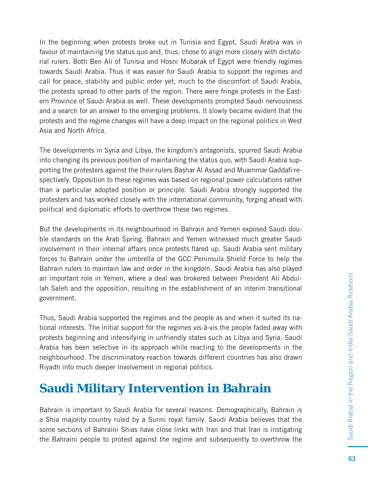In the beginning when protests broke out in Tunisia and Egypt, Saudi Arabia was in favour of maintaining the status quo and, thus, chose to align more closely with dictatorial rulers. Both Ben Ali of Tunisia and Hosni Mubarak of Egypt were friendly regimes towards Saudi Arabia. Thus it was easier for Saudi Arabia to support the regimes and call for peace, stability and public order yet, much to the discomfort of Saudi Arabia, the protests spread to other parts of the region. There were fringe protests in the Eastern Province of Saudi Arabia as well. These developments prompted Saudi nervousness and a search for an answer to the emerging problems. It slowly became evident that the protests and the regime changes will have a deep impact on the regional politics in West Asia and North Africa.

The developments in Syria and Libya, the kingdom's antagonists, spurred Saudi Arabia into changing its previous position of maintaining the status quo, with Saudi Arabia supporting the protesters against the their rulers Bashar Al Assad and Muammar Gaddafi respectively. Opposition to these regimes was based on regional power calculations rather than a particular adopted position or principle. Saudi Arabia strongly supported the protesters and has worked closely with the international community, forging ahead with political and diplomatic efforts to overthrow these two regimes.

But the developments in its neighbourhood in Bahrain and Yemen exposed Saudi double standards on the Arab Spring. Bahrain and Yemen witnessed much greater Saudi involvement in their internal affairs once protests flared up. Saudi Arabia sent military forces to Bahrain under the umbrella of the GCC Peninsula Shield Force to help the Bahrain rulers to maintain law and order in the kingdom. Saudi Arabia has also played an important role in Yemen, where a deal was brokered between President Ali Abdullah Saleh and the opposition, resulting in the establishment of an interim transitional government.

Thus, Saudi Arabia supported the regimes and the people as and when it suited its national interests. The initial support for the regimes vis-à-vis the people faded away with protests beginning and intensifying in unfriendly states such as Libya and Syria. Saudi Arabia has been selective in its approach while reacting to the developments in the neighbourhood. The discriminatory reaction towards different countries has also drawn Riyadh into much deeper involvement in regional politics.

#### **Saudi Military Intervention in Bahrain**

Bahrain is important to Saudi Arabia for several reasons. Demographically, Bahrain is a Shia majority country ruled by a Sunni royal family. Saudi Arabia believes that the some sections of Bahraini Shias have close links with Iran and that Iran is instigating the Bahraini people to protest against the regime and subsequently to overthrow the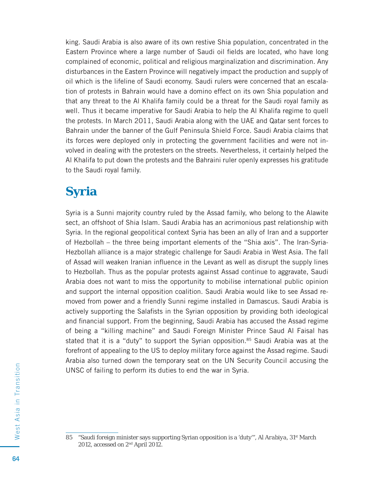king. Saudi Arabia is also aware of its own restive Shia population, concentrated in the Eastern Province where a large number of Saudi oil fields are located, who have long complained of economic, political and religious marginalization and discrimination. Any disturbances in the Eastern Province will negatively impact the production and supply of oil which is the lifeline of Saudi economy. Saudi rulers were concerned that an escalation of protests in Bahrain would have a domino effect on its own Shia population and that any threat to the Al Khalifa family could be a threat for the Saudi royal family as well. Thus it became imperative for Saudi Arabia to help the Al Khalifa regime to quell the protests. In March 2011, Saudi Arabia along with the UAE and Qatar sent forces to Bahrain under the banner of the Gulf Peninsula Shield Force. Saudi Arabia claims that its forces were deployed only in protecting the government facilities and were not involved in dealing with the protesters on the streets. Nevertheless, it certainly helped the Al Khalifa to put down the protests and the Bahraini ruler openly expresses his gratitude to the Saudi royal family.

## **Syria**

Syria is a Sunni majority country ruled by the Assad family, who belong to the Alawite sect, an offshoot of Shia Islam. Saudi Arabia has an acrimonious past relationship with Syria. In the regional geopolitical context Syria has been an ally of Iran and a supporter of Hezbollah – the three being important elements of the "Shia axis". The Iran-Syria-Hezbollah alliance is a major strategic challenge for Saudi Arabia in West Asia. The fall of Assad will weaken Iranian influence in the Levant as well as disrupt the supply lines to Hezbollah. Thus as the popular protests against Assad continue to aggravate, Saudi Arabia does not want to miss the opportunity to mobilise international public opinion and support the internal opposition coalition. Saudi Arabia would like to see Assad removed from power and a friendly Sunni regime installed in Damascus. Saudi Arabia is actively supporting the Salafists in the Syrian opposition by providing both ideological and financial support. From the beginning, Saudi Arabia has accused the Assad regime of being a "killing machine" and Saudi Foreign Minister Prince Saud Al Faisal has stated that it is a "duty" to support the Syrian opposition. $85$  Saudi Arabia was at the forefront of appealing to the US to deploy military force against the Assad regime. Saudi Arabia also turned down the temporary seat on the UN Security Council accusing the UNSC of failing to perform its duties to end the war in Syria.

<sup>85 &</sup>quot;Saudi foreign minister says supporting Syrian opposition is a 'duty'", *Al Arabiya*, 31st March 2012, accessed on 2nd April 2012.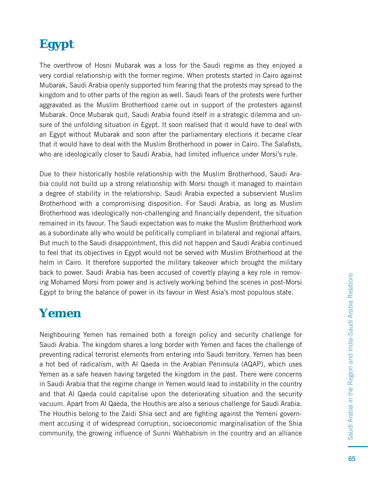The overthrow of Hosni Mubarak was a loss for the Saudi regime as they enjoyed a very cordial relationship with the former regime. When protests started in Cairo against Mubarak, Saudi Arabia openly supported him fearing that the protests may spread to the kingdom and to other parts of the region as well. Saudi fears of the protests were further aggravated as the Muslim Brotherhood came out in support of the protesters against Mubarak. Once Mubarak quit, Saudi Arabia found itself in a strategic dilemma and unsure of the unfolding situation in Egypt. It soon realised that it would have to deal with an Egypt without Mubarak and soon after the parliamentary elections it became clear that it would have to deal with the Muslim Brotherhood in power in Cairo. The Salafists, who are ideologically closer to Saudi Arabia, had limited influence under Morsi's rule.

Due to their historically hostile relationship with the Muslim Brotherhood, Saudi Arabia could not build up a strong relationship with Morsi though it managed to maintain a degree of stability in the relationship. Saudi Arabia expected a subservient Muslim Brotherhood with a compromising disposition. For Saudi Arabia, as long as Muslim Brotherhood was ideologically non-challenging and financially dependent, the situation remained in its favour. The Saudi expectation was to make the Muslim Brotherhood work as a subordinate ally who would be politically compliant in bilateral and regional affairs. But much to the Saudi disappointment, this did not happen and Saudi Arabia continued to feel that its objectives in Egypt would not be served with Muslim Brotherhood at the helm in Cairo. It therefore supported the military takeover which brought the military back to power. Saudi Arabia has been accused of covertly playing a key role in removing Mohamed Morsi from power and is actively working behind the scenes in post-Morsi Egypt to bring the balance of power in its favour in West Asia's most populous state.

## **Yemen**

Neighbouring Yemen has remained both a foreign policy and security challenge for Saudi Arabia. The kingdom shares a long border with Yemen and faces the challenge of preventing radical terrorist elements from entering into Saudi territory. Yemen has been a hot bed of radicalism, with Al Qaeda in the Arabian Peninsula (AQAP), which uses Yemen as a safe heaven having targeted the kingdom in the past. There were concerns in Saudi Arabia that the regime change in Yemen would lead to instability in the country and that Al Qaeda could capitalise upon the deteriorating situation and the security vacuum. Apart from Al Qaeda, the Houthis are also a serious challenge for Saudi Arabia. The Houthis belong to the Zaidi Shia sect and are fighting against the Yemeni government accusing it of widespread corruption, socioeconomic marginalisation of the Shia community, the growing influence of Sunni Wahhabism in the country and an alliance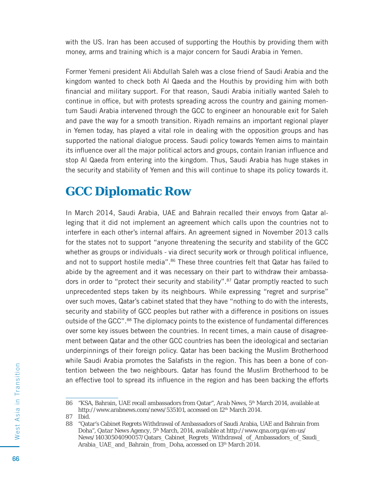with the US. Iran has been accused of supporting the Houthis by providing them with money, arms and training which is a major concern for Saudi Arabia in Yemen.

Former Yemeni president Ali Abdullah Saleh was a close friend of Saudi Arabia and the kingdom wanted to check both Al Qaeda and the Houthis by providing him with both financial and military support. For that reason, Saudi Arabia initially wanted Saleh to continue in office, but with protests spreading across the country and gaining momentum Saudi Arabia intervened through the GCC to engineer an honourable exit for Saleh and pave the way for a smooth transition. Riyadh remains an important regional player in Yemen today, has played a vital role in dealing with the opposition groups and has supported the national dialogue process. Saudi policy towards Yemen aims to maintain its influence over all the major political actors and groups, contain Iranian influence and stop Al Qaeda from entering into the kingdom. Thus, Saudi Arabia has huge stakes in the security and stability of Yemen and this will continue to shape its policy towards it.

#### **GCC Diplomatic Row**

In March 2014, Saudi Arabia, UAE and Bahrain recalled their envoys from Qatar alleging that it did not implement an agreement which calls upon the countries not to interfere in each other's internal affairs. An agreement signed in November 2013 calls for the states not to support "anyone threatening the security and stability of the GCC whether as groups or individuals - via direct security work or through political influence, and not to support hostile media".<sup>86</sup> These three countries felt that Qatar has failed to abide by the agreement and it was necessary on their part to withdraw their ambassadors in order to "protect their security and stability".<sup>87</sup> Qatar promptly reacted to such unprecedented steps taken by its neighbours. While expressing "regret and surprise" over such moves, Qatar's cabinet stated that they have "nothing to do with the interests, security and stability of GCC peoples but rather with a difference in positions on issues outside of the GCC".88 The diplomacy points to the existence of fundamental differences over some key issues between the countries. In recent times, a main cause of disagreement between Qatar and the other GCC countries has been the ideological and sectarian underpinnings of their foreign policy. Qatar has been backing the Muslim Brotherhood while Saudi Arabia promotes the Salafists in the region. This has been a bone of contention between the two neighbours. Qatar has found the Muslim Brotherhood to be an effective tool to spread its influence in the region and has been backing the efforts

<sup>86 &</sup>quot;KSA, Bahrain, UAE recall ambassadors from Qatar", *Arab News*, 5th March 2014, available at http://www.arabnews.com/news/535101, accessed on 12<sup>th</sup> March 2014.

<sup>87</sup> Ibid.

<sup>88 &</sup>quot;Qatar's Cabinet Regrets Withdrawal of Ambassadors of Saudi Arabia, UAE and Bahrain from Doha", *Qatar News Agency*, 5<sup>th</sup> March, 2014, available at http://www.qna.org.qa/en-us/ News/14030504090057/Qatars\_Cabinet\_Regrets\_Withdrawal\_of\_Ambassadors\_of\_Saudi\_ Arabia\_UAE\_and\_Bahrain\_from\_Doha, accessed on 13<sup>th</sup> March 2014.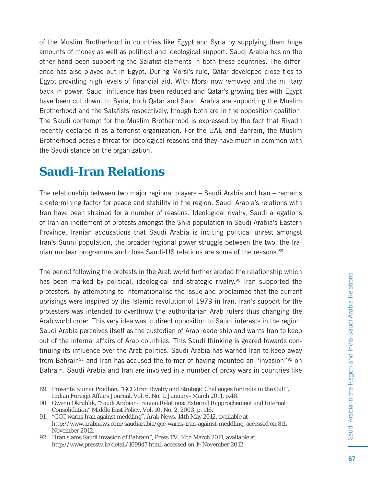of the Muslim Brotherhood in countries like Egypt and Syria by supplying them huge amounts of money as well as political and ideological support. Saudi Arabia has on the other hand been supporting the Salafist elements in both these countries. The difference has also played out in Egypt. During Morsi's rule, Qatar developed close ties to Egypt providing high levels of financial aid. With Morsi now removed and the military back in power, Saudi influence has been reduced and Qatar's growing ties with Egypt have been cut down. In Syria, both Qatar and Saudi Arabia are supporting the Muslim Brotherhood and the Salafists respectively, though both are in the opposition coalition. The Saudi contempt for the Muslim Brotherhood is expressed by the fact that Riyadh recently declared it as a terrorist organization. For the UAE and Bahrain, the Muslim Brotherhood poses a threat for ideological reasons and they have much in common with the Saudi stance on the organization.

#### **Saudi-Iran Relations**

The relationship between two major regional players – Saudi Arabia and Iran – remains a determining factor for peace and stability in the region. Saudi Arabia's relations with Iran have been strained for a number of reasons. Ideological rivalry, Saudi allegations of Iranian incitement of protests amongst the Shia population in Saudi Arabia's Eastern Province, Iranian accusations that Saudi Arabia is inciting political unrest amongst Iran's Sunni population, the broader regional power struggle between the two, the Iranian nuclear programme and close Saudi-US relations are some of the reasons.<sup>89</sup>

The period following the protests in the Arab world further eroded the relationship which has been marked by political, ideological and strategic rivalry.<sup>90</sup> Iran supported the protesters, by attempting to internationalise the issue and proclaimed that the current uprisings were inspired by the Islamic revolution of 1979 in Iran. Iran's support for the protesters was intended to overthrow the authoritarian Arab rulers thus changing the Arab world order. This very idea was in direct opposition to Saudi interests in the region. Saudi Arabia perceives itself as the custodian of Arab leadership and wants Iran to keep out of the internal affairs of Arab countries. This Saudi thinking is geared towards continuing its influence over the Arab politics. Saudi Arabia has warned Iran to keep away from Bahrain<sup>91</sup> and Iran has accused the former of having mounted an "invasion"<sup>92</sup> on Bahrain. Saudi Arabia and Iran are involved in a number of proxy wars in countries like

<sup>89</sup> Prasanta Kumar Pradhan, "GCC-Iran Rivalry and Strategic Challenges for India in the Gulf", Indian Foreign Affairs Journal, Vol. 6, No. 1, January–March 2011, p.48.

<sup>90</sup> Gwenn Okruhlik, "Saudi Arabian-Iranian Relations: External Rapprochement and Internal Consolidation" Middle East Policy, Vol. 10, No. 2, 2003, p. 116.

<sup>91 &</sup>quot;GCC warns Iran against meddling", Arab News, 14th May 2012, available at http://www.arabnews.com/saudiarabia/gcc-warns-iran-against-meddling, accessed on 8th November 2012.

<sup>92 &</sup>quot;Iran slams Saudi invasion of Bahrain", Press TV, 14th March 2011, available at http://www.presstv.ir/detail/169947.html, accessed on 1<sup>st</sup> November 2012.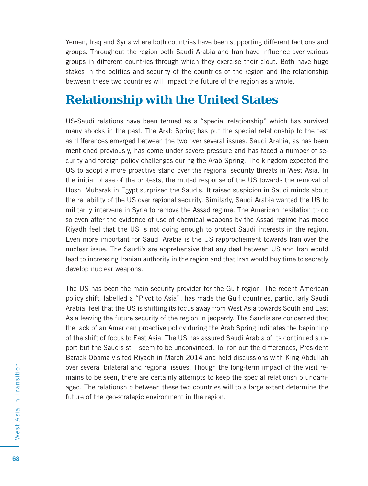Yemen, Iraq and Syria where both countries have been supporting different factions and groups. Throughout the region both Saudi Arabia and Iran have influence over various groups in different countries through which they exercise their clout. Both have huge stakes in the politics and security of the countries of the region and the relationship between these two countries will impact the future of the region as a whole.

#### **Relationship with the United States**

US-Saudi relations have been termed as a "special relationship" which has survived many shocks in the past. The Arab Spring has put the special relationship to the test as differences emerged between the two over several issues. Saudi Arabia, as has been mentioned previously, has come under severe pressure and has faced a number of security and foreign policy challenges during the Arab Spring. The kingdom expected the US to adopt a more proactive stand over the regional security threats in West Asia. In the initial phase of the protests, the muted response of the US towards the removal of Hosni Mubarak in Egypt surprised the Saudis. It raised suspicion in Saudi minds about the reliability of the US over regional security. Similarly, Saudi Arabia wanted the US to militarily intervene in Syria to remove the Assad regime. The American hesitation to do so even after the evidence of use of chemical weapons by the Assad regime has made Riyadh feel that the US is not doing enough to protect Saudi interests in the region. Even more important for Saudi Arabia is the US rapprochement towards Iran over the nuclear issue. The Saudi's are apprehensive that any deal between US and Iran would lead to increasing Iranian authority in the region and that Iran would buy time to secretly develop nuclear weapons.

The US has been the main security provider for the Gulf region. The recent American policy shift, labelled a "Pivot to Asia", has made the Gulf countries, particularly Saudi Arabia, feel that the US is shifting its focus away from West Asia towards South and East Asia leaving the future security of the region in jeopardy. The Saudis are concerned that the lack of an American proactive policy during the Arab Spring indicates the beginning of the shift of focus to East Asia. The US has assured Saudi Arabia of its continued support but the Saudis still seem to be unconvinced. To iron out the differences, President Barack Obama visited Riyadh in March 2014 and held discussions with King Abdullah over several bilateral and regional issues. Though the long-term impact of the visit remains to be seen, there are certainly attempts to keep the special relationship undamaged. The relationship between these two countries will to a large extent determine the future of the geo-strategic environment in the region.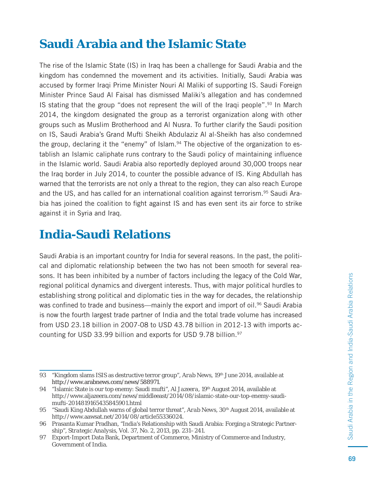#### **Saudi Arabia and the Islamic State**

The rise of the Islamic State (IS) in Iraq has been a challenge for Saudi Arabia and the kingdom has condemned the movement and its activities. Initially, Saudi Arabia was accused by former Iraqi Prime Minister Nouri Al Maliki of supporting IS. Saudi Foreign Minister Prince Saud Al Faisal has dismissed Maliki's allegation and has condemned IS stating that the group "does not represent the will of the Iraqi people".93 In March 2014, the kingdom designated the group as a terrorist organization along with other groups such as Muslim Brotherhood and Al Nusra. To further clarify the Saudi position on IS, Saudi Arabia's Grand Mufti Sheikh Abdulaziz Al al-Sheikh has also condemned the group, declaring it the "enemy" of Islam. $94$  The objective of the organization to establish an Islamic caliphate runs contrary to the Saudi policy of maintaining influence in the Islamic world. Saudi Arabia also reportedly deployed around 30,000 troops near the Iraq border in July 2014, to counter the possible advance of IS. King Abdullah has warned that the terrorists are not only a threat to the region, they can also reach Europe and the US, and has called for an international coalition against terrorism.<sup>95</sup> Saudi Arabia has joined the coalition to fight against IS and has even sent its air force to strike against it in Syria and Iraq.

#### **India-Saudi Relations**

Saudi Arabia is an important country for India for several reasons. In the past, the political and diplomatic relationship between the two has not been smooth for several reasons. It has been inhibited by a number of factors including the legacy of the Cold War, regional political dynamics and divergent interests. Thus, with major political hurdles to establishing strong political and diplomatic ties in the way for decades, the relationship was confined to trade and business—mainly the export and import of oil.<sup>96</sup> Saudi Arabia is now the fourth largest trade partner of India and the total trade volume has increased from USD 23.18 billion in 2007-08 to USD 43.78 billion in 2012-13 with imports accounting for USD 33.99 billion and exports for USD 9.78 billion.<sup>97</sup>

<sup>93 &</sup>quot;Kingdom slams ISIS as destructive terror group", *Arab News*, 19th June 2014, available at http://www.arabnews.com/news/588971.

<sup>94 &</sup>quot;Islamic State is our top enemy: Saudi mufti", *Al Jazeera*, 19th August 2014, available at http://www.aljazeera.com/news/middleeast/2014/08/islamic-state-our-top-enemy-saudimufti-2014819165435845901.html

<sup>95 &</sup>quot;Saudi King Abdullah warns of global terror threat", *Arab News*, 30th August 2014, available at http://www.aawsat.net/2014/08/article55336024.

<sup>96</sup> Prasanta Kumar Pradhan, "India's Relationship with Saudi Arabia: Forging a Strategic Partnership", *Strategic Analysis*, Vol. 37, No. 2, 2013, pp. 231–241.

<sup>97</sup> Export-Import Data Bank, Department of Commerce, Ministry of Commerce and Industry, Government of India.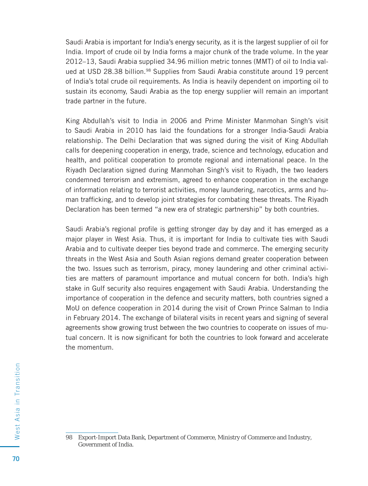Saudi Arabia is important for India's energy security, as it is the largest supplier of oil for India. Import of crude oil by India forms a major chunk of the trade volume. In the year 2012–13, Saudi Arabia supplied 34.96 million metric tonnes (MMT) of oil to India valued at USD 28.38 billion.<sup>98</sup> Supplies from Saudi Arabia constitute around 19 percent of India's total crude oil requirements. As India is heavily dependent on importing oil to sustain its economy, Saudi Arabia as the top energy supplier will remain an important trade partner in the future.

King Abdullah's visit to India in 2006 and Prime Minister Manmohan Singh's visit to Saudi Arabia in 2010 has laid the foundations for a stronger India-Saudi Arabia relationship. The Delhi Declaration that was signed during the visit of King Abdullah calls for deepening cooperation in energy, trade, science and technology, education and health, and political cooperation to promote regional and international peace. In the Riyadh Declaration signed during Manmohan Singh's visit to Riyadh, the two leaders condemned terrorism and extremism, agreed to enhance cooperation in the exchange of information relating to terrorist activities, money laundering, narcotics, arms and human trafficking, and to develop joint strategies for combating these threats. The Riyadh Declaration has been termed "a new era of strategic partnership" by both countries.

Saudi Arabia's regional profile is getting stronger day by day and it has emerged as a major player in West Asia. Thus, it is important for India to cultivate ties with Saudi Arabia and to cultivate deeper ties beyond trade and commerce. The emerging security threats in the West Asia and South Asian regions demand greater cooperation between the two. Issues such as terrorism, piracy, money laundering and other criminal activities are matters of paramount importance and mutual concern for both. India's high stake in Gulf security also requires engagement with Saudi Arabia. Understanding the importance of cooperation in the defence and security matters, both countries signed a MoU on defence cooperation in 2014 during the visit of Crown Prince Salman to India in February 2014. The exchange of bilateral visits in recent years and signing of several agreements show growing trust between the two countries to cooperate on issues of mutual concern. It is now significant for both the countries to look forward and accelerate the momentum.

<sup>98</sup> Export-Import Data Bank, Department of Commerce, Ministry of Commerce and Industry, Government of India.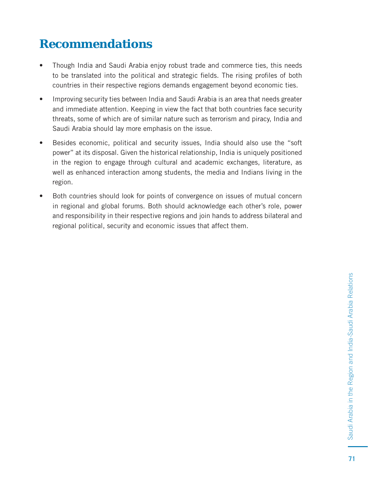### **Recommendations**

- Though India and Saudi Arabia enjoy robust trade and commerce ties, this needs to be translated into the political and strategic fields. The rising profiles of both countries in their respective regions demands engagement beyond economic ties.
- Improving security ties between India and Saudi Arabia is an area that needs greater and immediate attention. Keeping in view the fact that both countries face security threats, some of which are of similar nature such as terrorism and piracy, India and Saudi Arabia should lay more emphasis on the issue.
- Besides economic, political and security issues, India should also use the "soft power" at its disposal. Given the historical relationship, India is uniquely positioned in the region to engage through cultural and academic exchanges, literature, as well as enhanced interaction among students, the media and Indians living in the region.
- Both countries should look for points of convergence on issues of mutual concern in regional and global forums. Both should acknowledge each other's role, power and responsibility in their respective regions and join hands to address bilateral and regional political, security and economic issues that affect them.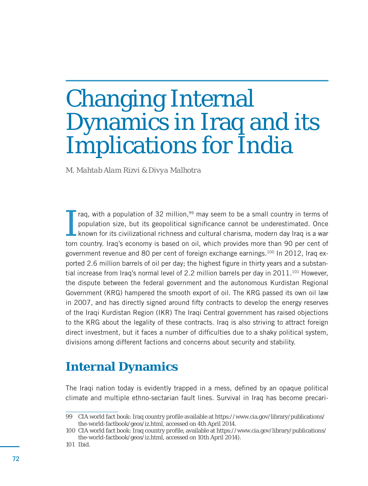# Changing Internal Dynamics in Iraq and its Implications for India

*M. Mahtab Alam Rizvi & Divya Malhotra*

I raq, with a population of 32 million, $99$  may seem to be a small country in terms of population size, but its geopolitical significance cannot be underestimated. Once  $\mathsf{\mathsf{L}}$  known for its civilizational richness and cultural charisma, modern day Iraq is a war torn country. Iraq's economy is based on oil, which provides more than 90 per cent of government revenue and 80 per cent of foreign exchange earnings.100 In 2012, Iraq exported 2.6 million barrels of oil per day; the highest figure in thirty years and a substantial increase from Iraq's normal level of 2.2 million barrels per day in  $2011.^{101}$  However, the dispute between the federal government and the autonomous Kurdistan Regional Government (KRG) hampered the smooth export of oil. The KRG passed its own oil law in 2007, and has directly signed around fifty contracts to develop the energy reserves of the Iraqi Kurdistan Region (IKR) The Iraqi Central government has raised objections to the KRG about the legality of these contracts. Iraq is also striving to attract foreign direct investment, but it faces a number of difficulties due to a shaky political system, divisions among different factions and concerns about security and stability.

#### **Internal Dynamics**

The Iraqi nation today is evidently trapped in a mess, defined by an opaque political climate and multiple ethno-sectarian fault lines. Survival in Iraq has become precari-

<sup>99</sup> CIA world fact book: Iraq country profile available at https://www.cia.gov/library/publications/ the-world-factbook/geos/iz.html, accessed on 4th April 2014.

<sup>100</sup> CIA world fact book: Iraq country profile, available at https://www.cia.gov/library/publications/ the-world-factbook/geos/iz.html, accessed on 10th April 2014).

<sup>101</sup> Ibid.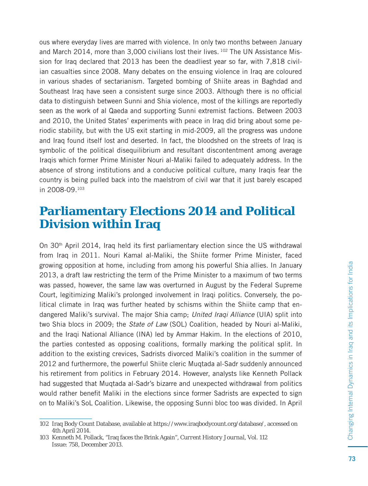ous where everyday lives are marred with violence. In only two months between January and March 2014, more than 3,000 civilians lost their lives. 102 The UN Assistance Mission for Iraq declared that 2013 has been the deadliest year so far, with 7,818 civilian casualties since 2008. Many debates on the ensuing violence in Iraq are coloured in various shades of sectarianism. Targeted bombing of Shiite areas in Baghdad and Southeast Iraq have seen a consistent surge since 2003. Although there is no official data to distinguish between Sunni and Shia violence, most of the killings are reportedly seen as the work of al Qaeda and supporting Sunni extremist factions. Between 2003 and 2010, the United States' experiments with peace in Iraq did bring about some periodic stability, but with the US exit starting in mid-2009, all the progress was undone and Iraq found itself lost and deserted. In fact, the bloodshed on the streets of Iraq is symbolic of the political disequilibrium and resultant discontentment among average Iraqis which former Prime Minister Nouri al-Maliki failed to adequately address. In the absence of strong institutions and a conducive political culture, many Iraqis fear the country is being pulled back into the maelstrom of civil war that it just barely escaped in 2008-09.103

#### **Parliamentary Elections 2014 and Political Division within Iraq**

On  $30<sup>th</sup>$  April 2014, Iraq held its first parliamentary election since the US withdrawal from Iraq in 2011. Nouri Kamal al-Maliki, the Shiite former Prime Minister, faced growing opposition at home, including from among his powerful Shia allies. In January 2013, a draft law restricting the term of the Prime Minister to a maximum of two terms was passed, however, the same law was overturned in August by the Federal Supreme Court, legitimizing Maliki's prolonged involvement in Iraqi politics. Conversely, the political climate in Iraq was further heated by schisms within the Shiite camp that endangered Maliki's survival. The major Shia camp; United Iraqi Alliance (UIA) split into two Shia blocs in 2009; the *State of Law* (SOL) Coalition, headed by Nouri al-Maliki, and the Iraqi National Alliance (INA) led by Ammar Hakim. In the elections of 2010, the parties contested as opposing coalitions, formally marking the political split. In addition to the existing crevices, Sadrists divorced Maliki's coalition in the summer of 2012 and furthermore, the powerful Shiite cleric Muqtada al-Sadr suddenly announced his retirement from politics in February 2014. However, analysts like Kenneth Pollack had suggested that Muqtada al-Sadr's bizarre and unexpected withdrawal from politics would rather benefit Maliki in the elections since former Sadrists are expected to sign on to Maliki's SoL Coalition. Likewise, the opposing Sunni bloc too was divided. In April

<sup>102</sup> Iraq Body Count Database, available at https://www.iraqbodycount.org/database/, accessed on 4th April 2014.

<sup>103</sup> Kenneth M. Pollack, "Iraq faces the Brink Again", *Current History Journal,* Vol. 112 Issue: 758, December 2013.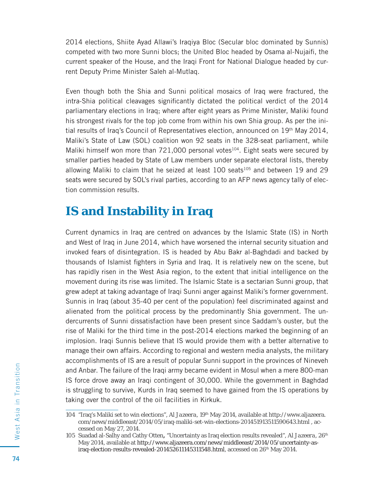2014 elections, Shiite Ayad Allawi's Iraqiya Bloc (Secular bloc dominated by Sunnis) competed with two more Sunni blocs; the United Bloc headed by Osama al-Nujaifi , the current speaker of the House, and the Iraqi Front for National Dialogue headed by current Deputy Prime Minister Saleh al-Mutlaq.

Even though both the Shia and Sunni political mosaics of Iraq were fractured, the intra-Shia political cleavages significantly dictated the political verdict of the 2014 parliamentary elections in Iraq; where after eight years as Prime Minister, Maliki found his strongest rivals for the top job come from within his own Shia group. As per the initial results of Iraq's Council of Representatives election, announced on 19th May 2014, Maliki's State of Law (SOL) coalition won 92 seats in the 328-seat parliament, while Maliki himself won more than  $721,000$  personal votes<sup>104</sup>. Eight seats were secured by smaller parties headed by State of Law members under separate electoral lists, thereby allowing Maliki to claim that he seized at least  $100$  seats<sup>105</sup> and between 19 and 29 seats were secured by SOL's rival parties, according to an AFP news agency tally of election commission results.

#### **IS and Instability in Iraq**

Current dynamics in Iraq are centred on advances by the Islamic State (IS) in North and West of Iraq in June 2014, which have worsened the internal security situation and invoked fears of disintegration. IS is headed by Abu Bakr al-Baghdadi and backed by thousands of Islamist fighters in Syria and Iraq. It is relatively new on the scene, but has rapidly risen in the West Asia region, to the extent that initial intelligence on the movement during its rise was limited. The Islamic State is a sectarian Sunni group, that grew adept at taking advantage of Iraqi Sunni anger against Maliki's former government. Sunnis in Iraq (about 35-40 per cent of the population) feel discriminated against and alienated from the political process by the predominantly Shia government. The undercurrents of Sunni dissatisfaction have been present since Saddam's ouster, but the rise of Maliki for the third time in the post-2014 elections marked the beginning of an implosion. Iraqi Sunnis believe that IS would provide them with a better alternative to manage their own affairs. According to regional and western media analysts, the military accomplishments of IS are a result of popular Sunni support in the provinces of Nineveh and Anbar. The failure of the Iraqi army became evident in Mosul when a mere 800-man IS force drove away an Iraqi contingent of 30,000. While the government in Baghdad is struggling to survive, Kurds in Iraq seemed to have gained from the IS operations by taking over the control of the oil facilities in Kirkuk.

<sup>104 &</sup>quot;Iraq's Maliki set to win elections", *Al Jazeera,* 19th May 2014, available at http://www.aljazeera. com/news/middleeast/2014/05/iraq-maliki-set-win-elections-201451913511590643.html , accessed on May 27, 2014.

<sup>105</sup> Suadad al-Salhy and Cathy Otten**,** "Uncertainty as Iraq election results revealed", *Al Jazeera*, 26th May 2014, available at http://www.aljazeera.com/news/middleeast/2014/05/uncertainty-asiraq-election-results-revealed-201452611145311548.html, accessed on 26th May 2014.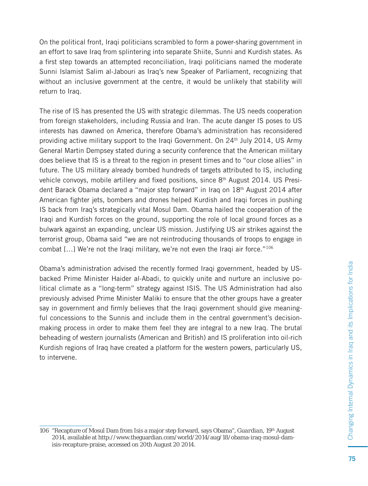On the political front, Iraqi politicians scrambled to form a power-sharing government in an effort to save Iraq from splintering into separate Shiite, Sunni and Kurdish states. As a first step towards an attempted reconciliation, Iraqi politicians named the moderate Sunni Islamist Salim al-Jabouri as Iraq's new Speaker of Parliament, recognizing that without an inclusive government at the centre, it would be unlikely that stability will return to Iraq.

The rise of IS has presented the US with strategic dilemmas. The US needs cooperation from foreign stakeholders, including Russia and Iran. The acute danger IS poses to US interests has dawned on America, therefore Obama's administration has reconsidered providing active military support to the Iraqi Government. On  $24<sup>th</sup>$  July 2014, US Army General Martin Dempsey stated during a security conference that the American military does believe that IS is a threat to the region in present times and to "our close allies" in future. The US military already bombed hundreds of targets attributed to IS, including vehicle convoys, mobile artillery and fixed positions, since  $8<sup>th</sup>$  August 2014. US President Barack Obama declared a "major step forward" in Iraq on 18th August 2014 after American fighter jets, bombers and drones helped Kurdish and Iraqi forces in pushing IS back from Iraq's strategically vital Mosul Dam. Obama hailed the cooperation of the Iraqi and Kurdish forces on the ground, supporting the role of local ground forces as a bulwark against an expanding, unclear US mission. Justifying US air strikes against the terrorist group, Obama said "we are not reintroducing thousands of troops to engage in combat  $[...]$  We're not the Iraqi military, we're not even the Iraqi air force."<sup>106</sup>

Obama's administration advised the recently formed Iraqi government, headed by USbacked Prime Minister Haider al-Abadi, to quickly unite and nurture an inclusive political climate as a "long-term" strategy against ISIS. The US Administration had also previously advised Prime Minister Maliki to ensure that the other groups have a greater say in government and firmly believes that the Iraqi government should give meaningful concessions to the Sunnis and include them in the central government's decisionmaking process in order to make them feel they are integral to a new Iraq. The brutal beheading of western journalists (American and British) and IS proliferation into oil-rich Kurdish regions of Iraq have created a platform for the western powers, particularly US, to intervene.

<sup>106 &</sup>quot;Recapture of Mosul Dam from Isis a major step forward, says Obama", *Guardian*, 19th August 2014, available at http://www.theguardian.com/world/2014/aug/18/obama-iraq-mosul-damisis-recapture-praise, accessed on 20th August 20 2014.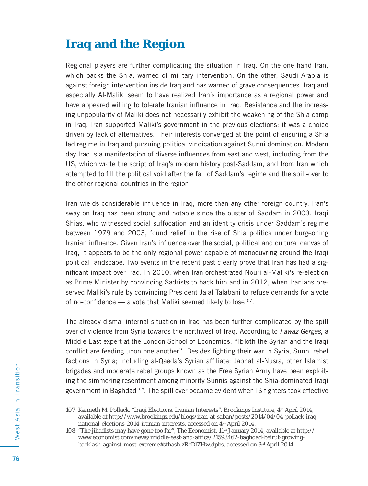#### **Iraq and the Region**

Regional players are further complicating the situation in Iraq. On the one hand Iran, which backs the Shia, warned of military intervention. On the other, Saudi Arabia is against foreign intervention inside Iraq and has warned of grave consequences. Iraq and especially Al-Maliki seem to have realized Iran's importance as a regional power and have appeared willing to tolerate Iranian influence in Iraq. Resistance and the increasing unpopularity of Maliki does not necessarily exhibit the weakening of the Shia camp in Iraq. Iran supported Maliki's government in the previous elections; it was a choice driven by lack of alternatives. Their interests converged at the point of ensuring a Shia led regime in Iraq and pursuing political vindication against Sunni domination. Modern day Iraq is a manifestation of diverse influences from east and west, including from the US, which wrote the script of Iraq's modern history post-Saddam, and from Iran which attempted to fill the political void after the fall of Saddam's regime and the spill-over to the other regional countries in the region.

Iran wields considerable influence in Iraq, more than any other foreign country. Iran's sway on Iraq has been strong and notable since the ouster of Saddam in 2003. Iraqi Shias, who witnessed social suffocation and an identity crisis under Saddam's regime between 1979 and 2003, found relief in the rise of Shia politics under burgeoning Iranian influence. Given Iran's influence over the social, political and cultural canvas of Iraq, it appears to be the only regional power capable of manoeuvring around the Iraqi political landscape. Two events in the recent past clearly prove that Iran has had a significant impact over Iraq. In 2010, when Iran orchestrated Nouri al-Maliki's re-election as Prime Minister by convincing Sadrists to back him and in 2012, when Iranians preserved Maliki's rule by convincing President Jalal Talabani to refuse demands for a vote of no-confidence — a vote that Maliki seemed likely to lose<sup>107</sup>.

The already dismal internal situation in Iraq has been further complicated by the spill over of violence from Syria towards the northwest of Iraq. According to Fawaz Gerges, a Middle East expert at the London School of Economics, "[b]oth the Syrian and the Iraqi conflict are feeding upon one another". Besides fighting their war in Syria, Sunni rebel factions in Syria; including al-Qaeda's Syrian affiliate; Jabhat al-Nusra, other Islamist brigades and moderate rebel groups known as the Free Syrian Army have been exploiting the simmering resentment among minority Sunnis against the Shia-dominated Iraqi government in Baghdad<sup>108</sup>. The spill over became evident when IS fighters took effective

<sup>107</sup> Kenneth M. Pollack, "Iraqi Elections, Iranian Interests", *Brookings Institute*, 4th April 2014, available at http://www.brookings.edu/blogs/iran-at-saban/posts/2014/04/04-pollack-iraqnational-elections-2014-iranian-interests, accessed on 4<sup>th</sup> April 2014.

<sup>108 &</sup>quot;The jihadists may have gone too far", *The Economist*, 11th January 2014, available at http:// www.economist.com/news/middle-east-and-africa/21593462-baghdad-beirut-growingbacklash-against-most-extreme#sthash.zRcDlZHw.dpbs, accessed on 3rd April 2014.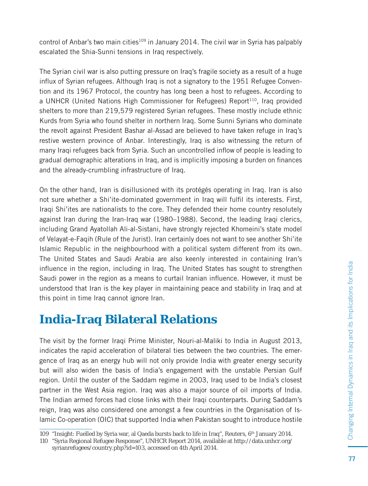control of Anbar's two main cities<sup>109</sup> in January 2014. The civil war in Syria has palpably escalated the Shia-Sunni tensions in Iraq respectively.

The Syrian civil war is also putting pressure on Iraq's fragile society as a result of a huge influx of Syrian refugees. Although Iraq is not a signatory to the 1951 Refugee Convention and its 1967 Protocol, the country has long been a host to refugees. According to a UNHCR (United Nations High Commissioner for Refugees) Report<sup>110</sup>, Iraq provided shelters to more than 219,579 registered Syrian refugees. These mostly include ethnic Kurds from Syria who found shelter in northern Iraq. Some Sunni Syrians who dominate the revolt against President Bashar al-Assad are believed to have taken refuge in Iraq's restive western province of Anbar. Interestingly, Iraq is also witnessing the return of many Iraqi refugees back from Syria. Such an uncontrolled inflow of people is leading to gradual demographic alterations in Iraq, and is implicitly imposing a burden on finances and the already-crumbling infrastructure of Iraq.

On the other hand, Iran is disillusioned with its protégés operating in Iraq. Iran is also not sure whether a Shi'ite-dominated government in Iraq will fulfil its interests. First, Iraqi Shi'ites are nationalists to the core. They defended their home country resolutely against Iran during the Iran-Iraq war (1980–1988). Second, the leading Iraqi clerics, including Grand Ayatollah Ali-al-Sistani, have strongly rejected Khomeini's state model of Velayat-e-Faqih (Rule of the Jurist). Iran certainly does not want to see another Shi'ite Islamic Republic in the neighbourhood with a political system different from its own. The United States and Saudi Arabia are also keenly interested in containing Iran's influence in the region, including in Iraq. The United States has sought to strengthen Saudi power in the region as a means to curtail Iranian influence. However, it must be understood that Iran is the key player in maintaining peace and stability in Iraq and at this point in time Iraq cannot ignore Iran.

#### **India-Iraq Bilateral Relations**

The visit by the former Iraqi Prime Minister, Nouri-al-Maliki to India in August 2013, indicates the rapid acceleration of bilateral ties between the two countries. The emergence of Iraq as an energy hub will not only provide India with greater energy security but will also widen the basis of India's engagement with the unstable Persian Gulf region. Until the ouster of the Saddam regime in 2003, Iraq used to be India's closest partner in the West Asia region. Iraq was also a major source of oil imports of India. The Indian armed forces had close links with their Iraqi counterparts. During Saddam's reign, Iraq was also considered one amongst a few countries in the Organisation of Islamic Co-operation (OIC) that supported India when Pakistan sought to introduce hostile

<sup>109 &</sup>quot;Insight: Fuelled by Syria war, al Qaeda bursts back to life in Iraq", *Reuters*, 6th January 2014.

<sup>110 &</sup>quot;Syria Regional Refugee Response", UNHCR Report 2014, available at http://data.unhcr.org/ syrianrefugees/country.php?id=103, accessed on 4th April 2014.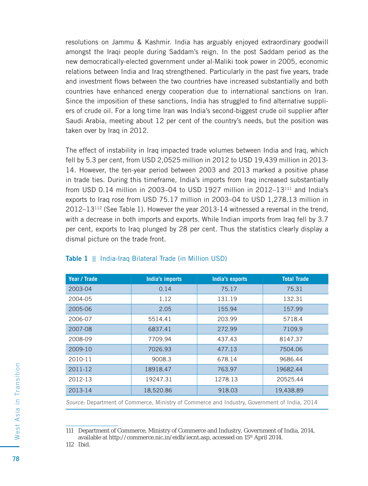resolutions on Jammu & Kashmir. India has arguably enjoyed extraordinary goodwill amongst the Iraqi people during Saddam's reign. In the post Saddam period as the new democratically-elected government under al-Maliki took power in 2005, economic relations between India and Iraq strengthened. Particularly in the past five years, trade and investment flows between the two countries have increased substantially and both countries have enhanced energy cooperation due to international sanctions on Iran. Since the imposition of these sanctions, India has struggled to find alternative suppliers of crude oil. For a long time Iran was India's second-biggest crude oil supplier after Saudi Arabia, meeting about 12 per cent of the country's needs, but the position was taken over by Iraq in 2012.

The effect of instability in Iraq impacted trade volumes between India and Iraq, which fell by 5.3 per cent, from USD 2,0525 million in 2012 to USD 19,439 million in 2013- 14. However, the ten-year period between 2003 and 2013 marked a positive phase in trade ties. During this timeframe, India's imports from Iraq increased substantially from USD 0.14 million in 2003–04 to USD 1927 million in 2012–13 $^{111}$  and India's exports to Iraq rose from USD 75.17 million in 2003–04 to USD 1,278.13 million in  $2012-13^{112}$  (See Table 1). However the year 2013-14 witnessed a reversal in the trend, with a decrease in both imports and exports. While Indian imports from Iraq fell by 3.7 per cent, exports to Iraq plunged by 28 per cent. Thus the statistics clearly display a dismal picture on the trade front.

| Year / Trade | India's imports | India's exports | <b>Total Trade</b> |
|--------------|-----------------|-----------------|--------------------|
| 2003-04      | 0.14            | 75.17           | 75.31              |
| 2004-05      | 1.12            | 131.19          | 132.31             |
| 2005-06      | 2.05            | 155.94          | 157.99             |
| 2006-07      | 5514.41         | 203.99          | 5718.4             |
| 2007-08      | 6837.41         | 272.99          | 7109.9             |
| 2008-09      | 7709.94         | 437.43          | 8147.37            |
| 2009-10      | 7026.93         | 477.13          | 7504.06            |
| 2010-11      | 9008.3          | 678.14          | 9686.44            |
| 2011-12      | 18918.47        | 763.97          | 19682.44           |
| 2012-13      | 19247.31        | 1278.13         | 20525.44           |
| 2013-14      | 18,520.86       | 918.03          | 19,438.89          |

#### **Table 1** || India-Iraq Bilateral Trade (in Million USD)

Source: Department of Commerce, Ministry of Commerce and Industry, Government of India, 2014

112 Ibid.

<sup>111</sup> Department of Commerce, Ministry of Commerce and Industry, Government of India, 2014, available at http://commerce.nic.in/eidb/iecnt.asp, accessed on 15th April 2014.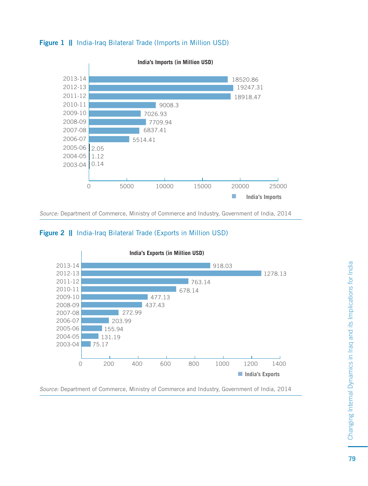



Source: Department of Commerce, Ministry of Commerce and Industry, Government of India, 2014





Source: Department of Commerce, Ministry of Commerce and Industry, Government of India, 2014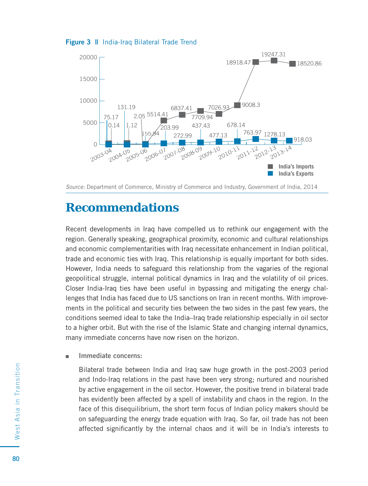



Source: Department of Commerce, Ministry of Commerce and Industry, Government of India, 2014

#### **Recommendations**

Recent developments in Iraq have compelled us to rethink our engagement with the region. Generally speaking, geographical proximity, economic and cultural relationships and economic complementarities with Iraq necessitate enhancement in Indian political, trade and economic ties with Iraq. This relationship is equally important for both sides. However, India needs to safeguard this relationship from the vagaries of the regional geopolitical struggle, internal political dynamics in Iraq and the volatility of oil prices. Closer India-Iraq ties have been useful in bypassing and mitigating the energy challenges that India has faced due to US sanctions on Iran in recent months. With improvements in the political and security ties between the two sides in the past few years, the conditions seemed ideal to take the India–Iraq trade relationship especially in oil sector to a higher orbit. But with the rise of the Islamic State and changing internal dynamics, many immediate concerns have now risen on the horizon.

 **Immediate concerns:**

Bilateral trade between India and Iraq saw huge growth in the post-2003 period and Indo-Iraq relations in the past have been very strong; nurtured and nourished by active engagement in the oil sector. However, the positive trend in bilateral trade has evidently been affected by a spell of instability and chaos in the region. In the face of this disequilibrium, the short term focus of Indian policy makers should be on safeguarding the energy trade equation with Iraq. So far, oil trade has not been affected significantly by the internal chaos and it will be in India's interests to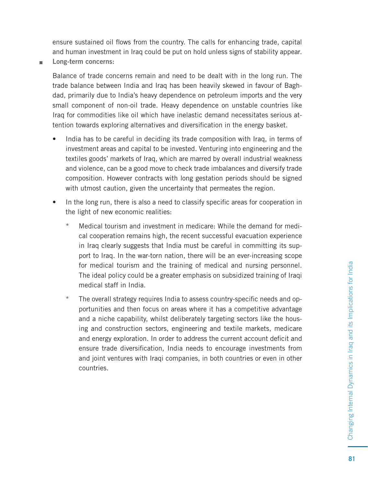ensure sustained oil flows from the country. The calls for enhancing trade, capital and human investment in Iraq could be put on hold unless signs of stability appear.

 **Long-term concerns:**

Balance of trade concerns remain and need to be dealt with in the long run. The trade balance between India and Iraq has been heavily skewed in favour of Baghdad, primarily due to India's heavy dependence on petroleum imports and the very small component of non-oil trade. Heavy dependence on unstable countries like Iraq for commodities like oil which have inelastic demand necessitates serious attention towards exploring alternatives and diversification in the energy basket.

- India has to be careful in deciding its trade composition with Iraq, in terms of investment areas and capital to be invested. Venturing into engineering and the textiles goods' markets of Iraq, which are marred by overall industrial weakness and violence, can be a good move to check trade imbalances and diversify trade composition. However contracts with long gestation periods should be signed with utmost caution, given the uncertainty that permeates the region.
- In the long run, there is also a need to classify specific areas for cooperation in the light of new economic realities:
	- \* Medical tourism and investment in medicare: While the demand for medical cooperation remains high, the recent successful evacuation experience in Iraq clearly suggests that India must be careful in committing its support to Iraq. In the war-torn nation, there will be an ever-increasing scope for medical tourism and the training of medical and nursing personnel. The ideal policy could be a greater emphasis on subsidized training of Iraqi medical staff in India.
	- \* The overall strategy requires India to assess country-specific needs and opportunities and then focus on areas where it has a competitive advantage and a niche capability, whilst deliberately targeting sectors like the housing and construction sectors, engineering and textile markets, medicare and energy exploration. In order to address the current account deficit and ensure trade diversification, India needs to encourage investments from and joint ventures with Iraqi companies, in both countries or even in other countries.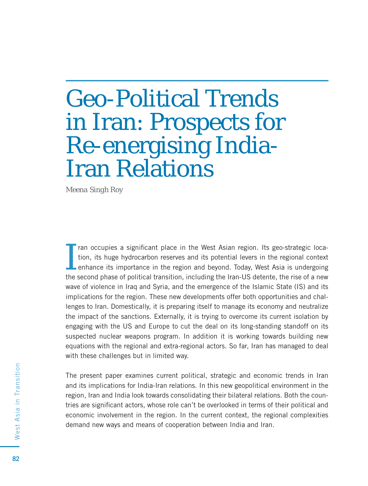# Geo-Political Trends in Iran: Prospects for Re-energising India-Iran Relations

*Meena Singh Roy*

I ran occupies a significant place in the West Asian region. Its geo-strategic location, its huge hydrocarbon reserves and its potential levers in the regional context enhance its importance in the region and beyond. Today, West Asia is undergoing the second phase of political transition, including the Iran-US detente, the rise of a new wave of violence in Iraq and Syria, and the emergence of the Islamic State (IS) and its implications for the region. These new developments offer both opportunities and challenges to Iran. Domestically, it is preparing itself to manage its economy and neutralize the impact of the sanctions. Externally, it is trying to overcome its current isolation by engaging with the US and Europe to cut the deal on its long-standing standoff on its suspected nuclear weapons program. In addition it is working towards building new equations with the regional and extra-regional actors. So far, Iran has managed to deal with these challenges but in limited way.

The present paper examines current political, strategic and economic trends in Iran and its implications for India-Iran relations. In this new geopolitical environment in the region, Iran and India look towards consolidating their bilateral relations. Both the countries are significant actors, whose role can't be overlooked in terms of their political and economic involvement in the region. In the current context, the regional complexities demand new ways and means of cooperation between India and Iran.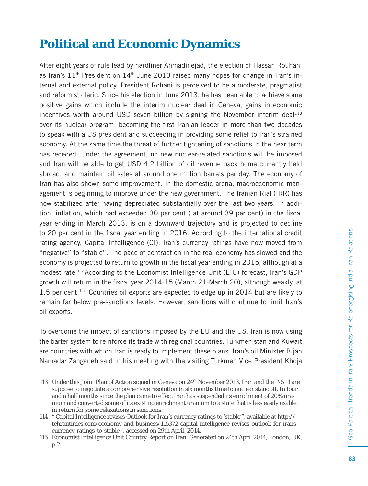### **Political and Economic Dynamics**

After eight years of rule lead by hardliner Ahmadinejad, the election of Hassan Rouhani as Iran's  $11<sup>th</sup>$  President on  $14<sup>th</sup>$  June 2013 raised many hopes for change in Iran's internal and external policy. President Rohani is perceived to be a moderate, pragmatist and reformist cleric. Since his election in June 2013, he has been able to achieve some positive gains which include the interim nuclear deal in Geneva, gains in economic incentives worth around USD seven billion by signing the November interim deal $113$ over its nuclear program, becoming the first Iranian leader in more than two decades to speak with a US president and succeeding in providing some relief to Iran's strained economy. At the same time the threat of further tightening of sanctions in the near term has receded. Under the agreement, no new nuclear-related sanctions will be imposed and Iran will be able to get USD 4.2 billion of oil revenue back home currently held abroad, and maintain oil sales at around one million barrels per day. The economy of Iran has also shown some improvement. In the domestic arena, macroeconomic management is beginning to improve under the new government. The Iranian Rial (IRR) has now stabilized after having depreciated substantially over the last two years. In addition, inflation, which had exceeded 30 per cent (at around 39 per cent) in the fiscal year ending in March 2013, is on a downward trajectory and is projected to decline to 20 per cent in the fiscal year ending in 2016. According to the international credit rating agency, Capital Intelligence (CI), Iran's currency ratings have now moved from "negative" to "stable". The pace of contraction in the real economy has slowed and the economy is projected to return to growth in the fiscal year ending in 2015, although at a modest rate.114According to the Economist Intelligence Unit (EIU) forecast, Iran's GDP growth will return in the fiscal year 2014-15 (March 21-March 20), although weakly, at 1.5 per cent.115 Countries oil exports are expected to edge up in 2014 but are likely to remain far below pre-sanctions levels. However, sanctions will continue to limit Iran's oil exports.

To overcome the impact of sanctions imposed by the EU and the US, Iran is now using the barter system to reinforce its trade with regional countries. Turkmenistan and Kuwait are countries with which Iran is ready to implement these plans. Iran's oil Minister Bijan Namadar Zanganeh said in his meeting with the visiting Turkmen Vice President Khoja

<sup>113</sup> Under this Joint Plan of Action signed in Geneva on 24th November 2013, Iran and the P-5+1 are suppose to negotiate a comprehensive resolution in six months time to nuclear standoff. In four and a half months since the plan came to effect Iran has suspended its enrichment of 20% uranium and converted some of its existing enrichment uranium to a state that is less easily usable in return for some relaxations in sanctions.

<sup>114 &</sup>quot; Capital Intelligence revises Outlook for Iran's currency ratings to 'stable'", available at http:// tehrantimes.com/economy-and-business/115372-capital-intelligence-revises-outlook-for-iranscurrency-ratings-to-stable- , accessed on 29th April, 2014.

<sup>115</sup> Economist Intelligence Unit Country Report on Iran, Generated on 24th April 2014, London, UK, p.2.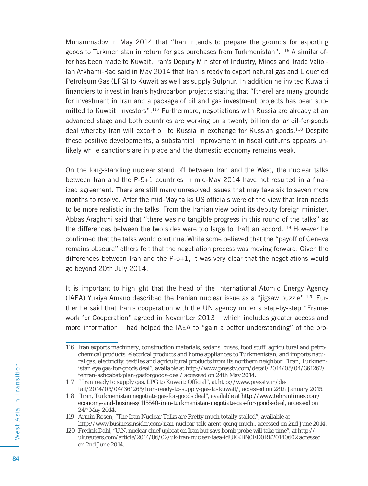Muhammadov in May 2014 that "Iran intends to prepare the grounds for exporting goods to Turkmenistan in return for gas purchases from Turkmenistan". 116 A similar offer has been made to Kuwait, Iran's Deputy Minister of Industry, Mines and Trade Valiollah Afkhami-Rad said in May 2014 that Iran is ready to export natural gas and Liquefied Petroleum Gas (LPG) to Kuwait as well as supply Sulphur. In addition he invited Kuwaiti financiers to invest in Iran's hydrocarbon projects stating that "[there] are many grounds for investment in Iran and a package of oil and gas investment projects has been submitted to Kuwaiti investors".117 Furthermore, negotiations with Russia are already at an advanced stage and both countries are working on a twenty billion dollar oil-for-goods deal whereby Iran will export oil to Russia in exchange for Russian goods.118 Despite these positive developments, a substantial improvement in fiscal outturns appears unlikely while sanctions are in place and the domestic economy remains weak.

On the long-standing nuclear stand off between Iran and the West, the nuclear talks between Iran and the  $P-5+1$  countries in mid-May 2014 have not resulted in a finalized agreement. There are still many unresolved issues that may take six to seven more months to resolve. After the mid-May talks US officials were of the view that Iran needs to be more realistic in the talks. From the Iranian view point its deputy foreign minister, Abbas Araghchi said that "there was no tangible progress in this round of the talks" as the differences between the two sides were too large to draft an accord.119 However he confirmed that the talks would continue. While some believed that the "payoff of Geneva remains obscure" others felt that the negotiation process was moving forward. Given the differences between Iran and the P-5+1, it was very clear that the negotiations would go beyond 20th July 2014.

It is important to highlight that the head of the International Atomic Energy Agency (IAEA) Yukiya Amano described the Iranian nuclear issue as a "jigsaw puzzle".120 Further he said that Iran's cooperation with the UN agency under a step-by-step "Framework for Cooperation" agreed in November 2013 – which includes greater access and more information – had helped the IAEA to "gain a better understanding" of the pro-

<sup>116</sup> Iran exports machinery, construction materials, sedans, buses, food stuff, agricultural and petrochemical products, electrical products and home appliances to Turkmenistan, and imports natural gas, electricity, textiles and agricultural products from its northern neighbor. "Iran, Turkmenistan eye gas-for-goods deal", available at http://www.presstv.com/detail/2014/05/04/361262/ tehran-ashgabat-plan-gasforgoods-deal/ accessed on 24th May 2014.

<sup>117 &</sup>quot; Iran ready to supply gas, LPG to Kuwait: Official", at http://www.presstv.in/detail/2014/05/04/361265/iran-ready-to-supply-gas-to-kuwait/, accessed on 28th January 2015.

<sup>118 &</sup>quot;Iran, Turkmenistan negotiate gas-for-goods deal", available at http://www.tehrantimes.com/ economy-and-business/115540-iran-turkmenistan-negotiate-gas-for-goods-deal, accessed on 24th May 2014.

<sup>119</sup> Armin Rosen, "The Iran Nuclear Talks are Pretty much totally stalled", available at http://www.businessinsider.com/iran-nuclear-talk-arent-going-much., accessed on 2nd June 2014.

<sup>120</sup> Fredrik Dahl, "U.N. nuclear chief upbeat on Iran but says bomb probe will take time", at http:// uk.reuters.com/article/2014/06/02/uk-iran-nuclear-iaea-idUKKBN0ED0RK20140602 accessed on 2nd June 2014.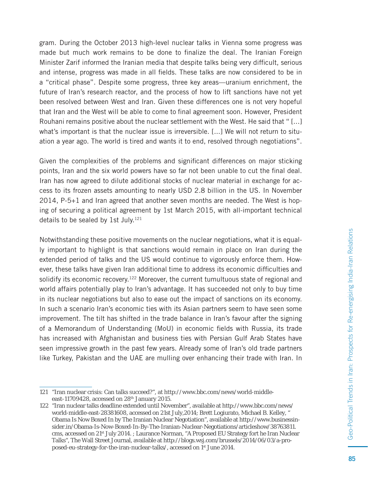gram. During the October 2013 high-level nuclear talks in Vienna some progress was made but much work remains to be done to finalize the deal. The Iranian Foreign Minister Zarif informed the Iranian media that despite talks being very difficult, serious and intense, progress was made in all fields. These talks are now considered to be in a "critical phase". Despite some progress, three key areas—uranium enrichment, the future of Iran's research reactor, and the process of how to lift sanctions have not yet been resolved between West and Iran. Given these differences one is not very hopeful that Iran and the West will be able to come to final agreement soon. However, President Rouhani remains positive about the nuclear settlement with the West. He said that " [...] what's important is that the nuclear issue is irreversible. [...] We will not return to situation a year ago. The world is tired and wants it to end, resolved through negotiations".

Given the complexities of the problems and significant differences on major sticking points, Iran and the six world powers have so far not been unable to cut the final deal. Iran has now agreed to dilute additional stocks of nuclear material in exchange for access to its frozen assets amounting to nearly USD 2.8 billion in the US. In November 2014, P-5+1 and Iran agreed that another seven months are needed. The West is hoping of securing a political agreement by 1st March 2015, with all-important technical details to be sealed by 1st July.<sup>121</sup>

Notwithstanding these positive movements on the nuclear negotiations, what it is equally important to highlight is that sanctions would remain in place on Iran during the extended period of talks and the US would continue to vigorously enforce them. However, these talks have given Iran additional time to address its economic difficulties and solidify its economic recovery.<sup>122</sup> Moreover, the current tumultuous state of regional and world affairs potentially play to Iran's advantage. It has succeeded not only to buy time in its nuclear negotiations but also to ease out the impact of sanctions on its economy. In such a scenario Iran's economic ties with its Asian partners seem to have seen some improvement. The tilt has shifted in the trade balance in Iran's favour after the signing of a Memorandum of Understanding (MoU) in economic fi elds with Russia, its trade has increased with Afghanistan and business ties with Persian Gulf Arab States have seen impressive growth in the past few years. Already some of Iran's old trade partners like Turkey, Pakistan and the UAE are mulling over enhancing their trade with Iran. In

<sup>121 &</sup>quot;Iran nuclear crisis: Can talks succeed?", at http://www.bbc.com/news/world-middleeast-11709428, accessed on 28<sup>th</sup> January 2015.

<sup>122 &</sup>quot;Iran nuclear talks deadline extended until November", available at http://www.bbc.com/news/ world-middle-east-28381608, accessed on 21st July,2014; Brett Logiurato, Michael B. Kelley, " Obama Is Now Boxed In by The Iranian Nuclear Negotiation", available at http://www.businessinsider.in/Obama-Is-Now-Boxed-In-By-The-Iranian-Nuclear-Negotiations/articleshow/38763811. cms, accessed on 21st July 2014. ; Laurance Norman, "A Proposed EU Strategy fort he Iran Nuclear Talks", The Wall Street Journal, available at http://blogs.wsj.com/brussels/2014/06/03/a-proposed-eu-strategy-for-the-iran-nuclear-talks/, accessed on 1<sup>st</sup> June 2014.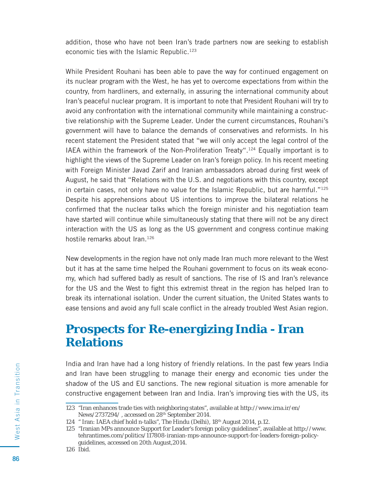addition, those who have not been Iran's trade partners now are seeking to establish economic ties with the Islamic Republic.<sup>123</sup>

While President Rouhani has been able to pave the way for continued engagement on its nuclear program with the West, he has yet to overcome expectations from within the country, from hardliners, and externally, in assuring the international community about Iran's peaceful nuclear program. It is important to note that President Rouhani will try to avoid any confrontation with the international community while maintaining a constructive relationship with the Supreme Leader. Under the current circumstances, Rouhani's government will have to balance the demands of conservatives and reformists. In his recent statement the President stated that "we will only accept the legal control of the IAEA within the framework of the Non-Proliferation Treaty".124 Equally important is to highlight the views of the Supreme Leader on Iran's foreign policy. In his recent meeting with Foreign Minister Javad Zarif and Iranian ambassadors abroad during first week of August, he said that "Relations with the U.S. and negotiations with this country, except in certain cases, not only have no value for the Islamic Republic, but are harmful."125 Despite his apprehensions about US intentions to improve the bilateral relations he confirmed that the nuclear talks which the foreign minister and his negotiation team have started will continue while simultaneously stating that there will not be any direct interaction with the US as long as the US government and congress continue making hostile remarks about Iran.<sup>126</sup>

New developments in the region have not only made Iran much more relevant to the West but it has at the same time helped the Rouhani government to focus on its weak economy, which had suffered badly as result of sanctions. The rise of IS and Iran's relevance for the US and the West to fight this extremist threat in the region has helped Iran to break its international isolation. Under the current situation, the United States wants to ease tensions and avoid any full scale conflict in the already troubled West Asian region.

#### **Prospects for Re-energizing India - Iran Relations**

India and Iran have had a long history of friendly relations. In the past few years India and Iran have been struggling to manage their energy and economic ties under the shadow of the US and EU sanctions. The new regional situation is more amenable for constructive engagement between Iran and India. Iran's improving ties with the US, its

<sup>123 &</sup>quot;Iran enhances trade ties with neighboring states", available at http://www.irna.ir/en/ News/2737294/ , accessed on 28th September 2014.

<sup>124 &</sup>quot; Iran: IAEA chief hold n-talks", *The Hindu (Delhi),* 18th August 2014, p.12.

<sup>125 &</sup>quot;Iranian MPs announce Support for Leader's foreign policy guidelines", available at http://www. tehrantimes.com/politics/117808-iranian-mps-announce-support-for-leaders-foreign-policyguidelines, accessed on 20th August,2014.

<sup>126</sup> Ibid.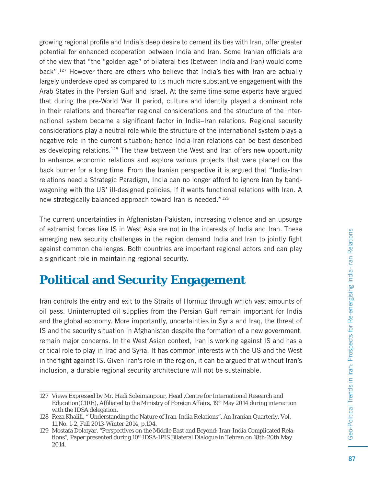growing regional profile and India's deep desire to cement its ties with Iran, offer greater potential for enhanced cooperation between India and Iran. Some Iranian officials are of the view that "the "golden age" of bilateral ties (between India and Iran) would come back".127 However there are others who believe that India's ties with Iran are actually largely underdeveloped as compared to its much more substantive engagement with the Arab States in the Persian Gulf and Israel. At the same time some experts have argued that during the pre-World War II period, culture and identity played a dominant role in their relations and thereafter regional considerations and the structure of the international system became a significant factor in India–Iran relations. Regional security considerations play a neutral role while the structure of the international system plays a negative role in the current situation; hence India-Iran relations can be best described as developing relations.128 The thaw between the West and Iran offers new opportunity to enhance economic relations and explore various projects that were placed on the back burner for a long time. From the Iranian perspective it is argued that "India-Iran relations need a Strategic Paradigm, India can no longer afford to ignore Iran by bandwagoning with the US' ill-designed policies, if it wants functional relations with Iran. A new strategically balanced approach toward Iran is needed."129

The current uncertainties in Afghanistan-Pakistan, increasing violence and an upsurge of extremist forces like IS in West Asia are not in the interests of India and Iran. These emerging new security challenges in the region demand India and Iran to jointly fight against common challenges. Both countries are important regional actors and can play a significant role in maintaining regional security.

#### **Political and Security Engagement**

Iran controls the entry and exit to the Straits of Hormuz through which vast amounts of oil pass. Uninterrupted oil supplies from the Persian Gulf remain important for India and the global economy. More importantly, uncertainties in Syria and Iraq, the threat of IS and the security situation in Afghanistan despite the formation of a new government, remain major concerns. In the West Asian context, Iran is working against IS and has a critical role to play in Iraq and Syria. It has common interests with the US and the West in the fight against IS. Given Iran's role in the region, it can be argued that without Iran's inclusion, a durable regional security architecture will not be sustainable.

<sup>127</sup> Views Expressed by Mr. Hadi Soleimanpour, Head ,Centre for International Research and Education(CIRE), Affiliated to the Ministry of Foreign Affairs,  $19<sup>th</sup>$  May 2014 during interaction with the IDSA delegation.

<sup>128</sup> Reza Khalili, " Understanding the Nature of Iran-India Relations", An Iranian Quarterly, Vol. 11,No. 1-2, Fall 2013-Winter 2014, p.104.

<sup>129</sup> Mostafa Dolatyar, "Perspectives on the Middle East and Beyond: Iran-India Complicated Relations", Paper presented during 10<sup>th</sup> IDSA-IPIS Bilateral Dialogue in Tehran on 18th-20th May 2014.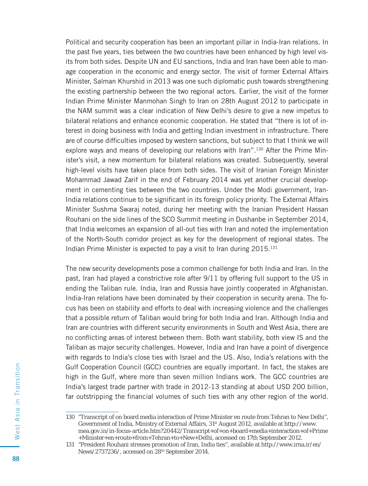Political and security cooperation has been an important pillar in India-Iran relations. In the past five years, ties between the two countries have been enhanced by high level visits from both sides. Despite UN and EU sanctions, India and Iran have been able to manage cooperation in the economic and energy sector. The visit of former External Affairs Minister, Salman Khurshid in 2013 was one such diplomatic push towards strengthening the existing partnership between the two regional actors. Earlier, the visit of the former Indian Prime Minister Manmohan Singh to Iran on 28th August 2012 to participate in the NAM summit was a clear indication of New Delhi's desire to give a new impetus to bilateral relations and enhance economic cooperation. He stated that "there is lot of interest in doing business with India and getting Indian investment in infrastructure. There are of course difficulties imposed by western sanctions, but subject to that I think we will explore ways and means of developing our relations with Iran".<sup>130</sup> After the Prime Minister's visit, a new momentum for bilateral relations was created. Subsequently, several high-level visits have taken place from both sides. The visit of Iranian Foreign Minister Mohammad Jawad Zarif in the end of February 2014 was yet another crucial development in cementing ties between the two countries. Under the Modi government, Iran-India relations continue to be significant in its foreign policy priority. The External Affairs Minister Sushma Swaraj noted, during her meeting with the Iranian President Hassan Rouhani on the side lines of the SCO Summit meeting in Dushanbe in September 2014, that India welcomes an expansion of all-out ties with Iran and noted the implementation of the North-South corridor project as key for the development of regional states. The Indian Prime Minister is expected to pay a visit to Iran during 2015.131

The new security developments pose a common challenge for both India and Iran. In the past, Iran had played a constrictive role after 9/11 by offering full support to the US in ending the Taliban rule. India, Iran and Russia have jointly cooperated in Afghanistan. India-Iran relations have been dominated by their cooperation in security arena. The focus has been on stability and efforts to deal with increasing violence and the challenges that a possible return of Taliban would bring for both India and Iran. Although India and Iran are countries with different security environments in South and West Asia, there are no conflicting areas of interest between them. Both want stability, both view IS and the Taliban as major security challenges. However, India and Iran have a point of divergence with regards to India's close ties with Israel and the US. Also, India's relations with the Gulf Cooperation Council (GCC) countries are equally important. In fact, the stakes are high in the Gulf, where more than seven million Indians work. The GCC countries are India's largest trade partner with trade in 2012-13 standing at about USD 200 billion, far outstripping the financial volumes of such ties with any other region of the world.

<sup>130 &</sup>quot;Transcript of on board media interaction of Prime Minister en route from Tehran to New Delhi", Government of India, Ministry of External Affairs, 31st August 2012, available at http://www. mea.gov.in/in-focus-article.htm?20442/Transcript+of+on+board+media+interaction+of+Prime +Minister+en+route+from+Tehran+to+New+Delhi, accessed on 17th September 2012.

<sup>131 &</sup>quot;President Rouhani stresses promotion of Iran, India ties", available at http://www.irna.ir/en/ News/2737236/, accessed on 28th September 2014.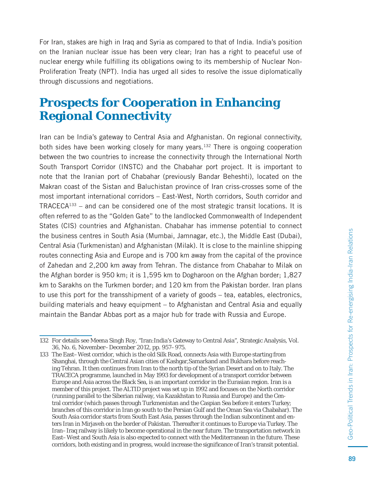For Iran, stakes are high in Iraq and Syria as compared to that of India. India's position on the Iranian nuclear issue has been very clear; Iran has a right to peaceful use of nuclear energy while fulfilling its obligations owing to its membership of Nuclear Non-Proliferation Treaty (NPT). India has urged all sides to resolve the issue diplomatically through discussions and negotiations.

#### **Prospects for Cooperation in Enhancing Regional Connectivity**

Iran can be India's gateway to Central Asia and Afghanistan. On regional connectivity, both sides have been working closely for many years.132 There is ongoing cooperation between the two countries to increase the connectivity through the International North South Transport Corridor (INSTC) and the Chabahar port project. It is important to note that the Iranian port of Chabahar (previously Bandar Beheshti), located on the Makran coast of the Sistan and Baluchistan province of Iran criss-crosses some of the most important international corridors – East-West, North corridors, South corridor and  $TRACECA<sup>133</sup> - and can be considered one of the most strategic transit locations. It is$ often referred to as the "Golden Gate" to the landlocked Commonwealth of Independent States (CIS) countries and Afghanistan. Chabahar has immense potential to connect the business centres in South Asia (Mumbai, Jamnagar, etc.), the Middle East (Dubai), Central Asia (Turkmenistan) and Afghanistan (Milak). It is close to the mainline shipping routes connecting Asia and Europe and is 700 km away from the capital of the province of Zahedan and 2,200 km away from Tehran. The distance from Chabahar to Milak on the Afghan border is 950 km; it is 1,595 km to Dogharoon on the Afghan border; 1,827 km to Sarakhs on the Turkmen border; and 120 km from the Pakistan border. Iran plans to use this port for the transshipment of a variety of goods – tea, eatables, electronics, building materials and heavy equipment – to Afghanistan and Central Asia and equally maintain the Bandar Abbas port as a major hub for trade with Russia and Europe.

<sup>132</sup> For details see Meena Singh Roy, "Iran:India's Gateway to Central Asia", Strategic Analysis, Vol. 36, No. 6, November–December 2012, pp. 957–975.

<sup>133</sup> The East–West corridor, which is the old Silk Road, connects Asia with Europe starting from Shanghai, through the Central Asian cities of Kashgar,Samarkand and Bukhara before reaching Tehran. It then continues from Iran to the north tip of the Syrian Desert and on to Italy. The TRACECA programme, launched in May 1993 for development of a transport corridor between Europe and Asia across the Black Sea, is an important corridor in the Eurasian region. Iran is a member of this project. The ALTID project was set up in 1992 and focuses on the North corridor (running parallel to the Siberian railway, via Kazakhstan to Russia and Europe) and the Central corridor (which passes through Turkmenistan and the Caspian Sea before it enters Turkey; branches of this corridor in Iran go south to the Persian Gulf and the Oman Sea via Chabahar). The South Asia corridor starts from South East Asia, passes through the Indian subcontinent and enters Iran in Mirjaveh on the border of Pakistan. Thereafter it continues to Europe via Turkey. The Iran–Iraq railway is likely to become operational in the near future. The transportation network in East–West and South Asia is also expected to connect with the Mediterranean in the future. These corridors, both existing and in progress, would increase the significance of Iran's transit potential.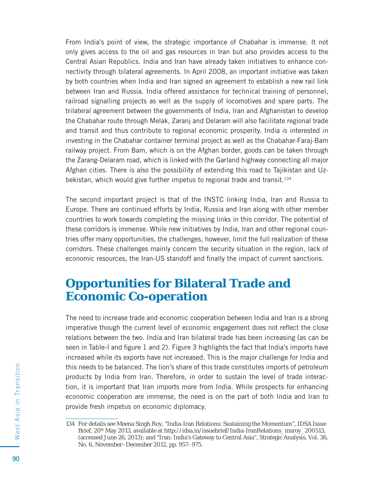From India's point of view, the strategic importance of Chabahar is immense. It not only gives access to the oil and gas resources in Iran but also provides access to the Central Asian Republics. India and Iran have already taken initiatives to enhance connectivity through bilateral agreements. In April 2008, an important initiative was taken by both countries when India and Iran signed an agreement to establish a new rail link between Iran and Russia. India offered assistance for technical training of personnel, railroad signalling projects as well as the supply of locomotives and spare parts. The trilateral agreement between the governments of India, Iran and Afghanistan to develop the Chabahar route through Melak, Zaranj and Delaram will also facilitate regional trade and transit and thus contribute to regional economic prosperity. India is interested in investing in the Chabahar container terminal project as well as the Chabahar-Faraj-Bam railway project. From Bam, which is on the Afghan border, goods can be taken through the Zarang-Delaram road, which is linked with the Garland highway connecting all major Afghan cities. There is also the possibility of extending this road to Tajikistan and Uzbekistan, which would give further impetus to regional trade and transit.<sup>134</sup>

The second important project is that of the INSTC linking India, Iran and Russia to Europe. There are continued efforts by India, Russia and Iran along with other member countries to work towards completing the missing links in this corridor. The potential of these corridors is immense. While new initiatives by India, Iran and other regional countries offer many opportunities, the challenges, however, limit the full realization of these corridors. These challenges mainly concern the security situation in the region, lack of economic resources, the Iran-US standoff and finally the impact of current sanctions.

#### **Opportunities for Bilateral Trade and Economic Co-operation**

The need to increase trade and economic cooperation between India and Iran is a strong imperative though the current level of economic engagement does not reflect the close relations between the two. India and Iran bilateral trade has been increasing (as can be seen in Table-I and figure 1 and 2). Figure 3 highlights the fact that India's imports have increased while its exports have not increased. This is the major challenge for India and this needs to be balanced. The lion's share of this trade constitutes imports of petroleum products by India from Iran. Therefore, in order to sustain the level of trade interaction, it is important that Iran imports more from India. While prospects for enhancing economic cooperation are immense, the need is on the part of both India and Iran to provide fresh impetus on economic diplomacy.

<sup>134</sup> For details see Meena Singh Roy, "India-Iran Relations: Sustaining the Momentum", IDSA Issue Brief, 20<sup>th</sup> May 2013, available at http://idsa.in/issuebrief/India-IranRelations\_msroy\_200513, (accessed June 26, 2013); and "Iran: India's Gateway to Central Asia", Strategic Analysis, Vol. 36, No. 6, November–December 2012, pp. 957–975.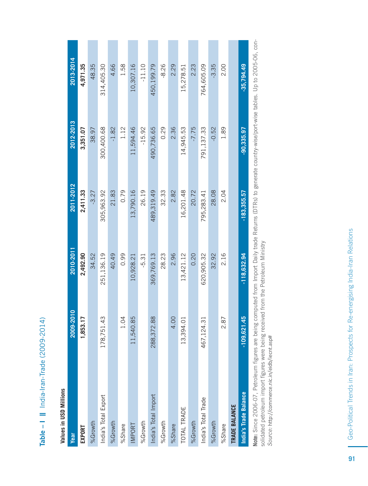| è           |
|-------------|
|             |
|             |
|             |
| c<br>c<br>c |
|             |
|             |
|             |
|             |
|             |
|             |
|             |
|             |
|             |
| ļ           |
|             |
|             |
|             |
|             |
|             |
|             |
|             |
|             |
|             |
|             |

# Values in USD Millions **Values in USD Millions**

| Year                  | 2009-2010     | 2010-2011     | 2011-2012     | 2012-2013    | 2013-2014    |
|-----------------------|---------------|---------------|---------------|--------------|--------------|
| EXPORT                | 1,853.17      | 2,492.90      | 2,411.33      | 3,351.07     | 4,971.35     |
| %Growth               |               | 34.52         | $-3.27$       | 38.97        | 48.35        |
| India's Total Export  | 178,751.43    | 251,136.19    | 305,963.92    | 300,400.68   | 314,405.30   |
| %Growth               |               | 40.49         | 21.83         | $-1.82$      | 4.66         |
| %Share                | 1.04          | 0.99          | 0.79          | 1.12         | 1.58         |
| <b>MPORT</b>          | 11,540.85     | 10,928.21     | 13,790.16     | 11,594.46    | 10,307.16    |
| %Growth               |               | $-5.31$       | 26.19         | $-15.92$     | $-11.10$     |
| India's Total Import  | 288, 372.88   | 369,769.13    | 489,319.49    | 490,736.65   | 450,199.79   |
| %Growth               |               | 28.23         | 32.33         | 0.29         | $-8.26$      |
| %Share                | 4.00          | 2.96          | 2.82          | 2.36         | 2.29         |
| <b>TOTAL TRADE</b>    | 13,394.01     | 13,421.12     | 16,201.48     | 14,945.53    | 15,278.51    |
| %Growth               |               | 0.20          | 20.72         | $-7.75$      | 2.23         |
| India's Total Trade   | 467,124.31    | 620,905.32    | 795,283.41    | 791,137.33   | 764,605.09   |
| %Growth               |               | 32.92         | 28.08         | $-0.52$      | $-3.35$      |
| %Share                | 2.87          | 2.16          | 2.04          | 1.89         | 2.00         |
| TRADE BALANCE         |               |               |               |              |              |
| India's Trade Balance | $-109,621.45$ | $-118,632.94$ | $-183,355.57$ | $-90,335.97$ | $-35,794.49$ |

Note: Since 2006-07, Petroleum figures are being computed from Import Daily trade Returns (DTRs) to generate country-wise/port-wise tables. Up to 2005-06, con-Note: Since 2006-07, Petroleum figures are being computed from Import Daily trade Returns (DTRs) to generate country-wise/port-wise tables. Up to 2005-06, consolidated petroleum import figures were being received from the Petroleum Ministry<br>Source: http://commerce.nic.in/eidb/iecnt.asp# solidated petroleum import fi gures were being received from the Petroleum Ministry Source: http://commerce.nic.in/eidb/iecnt.asp#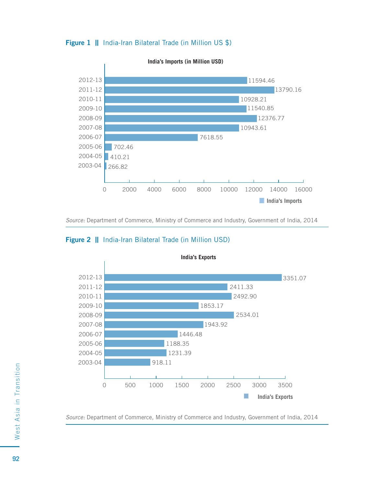



Source: Department of Commerce, Ministry of Commerce and Industry, Government of India, 2014

#### **India's Exports** 2012-13 3351.07 2011-12 2411.33 2010-11 2492.90 2009-10 1853.17 2008-09 2534.01 2007-08 1943.922006-07 1446.48 1188.35 2005-06 2004-05 1231.39 2003-04 918.11 0 500 1000 1500 2000 2500 3000 3500 П **India's Exports**

#### **Figure 2 ||** India-Iran Bilateral Trade (in Million USD)

Source: Department of Commerce, Ministry of Commerce and Industry, Government of India, 2014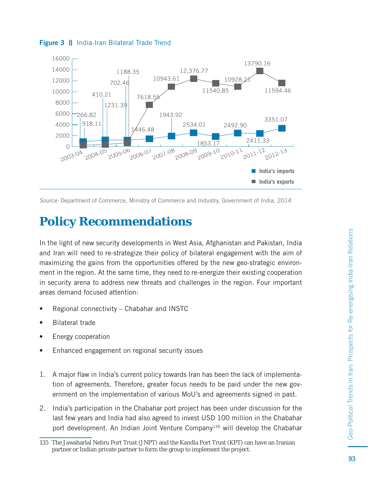

#### **Figure 3** || India-Iran Bilateral Trade Trend

Source: Department of Commerce, Ministry of Commerce and Industry, Government of India, 2014

### **Policy Recommendations**

In the light of new security developments in West Asia, Afghanistan and Pakistan, India and Iran will need to re-strategize their policy of bilateral engagement with the aim of maximizing the gains from the opportunities offered by the new geo-strategic environment in the region. At the same time, they need to re-energize their existing cooperation in security arena to address new threats and challenges in the region. Four important areas demand focused attention:

- Regional connectivity Chabahar and INSTC
- Bilateral trade
- Energy cooperation
- Enhanced engagement on regional security issues
- 1. A major flaw in India's current policy towards Iran has been the lack of implementation of agreements. Therefore, greater focus needs to be paid under the new government on the implementation of various MoU's and agreements signed in past.
- 2. India's participation in the Chabahar port project has been under discussion for the last few years and India had also agreed to invest USD 100 million in the Chabahar port development. An Indian Joint Venture Company<sup>135</sup> will develop the Chabahar

<sup>135</sup> The Jawaharlal Nehru Port Trust (JNPT) and the Kandla Port Trust (KPT) can have an Iranian partner or Indian private partner to form the group to implement the project.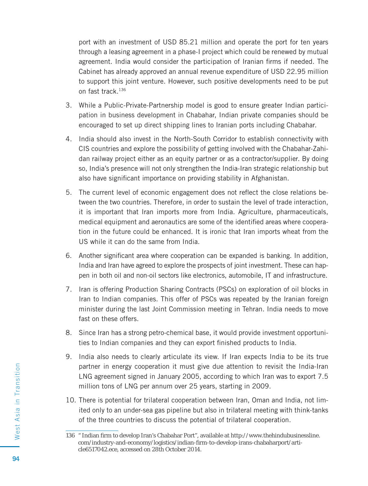port with an investment of USD 85.21 million and operate the port for ten years through a leasing agreement in a phase-I project which could be renewed by mutual agreement. India would consider the participation of Iranian firms if needed. The Cabinet has already approved an annual revenue expenditure of USD 22.95 million to support this joint venture. However, such positive developments need to be put on fast track.136

- 3. While a Public-Private-Partnership model is good to ensure greater Indian participation in business development in Chabahar, Indian private companies should be encouraged to set up direct shipping lines to Iranian ports including Chabahar.
- 4. India should also invest in the North-South Corridor to establish connectivity with CIS countries and explore the possibility of getting involved with the Chabahar-Zahidan railway project either as an equity partner or as a contractor/supplier. By doing so, India's presence will not only strengthen the India-Iran strategic relationship but also have significant importance on providing stability in Afghanistan.
- 5. The current level of economic engagement does not reflect the close relations between the two countries. Therefore, in order to sustain the level of trade interaction, it is important that Iran imports more from India. Agriculture, pharmaceuticals, medical equipment and aeronautics are some of the identified areas where cooperation in the future could be enhanced. It is ironic that Iran imports wheat from the US while it can do the same from India.
- 6. Another significant area where cooperation can be expanded is banking. In addition, India and Iran have agreed to explore the prospects of joint investment. These can happen in both oil and non-oil sectors like electronics, automobile, IT and infrastructure.
- 7. Iran is offering Production Sharing Contracts (PSCs) on exploration of oil blocks in Iran to Indian companies. This offer of PSCs was repeated by the Iranian foreign minister during the last Joint Commission meeting in Tehran. India needs to move fast on these offers.
- 8. Since Iran has a strong petro-chemical base, it would provide investment opportunities to Indian companies and they can export finished products to India.
- 9. India also needs to clearly articulate its view. If Iran expects India to be its true partner in energy cooperation it must give due attention to revisit the India-Iran LNG agreement signed in January 2005, according to which Iran was to export 7.5 million tons of LNG per annum over 25 years, starting in 2009.
- 10. There is potential for trilateral cooperation between Iran, Oman and India, not limited only to an under-sea gas pipeline but also in trilateral meeting with think-tanks of the three countries to discuss the potential of trilateral cooperation.

<sup>136 &</sup>quot; Indian firm to develop Iran's Chabahar Port", available at http://www.thehindubusinessline. com/industry-and-economy/logistics/indian-firm-to-develop-irans-chabaharport/article6517042.ece, accessed on 28th October 2014.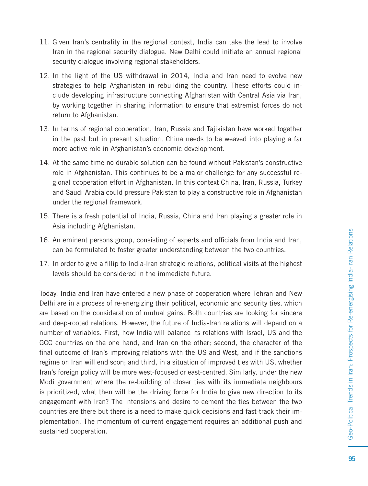- 11. Given Iran's centrality in the regional context, India can take the lead to involve Iran in the regional security dialogue. New Delhi could initiate an annual regional security dialogue involving regional stakeholders.
- 12. In the light of the US withdrawal in 2014, India and Iran need to evolve new strategies to help Afghanistan in rebuilding the country. These efforts could include developing infrastructure connecting Afghanistan with Central Asia via Iran, by working together in sharing information to ensure that extremist forces do not return to Afghanistan.
- 13. In terms of regional cooperation, Iran, Russia and Tajikistan have worked together in the past but in present situation, China needs to be weaved into playing a far more active role in Afghanistan's economic development.
- 14. At the same time no durable solution can be found without Pakistan's constructive role in Afghanistan. This continues to be a major challenge for any successful regional cooperation effort in Afghanistan. In this context China, Iran, Russia, Turkey and Saudi Arabia could pressure Pakistan to play a constructive role in Afghanistan under the regional framework.
- 15. There is a fresh potential of India, Russia, China and Iran playing a greater role in Asia including Afghanistan.
- 16. An eminent persons group, consisting of experts and officials from India and Iran, can be formulated to foster greater understanding between the two countries.
- 17. In order to give a fillip to India-Iran strategic relations, political visits at the highest levels should be considered in the immediate future.

Today, India and Iran have entered a new phase of cooperation where Tehran and New Delhi are in a process of re-energizing their political, economic and security ties, which are based on the consideration of mutual gains. Both countries are looking for sincere and deep-rooted relations. However, the future of India-Iran relations will depend on a number of variables. First, how India will balance its relations with Israel, US and the GCC countries on the one hand, and Iran on the other; second, the character of the final outcome of Iran's improving relations with the US and West, and if the sanctions regime on Iran will end soon; and third, in a situation of improved ties with US, whether Iran's foreign policy will be more west-focused or east-centred. Similarly, under the new Modi government where the re-building of closer ties with its immediate neighbours is prioritized, what then will be the driving force for India to give new direction to its engagement with Iran? The intensions and desire to cement the ties between the two countries are there but there is a need to make quick decisions and fast-track their implementation. The momentum of current engagement requires an additional push and sustained cooperation.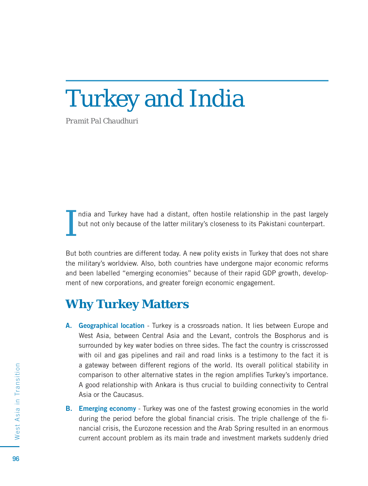# Turkey and India

*Pramit Pal Chaudhuri*

I ndia and Turkey have had a distant, often hostile relationship in the past largely but not only because of the latter military's closeness to its Pakistani counterpart.

But both countries are different today. A new polity exists in Turkey that does not share the military's worldview. Also, both countries have undergone major economic reforms and been labelled "emerging economies" because of their rapid GDP growth, development of new corporations, and greater foreign economic engagement.

#### **Why Turkey Matters**

- **A. Geographical location** Turkey is a crossroads nation. It lies between Europe and West Asia, between Central Asia and the Levant, controls the Bosphorus and is surrounded by key water bodies on three sides. The fact the country is crisscrossed with oil and gas pipelines and rail and road links is a testimony to the fact it is a gateway between different regions of the world. Its overall political stability in comparison to other alternative states in the region amplifies Turkey's importance. A good relationship with Ankara is thus crucial to building connectivity to Central Asia or the Caucasus.
- **B. Emerging economy** Turkey was one of the fastest growing economies in the world during the period before the global financial crisis. The triple challenge of the financial crisis, the Eurozone recession and the Arab Spring resulted in an enormous current account problem as its main trade and investment markets suddenly dried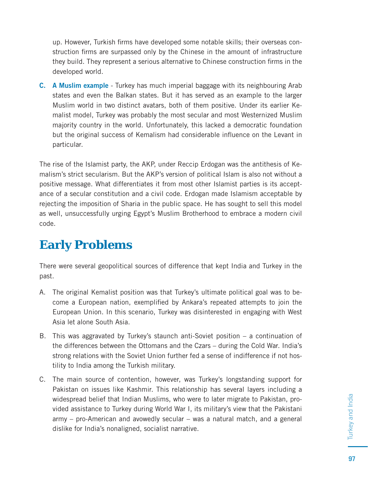up. However, Turkish firms have developed some notable skills; their overseas construction firms are surpassed only by the Chinese in the amount of infrastructure they build. They represent a serious alternative to Chinese construction firms in the developed world.

**C. A Muslim example** - Turkey has much imperial baggage with its neighbouring Arab states and even the Balkan states. But it has served as an example to the larger Muslim world in two distinct avatars, both of them positive. Under its earlier Kemalist model, Turkey was probably the most secular and most Westernized Muslim majority country in the world. Unfortunately, this lacked a democratic foundation but the original success of Kemalism had considerable influence on the Levant in particular.

The rise of the Islamist party, the AKP, under Reccip Erdogan was the antithesis of Kemalism's strict secularism. But the AKP's version of political Islam is also not without a positive message. What differentiates it from most other Islamist parties is its acceptance of a secular constitution and a civil code. Erdogan made Islamism acceptable by rejecting the imposition of Sharia in the public space. He has sought to sell this model as well, unsuccessfully urging Egypt's Muslim Brotherhood to embrace a modern civil code.

## **Early Problems**

There were several geopolitical sources of difference that kept India and Turkey in the past.

- A. The original Kemalist position was that Turkey's ultimate political goal was to become a European nation, exemplified by Ankara's repeated attempts to join the European Union. In this scenario, Turkey was disinterested in engaging with West Asia let alone South Asia.
- B. This was aggravated by Turkey's staunch anti-Soviet position a continuation of the differences between the Ottomans and the Czars – during the Cold War. India's strong relations with the Soviet Union further fed a sense of indifference if not hostility to India among the Turkish military.
- C. The main source of contention, however, was Turkey's longstanding support for Pakistan on issues like Kashmir. This relationship has several layers including a widespread belief that Indian Muslims, who were to later migrate to Pakistan, provided assistance to Turkey during World War I, its military's view that the Pakistani army – pro-American and avowedly secular – was a natural match, and a general dislike for India's nonaligned, socialist narrative.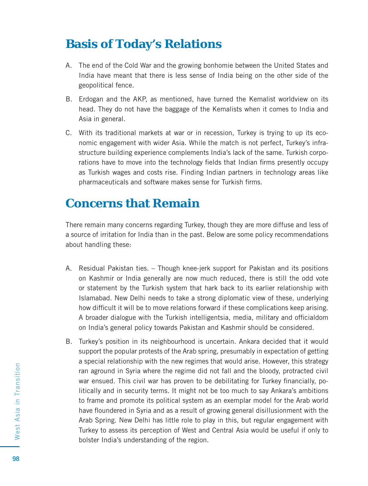#### **Basis of Today's Relations**

- A. The end of the Cold War and the growing bonhomie between the United States and India have meant that there is less sense of India being on the other side of the geopolitical fence.
- B. Erdogan and the AKP, as mentioned, have turned the Kemalist worldview on its head. They do not have the baggage of the Kemalists when it comes to India and Asia in general.
- C. With its traditional markets at war or in recession, Turkey is trying to up its economic engagement with wider Asia. While the match is not perfect, Turkey's infrastructure building experience complements India's lack of the same. Turkish corporations have to move into the technology fields that Indian firms presently occupy as Turkish wages and costs rise. Finding Indian partners in technology areas like pharmaceuticals and software makes sense for Turkish firms.

#### **Concerns that Remain**

There remain many concerns regarding Turkey, though they are more diffuse and less of a source of irritation for India than in the past. Below are some policy recommendations about handling these:

- A. Residual Pakistan ties. Though knee-jerk support for Pakistan and its positions on Kashmir or India generally are now much reduced, there is still the odd vote or statement by the Turkish system that hark back to its earlier relationship with Islamabad. New Delhi needs to take a strong diplomatic view of these, underlying how difficult it will be to move relations forward if these complications keep arising. A broader dialogue with the Turkish intelligentsia, media, military and officialdom on India's general policy towards Pakistan and Kashmir should be considered.
- B. Turkey's position in its neighbourhood is uncertain. Ankara decided that it would support the popular protests of the Arab spring, presumably in expectation of getting a special relationship with the new regimes that would arise. However, this strategy ran aground in Syria where the regime did not fall and the bloody, protracted civil war ensued. This civil war has proven to be debilitating for Turkey financially, politically and in security terms. It might not be too much to say Ankara's ambitions to frame and promote its political system as an exemplar model for the Arab world have floundered in Syria and as a result of growing general disillusionment with the Arab Spring. New Delhi has little role to play in this, but regular engagement with Turkey to assess its perception of West and Central Asia would be useful if only to bolster India's understanding of the region.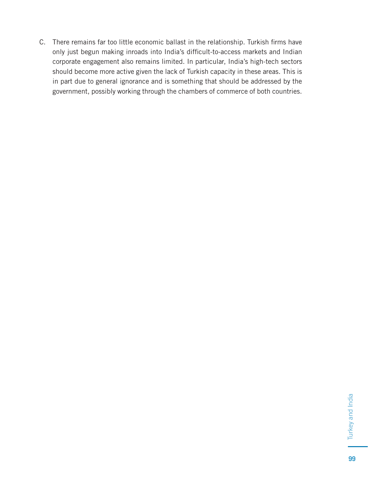C. There remains far too little economic ballast in the relationship. Turkish firms have only just begun making inroads into India's difficult-to-access markets and Indian corporate engagement also remains limited. In particular, India's high-tech sectors should become more active given the lack of Turkish capacity in these areas. This is in part due to general ignorance and is something that should be addressed by the government, possibly working through the chambers of commerce of both countries.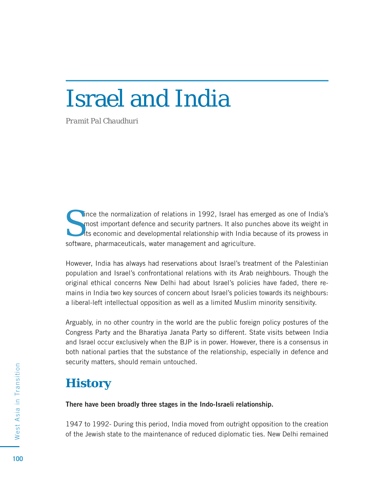# Israel and India

*Pramit Pal Chaudhuri*

Since the normalization of relations in 1992, Israel has emerged as one of India's most important defence and security partners. It also punches above its weight in its economic and developmental relationship with India be most important defence and security partners. It also punches above its weight in software, pharmaceuticals, water management and agriculture.

However, India has always had reservations about Israel's treatment of the Palestinian population and Israel's confrontational relations with its Arab neighbours. Though the original ethical concerns New Delhi had about Israel's policies have faded, there remains in India two key sources of concern about Israel's policies towards its neighbours: a liberal-left intellectual opposition as well as a limited Muslim minority sensitivity.

Arguably, in no other country in the world are the public foreign policy postures of the Congress Party and the Bharatiya Janata Party so different. State visits between India and Israel occur exclusively when the BJP is in power. However, there is a consensus in both national parties that the substance of the relationship, especially in defence and security matters, should remain untouched.

# **History**

**There have been broadly three stages in the Indo-Israeli relationship.** 

1947 to 1992- During this period, India moved from outright opposition to the creation of the Jewish state to the maintenance of reduced diplomatic ties. New Delhi remained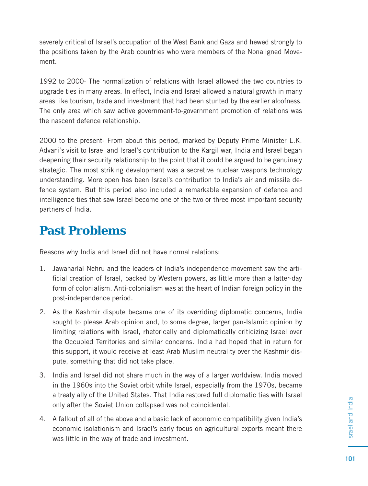severely critical of Israel's occupation of the West Bank and Gaza and hewed strongly to the positions taken by the Arab countries who were members of the Nonaligned Movement.

1992 to 2000- The normalization of relations with Israel allowed the two countries to upgrade ties in many areas. In effect, India and Israel allowed a natural growth in many areas like tourism, trade and investment that had been stunted by the earlier aloofness. The only area which saw active government-to-government promotion of relations was the nascent defence relationship.

2000 to the present- From about this period, marked by Deputy Prime Minister L.K. Advani's visit to Israel and Israel's contribution to the Kargil war, India and Israel began deepening their security relationship to the point that it could be argued to be genuinely strategic. The most striking development was a secretive nuclear weapons technology understanding. More open has been Israel's contribution to India's air and missile defence system. But this period also included a remarkable expansion of defence and intelligence ties that saw Israel become one of the two or three most important security partners of India.

# **Past Problems**

Reasons why India and Israel did not have normal relations:

- 1. Jawaharlal Nehru and the leaders of India's independence movement saw the artificial creation of Israel, backed by Western powers, as little more than a latter-day form of colonialism. Anti-colonialism was at the heart of Indian foreign policy in the post-independence period.
- 2. As the Kashmir dispute became one of its overriding diplomatic concerns, India sought to please Arab opinion and, to some degree, larger pan-Islamic opinion by limiting relations with Israel, rhetorically and diplomatically criticizing Israel over the Occupied Territories and similar concerns. India had hoped that in return for this support, it would receive at least Arab Muslim neutrality over the Kashmir dispute, something that did not take place.
- 3. India and Israel did not share much in the way of a larger worldview. India moved in the 1960s into the Soviet orbit while Israel, especially from the 1970s, became a treaty ally of the United States. That India restored full diplomatic ties with Israel only after the Soviet Union collapsed was not coincidental.
- 4. A fallout of all of the above and a basic lack of economic compatibility given India's economic isolationism and Israel's early focus on agricultural exports meant there was little in the way of trade and investment.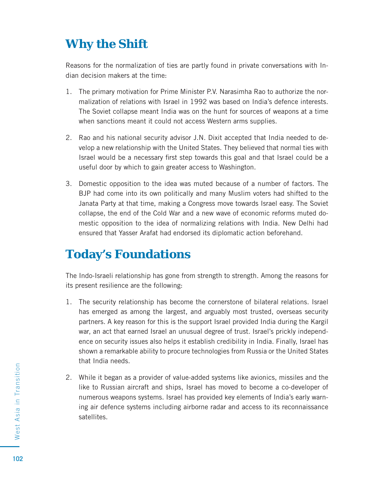# **Why the Shift**

Reasons for the normalization of ties are partly found in private conversations with Indian decision makers at the time:

- 1. The primary motivation for Prime Minister P.V. Narasimha Rao to authorize the normalization of relations with Israel in 1992 was based on India's defence interests. The Soviet collapse meant India was on the hunt for sources of weapons at a time when sanctions meant it could not access Western arms supplies.
- 2. Rao and his national security advisor J.N. Dixit accepted that India needed to develop a new relationship with the United States. They believed that normal ties with Israel would be a necessary first step towards this goal and that Israel could be a useful door by which to gain greater access to Washington.
- 3. Domestic opposition to the idea was muted because of a number of factors. The BJP had come into its own politically and many Muslim voters had shifted to the Janata Party at that time, making a Congress move towards Israel easy. The Soviet collapse, the end of the Cold War and a new wave of economic reforms muted domestic opposition to the idea of normalizing relations with India. New Delhi had ensured that Yasser Arafat had endorsed its diplomatic action beforehand.

# **Today's Foundations**

The Indo-Israeli relationship has gone from strength to strength. Among the reasons for its present resilience are the following:

- 1. The security relationship has become the cornerstone of bilateral relations. Israel has emerged as among the largest, and arguably most trusted, overseas security partners. A key reason for this is the support Israel provided India during the Kargil war, an act that earned Israel an unusual degree of trust. Israel's prickly independence on security issues also helps it establish credibility in India. Finally, Israel has shown a remarkable ability to procure technologies from Russia or the United States that India needs.
- 2. While it began as a provider of value-added systems like avionics, missiles and the like to Russian aircraft and ships, Israel has moved to become a co-developer of numerous weapons systems. Israel has provided key elements of India's early warning air defence systems including airborne radar and access to its reconnaissance satellites.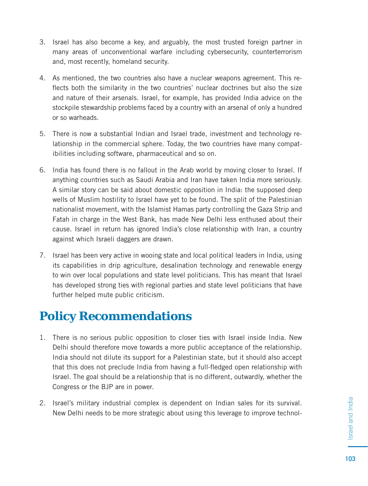- 3. Israel has also become a key, and arguably, the most trusted foreign partner in many areas of unconventional warfare including cybersecurity, counterterrorism and, most recently, homeland security.
- 4. As mentioned, the two countries also have a nuclear weapons agreement. This reflects both the similarity in the two countries' nuclear doctrines but also the size and nature of their arsenals. Israel, for example, has provided India advice on the stockpile stewardship problems faced by a country with an arsenal of only a hundred or so warheads.
- 5. There is now a substantial Indian and Israel trade, investment and technology relationship in the commercial sphere. Today, the two countries have many compatibilities including software, pharmaceutical and so on.
- 6. India has found there is no fallout in the Arab world by moving closer to Israel. If anything countries such as Saudi Arabia and Iran have taken India more seriously. A similar story can be said about domestic opposition in India: the supposed deep wells of Muslim hostility to Israel have yet to be found. The split of the Palestinian nationalist movement, with the Islamist Hamas party controlling the Gaza Strip and Fatah in charge in the West Bank, has made New Delhi less enthused about their cause. Israel in return has ignored India's close relationship with Iran, a country against which Israeli daggers are drawn.
- 7. Israel has been very active in wooing state and local political leaders in India, using its capabilities in drip agriculture, desalination technology and renewable energy to win over local populations and state level politicians. This has meant that Israel has developed strong ties with regional parties and state level politicians that have further helped mute public criticism.

# **Policy Recommendations**

- 1. There is no serious public opposition to closer ties with Israel inside India. New Delhi should therefore move towards a more public acceptance of the relationship. India should not dilute its support for a Palestinian state, but it should also accept that this does not preclude India from having a full-fledged open relationship with Israel. The goal should be a relationship that is no different, outwardly, whether the Congress or the BJP are in power.
- 2. Israel's military industrial complex is dependent on Indian sales for its survival. New Delhi needs to be more strategic about using this leverage to improve technol-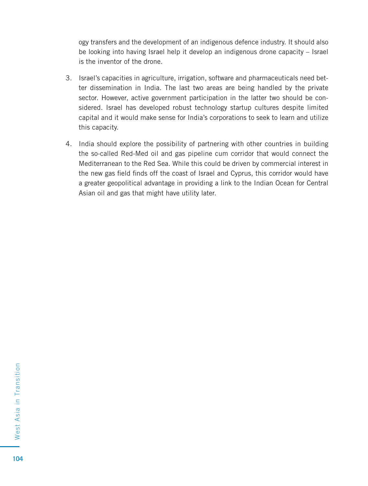ogy transfers and the development of an indigenous defence industry. It should also be looking into having Israel help it develop an indigenous drone capacity – Israel is the inventor of the drone.

- 3. Israel's capacities in agriculture, irrigation, software and pharmaceuticals need better dissemination in India. The last two areas are being handled by the private sector. However, active government participation in the latter two should be considered. Israel has developed robust technology startup cultures despite limited capital and it would make sense for India's corporations to seek to learn and utilize this capacity.
- 4. India should explore the possibility of partnering with other countries in building the so-called Red-Med oil and gas pipeline cum corridor that would connect the Mediterranean to the Red Sea. While this could be driven by commercial interest in the new gas field finds off the coast of Israel and Cyprus, this corridor would have a greater geopolitical advantage in providing a link to the Indian Ocean for Central Asian oil and gas that might have utility later.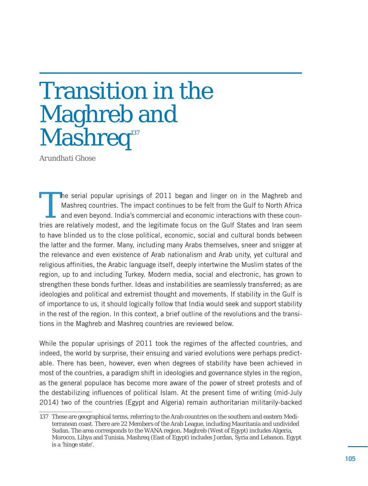# Transition in the Maghreb and Mashreq<sup>137</sup>

*Arundhati Ghose*

The serial popular uprisings of 2011 began and linger on in the Maghreb and Mashreq countries. The impact continues to be felt from the Gulf to North Africa and even beyond. India's commercial and economic interactions wit Mashreq countries. The impact continues to be felt from the Gulf to North Africa tries are relatively modest, and the legitimate focus on the Gulf States and Iran seem to have blinded us to the close political, economic, social and cultural bonds between the latter and the former. Many, including many Arabs themselves, sneer and snigger at the relevance and even existence of Arab nationalism and Arab unity, yet cultural and religious affinities, the Arabic language itself, deeply intertwine the Muslim states of the region, up to and including Turkey. Modern media, social and electronic, has grown to strengthen these bonds further. Ideas and instabilities are seamlessly transferred; as are ideologies and political and extremist thought and movements. If stability in the Gulf is of importance to us, it should logically follow that India would seek and support stability in the rest of the region. In this context, a brief outline of the revolutions and the transitions in the Maghreb and Mashreq countries are reviewed below.

While the popular uprisings of 2011 took the regimes of the affected countries, and indeed, the world by surprise, their ensuing and varied evolutions were perhaps predictable. There has been, however, even when degrees of stability have been achieved in most of the countries, a paradigm shift in ideologies and governance styles in the region, as the general populace has become more aware of the power of street protests and of the destabilizing influences of political Islam. At the present time of writing (mid-July 2014) two of the countries (Egypt and Algeria) remain authoritarian militarily-backed

<sup>137</sup> These are geographical terms, referring to the Arab countries on the southern and eastern Mediterranean coast. There are 22 Members of the Arab League, including Mauritania and undivided Sudan. The area corresponds to the WANA region. Maghreb (West of Egypt) includes Algeria, Morocco, Libya and Tunisia. Mashreq (East of Egypt) includes Jordan, Syria and Lebanon. Egypt is a 'hinge state'.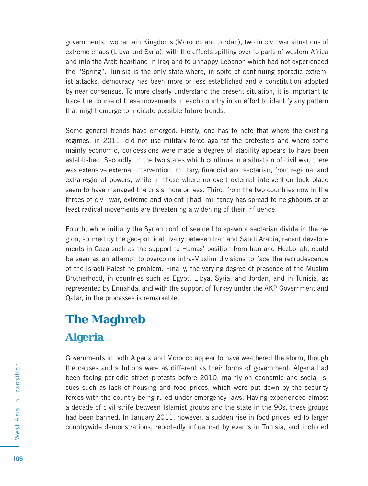governments, two remain Kingdoms (Morocco and Jordan), two in civil war situations of extreme chaos (Libya and Syria), with the effects spilling over to parts of western Africa and into the Arab heartland in Iraq and to unhappy Lebanon which had not experienced the "Spring". Tunisia is the only state where, in spite of continuing sporadic extremist attacks, democracy has been more or less established and a constitution adopted by near consensus. To more clearly understand the present situation, it is important to trace the course of these movements in each country in an effort to identify any pattern that might emerge to indicate possible future trends.

Some general trends have emerged. Firstly, one has to note that where the existing regimes, in 2011, did not use military force against the protesters and where some mainly economic, concessions were made a degree of stability appears to have been established. Secondly, in the two states which continue in a situation of civil war, there was extensive external intervention, military, financial and sectarian, from regional and extra-regional powers, while in those where no overt external intervention took place seem to have managed the crisis more or less. Third, from the two countries now in the throes of civil war, extreme and violent jihadi militancy has spread to neighbours or at least radical movements are threatening a widening of their influence.

Fourth, while initially the Syrian conflict seemed to spawn a sectarian divide in the region, spurred by the geo-political rivalry between Iran and Saudi Arabia, recent developments in Gaza such as the support to Hamas' position from Iran and Hezbollah, could be seen as an attempt to overcome intra-Muslim divisions to face the recrudescence of the Israeli-Palestine problem. Finally, the varying degree of presence of the Muslim Brotherhood, in countries such as Egypt, Libya, Syria, and Jordan, and in Tunisia, as represented by Ennahda, and with the support of Turkey under the AKP Government and Qatar, in the processes is remarkable.

# **The Maghreb**

#### **Algeria**

Governments in both Algeria and Morocco appear to have weathered the storm, though the causes and solutions were as different as their forms of government. Algeria had been facing periodic street protests before 2010, mainly on economic and social issues such as lack of housing and food prices, which were put down by the security forces with the country being ruled under emergency laws. Having experienced almost a decade of civil strife between Islamist groups and the state in the 90s, these groups had been banned. In January 2011, however, a sudden rise in food prices led to larger countrywide demonstrations, reportedly influenced by events in Tunisia, and included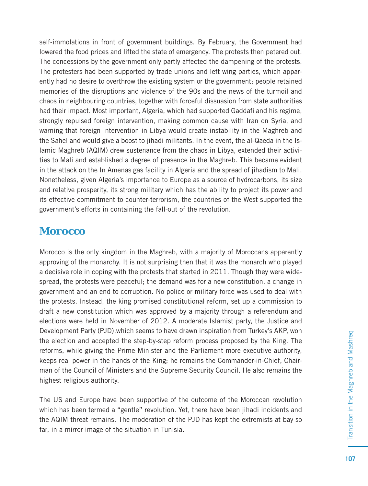self-immolations in front of government buildings. By February, the Government had lowered the food prices and lifted the state of emergency. The protests then petered out. The concessions by the government only partly affected the dampening of the protests. The protesters had been supported by trade unions and left wing parties, which apparently had no desire to overthrow the existing system or the government; people retained memories of the disruptions and violence of the 90s and the news of the turmoil and chaos in neighbouring countries, together with forceful dissuasion from state authorities had their impact. Most important, Algeria, which had supported Gaddafi and his regime, strongly repulsed foreign intervention, making common cause with Iran on Syria, and warning that foreign intervention in Libya would create instability in the Maghreb and the Sahel and would give a boost to jihadi militants. In the event, the al-Qaeda in the Islamic Maghreb (AQIM) drew sustenance from the chaos in Libya, extended their activities to Mali and established a degree of presence in the Maghreb. This became evident in the attack on the In Amenas gas facility in Algeria and the spread of jihadism to Mali. Nonetheless, given Algeria's importance to Europe as a source of hydrocarbons, its size and relative prosperity, its strong military which has the ability to project its power and its effective commitment to counter-terrorism, the countries of the West supported the government's efforts in containing the fall-out of the revolution.

#### **Morocco**

Morocco is the only kingdom in the Maghreb, with a majority of Moroccans apparently approving of the monarchy. It is not surprising then that it was the monarch who played a decisive role in coping with the protests that started in 2011. Though they were widespread, the protests were peaceful; the demand was for a new constitution, a change in government and an end to corruption. No police or military force was used to deal with the protests. Instead, the king promised constitutional reform, set up a commission to draft a new constitution which was approved by a majority through a referendum and elections were held in November of 2012. A moderate Islamist party, the Justice and Development Party (PJD),which seems to have drawn inspiration from Turkey's AKP, won the election and accepted the step-by-step reform process proposed by the King. The reforms, while giving the Prime Minister and the Parliament more executive authority, keeps real power in the hands of the King; he remains the Commander-in-Chief, Chairman of the Council of Ministers and the Supreme Security Council. He also remains the highest religious authority.

The US and Europe have been supportive of the outcome of the Moroccan revolution which has been termed a "gentle" revolution. Yet, there have been jihadi incidents and the AQIM threat remains. The moderation of the PJD has kept the extremists at bay so far, in a mirror image of the situation in Tunisia.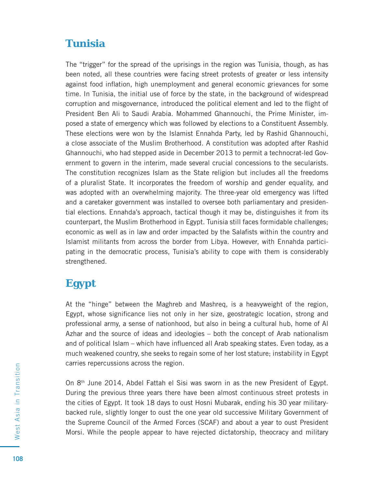#### **Tunisia**

The "trigger" for the spread of the uprisings in the region was Tunisia, though, as has been noted, all these countries were facing street protests of greater or less intensity against food inflation, high unemployment and general economic grievances for some time. In Tunisia, the initial use of force by the state, in the background of widespread corruption and misgovernance, introduced the political element and led to the flight of President Ben Ali to Saudi Arabia. Mohammed Ghannouchi, the Prime Minister, imposed a state of emergency which was followed by elections to a Constituent Assembly. These elections were won by the Islamist Ennahda Party, led by Rashid Ghannouchi, a close associate of the Muslim Brotherhood. A constitution was adopted after Rashid Ghannouchi, who had stepped aside in December 2013 to permit a technocrat-led Government to govern in the interim, made several crucial concessions to the secularists. The constitution recognizes Islam as the State religion but includes all the freedoms of a pluralist State. It incorporates the freedom of worship and gender equality, and was adopted with an overwhelming majority. The three-year old emergency was lifted and a caretaker government was installed to oversee both parliamentary and presidential elections. Ennahda's approach, tactical though it may be, distinguishes it from its counterpart, the Muslim Brotherhood in Egypt. Tunisia still faces formidable challenges; economic as well as in law and order impacted by the Salafists within the country and Islamist militants from across the border from Libya. However, with Ennahda participating in the democratic process, Tunisia's ability to cope with them is considerably strengthened.

#### **Egypt**

At the "hinge" between the Maghreb and Mashreq, is a heavyweight of the region, Egypt, whose significance lies not only in her size, geostrategic location, strong and professional army, a sense of nationhood, but also in being a cultural hub, home of Al Azhar and the source of ideas and ideologies – both the concept of Arab nationalism and of political Islam – which have influenced all Arab speaking states. Even today, as a much weakened country, she seeks to regain some of her lost stature; instability in Egypt carries repercussions across the region.

On  $8<sup>th</sup>$  June 2014, Abdel Fattah el Sisi was sworn in as the new President of Egypt. During the previous three years there have been almost continuous street protests in the cities of Egypt. It took 18 days to oust Hosni Mubarak, ending his 30 year militarybacked rule, slightly longer to oust the one year old successive Military Government of the Supreme Council of the Armed Forces (SCAF) and about a year to oust President Morsi. While the people appear to have rejected dictatorship, theocracy and military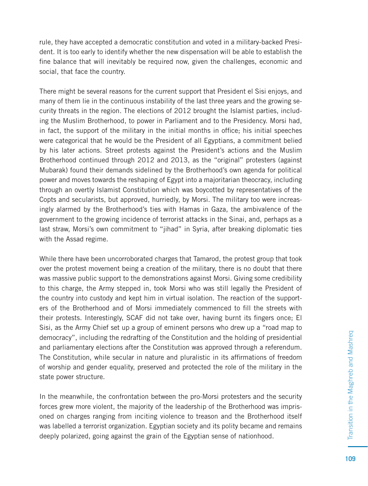rule, they have accepted a democratic constitution and voted in a military-backed President. It is too early to identify whether the new dispensation will be able to establish the fine balance that will inevitably be required now, given the challenges, economic and social, that face the country.

There might be several reasons for the current support that President el Sisi enjoys, and many of them lie in the continuous instability of the last three years and the growing security threats in the region. The elections of 2012 brought the Islamist parties, including the Muslim Brotherhood, to power in Parliament and to the Presidency. Morsi had, in fact, the support of the military in the initial months in office; his initial speeches were categorical that he would be the President of all Egyptians, a commitment belied by his later actions. Street protests against the President's actions and the Muslim Brotherhood continued through 2012 and 2013, as the "original" protesters (against Mubarak) found their demands sidelined by the Brotherhood's own agenda for political power and moves towards the reshaping of Egypt into a majoritarian theocracy, including through an overtly Islamist Constitution which was boycotted by representatives of the Copts and secularists, but approved, hurriedly, by Morsi. The military too were increasingly alarmed by the Brotherhood's ties with Hamas in Gaza, the ambivalence of the government to the growing incidence of terrorist attacks in the Sinai, and, perhaps as a last straw, Morsi's own commitment to "jihad" in Syria, after breaking diplomatic ties with the Assad regime.

While there have been uncorroborated charges that Tamarod, the protest group that took over the protest movement being a creation of the military, there is no doubt that there was massive public support to the demonstrations against Morsi. Giving some credibility to this charge, the Army stepped in, took Morsi who was still legally the President of the country into custody and kept him in virtual isolation. The reaction of the supporters of the Brotherhood and of Morsi immediately commenced to fill the streets with their protests. Interestingly, SCAF did not take over, having burnt its fingers once; El Sisi, as the Army Chief set up a group of eminent persons who drew up a "road map to democracy", including the redrafting of the Constitution and the holding of presidential and parliamentary elections after the Constitution was approved through a referendum. The Constitution, while secular in nature and pluralistic in its affirmations of freedom of worship and gender equality, preserved and protected the role of the military in the state power structure.

In the meanwhile, the confrontation between the pro-Morsi protesters and the security forces grew more violent, the majority of the leadership of the Brotherhood was imprisoned on charges ranging from inciting violence to treason and the Brotherhood itself was labelled a terrorist organization. Egyptian society and its polity became and remains deeply polarized, going against the grain of the Egyptian sense of nationhood.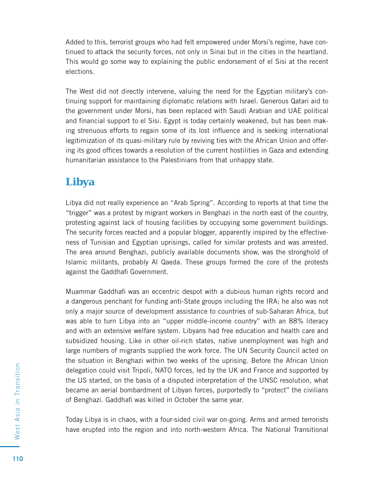Added to this, terrorist groups who had felt empowered under Morsi's regime, have continued to attack the security forces, not only in Sinai but in the cities in the heartland. This would go some way to explaining the public endorsement of el Sisi at the recent elections.

The West did not directly intervene, valuing the need for the Egyptian military's continuing support for maintaining diplomatic relations with Israel. Generous Qatari aid to the government under Morsi, has been replaced with Saudi Arabian and UAE political and financial support to el Sisi. Egypt is today certainly weakened, but has been making strenuous efforts to regain some of its lost influence and is seeking international legitimization of its quasi-military rule by reviving ties with the African Union and offering its good offices towards a resolution of the current hostilities in Gaza and extending humanitarian assistance to the Palestinians from that unhappy state.

#### **Libya**

Libya did not really experience an "Arab Spring". According to reports at that time the "trigger" was a protest by migrant workers in Benghazi in the north east of the country, protesting against lack of housing facilities by occupying some government buildings. The security forces reacted and a popular blogger, apparently inspired by the effectiveness of Tunisian and Egyptian uprisings, called for similar protests and was arrested. The area around Benghazi, publicly available documents show, was the stronghold of Islamic militants, probably Al Qaeda. These groups formed the core of the protests against the Gaddhafi Government.

Muammar Gaddhafi was an eccentric despot with a dubious human rights record and a dangerous penchant for funding anti-State groups including the IRA; he also was not only a major source of development assistance to countries of sub-Saharan Africa, but was able to turn Libya into an "upper middle-income country" with an 88% literacy and with an extensive welfare system. Libyans had free education and health care and subsidized housing. Like in other oil-rich states, native unemployment was high and large numbers of migrants supplied the work force. The UN Security Council acted on the situation in Benghazi within two weeks of the uprising. Before the African Union delegation could visit Tripoli, NATO forces, led by the UK and France and supported by the US started, on the basis of a disputed interpretation of the UNSC resolution, what became an aerial bombardment of Libyan forces, purportedly to "protect" the civilians of Benghazi. Gaddhafi was killed in October the same year.

Today Libya is in chaos, with a four-sided civil war on-going. Arms and armed terrorists have erupted into the region and into north-western Africa. The National Transitional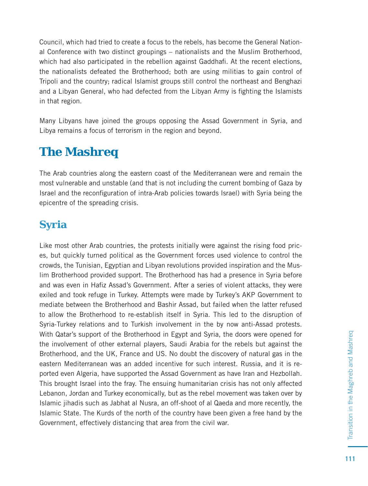Council, which had tried to create a focus to the rebels, has become the General National Conference with two distinct groupings – nationalists and the Muslim Brotherhood, which had also participated in the rebellion against Gaddhafi. At the recent elections, the nationalists defeated the Brotherhood; both are using militias to gain control of Tripoli and the country; radical Islamist groups still control the northeast and Benghazi and a Libyan General, who had defected from the Libyan Army is fighting the Islamists in that region.

Many Libyans have joined the groups opposing the Assad Government in Syria, and Libya remains a focus of terrorism in the region and beyond.

# **The Mashreq**

The Arab countries along the eastern coast of the Mediterranean were and remain the most vulnerable and unstable (and that is not including the current bombing of Gaza by Israel and the reconfiguration of intra-Arab policies towards Israel) with Syria being the epicentre of the spreading crisis.

#### **Syria**

Like most other Arab countries, the protests initially were against the rising food prices, but quickly turned political as the Government forces used violence to control the crowds, the Tunisian, Egyptian and Libyan revolutions provided inspiration and the Muslim Brotherhood provided support. The Brotherhood has had a presence in Syria before and was even in Hafiz Assad's Government. After a series of violent attacks, they were exiled and took refuge in Turkey. Attempts were made by Turkey's AKP Government to mediate between the Brotherhood and Bashir Assad, but failed when the latter refused to allow the Brotherhood to re-establish itself in Syria. This led to the disruption of Syria-Turkey relations and to Turkish involvement in the by now anti-Assad protests. With Qatar's support of the Brotherhood in Egypt and Syria, the doors were opened for the involvement of other external players, Saudi Arabia for the rebels but against the Brotherhood, and the UK, France and US. No doubt the discovery of natural gas in the eastern Mediterranean was an added incentive for such interest. Russia, and it is reported even Algeria, have supported the Assad Government as have Iran and Hezbollah. This brought Israel into the fray. The ensuing humanitarian crisis has not only affected Lebanon, Jordan and Turkey economically, but as the rebel movement was taken over by Islamic jihadis such as Jabhat al Nusra, an off-shoot of al Qaeda and more recently, the Islamic State. The Kurds of the north of the country have been given a free hand by the Government, effectively distancing that area from the civil war.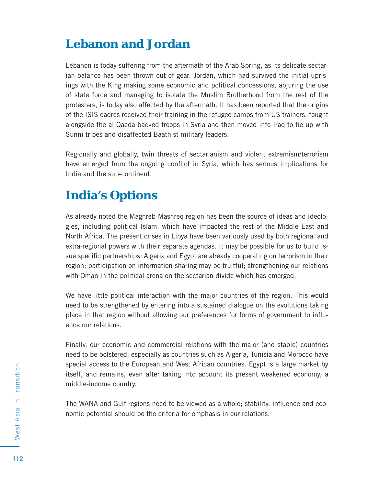# **Lebanon and Jordan**

Lebanon is today suffering from the aftermath of the Arab Spring, as its delicate sectarian balance has been thrown out of gear. Jordan, which had survived the initial uprisings with the King making some economic and political concessions, abjuring the use of state force and managing to isolate the Muslim Brotherhood from the rest of the protesters, is today also affected by the aftermath. It has been reported that the origins of the ISIS cadres received their training in the refugee camps from US trainers, fought alongside the al Qaeda backed troops in Syria and then moved into Iraq to tie up with Sunni tribes and disaffected Baathist military leaders.

Regionally and globally, twin threats of sectarianism and violent extremism/terrorism have emerged from the ongoing conflict in Syria, which has serious implications for India and the sub-continent.

#### **India's Options**

As already noted the Maghreb-Mashreq region has been the source of ideas and ideologies, including political Islam, which have impacted the rest of the Middle East and North Africa. The present crises in Libya have been variously used by both regional and extra-regional powers with their separate agendas. It may be possible for us to build issue specific partnerships: Algeria and Egypt are already cooperating on terrorism in their region; participation on information-sharing may be fruitful; strengthening our relations with Oman in the political arena on the sectarian divide which has emerged.

We have little political interaction with the major countries of the region. This would need to be strengthened by entering into a sustained dialogue on the evolutions taking place in that region without allowing our preferences for forms of government to influence our relations.

Finally, our economic and commercial relations with the major (and stable) countries need to be bolstered, especially as countries such as Algeria, Tunisia and Morocco have special access to the European and West African countries. Egypt is a large market by itself, and remains, even after taking into account its present weakened economy, a middle-income country.

The WANA and Gulf regions need to be viewed as a whole; stability, influence and economic potential should be the criteria for emphasis in our relations.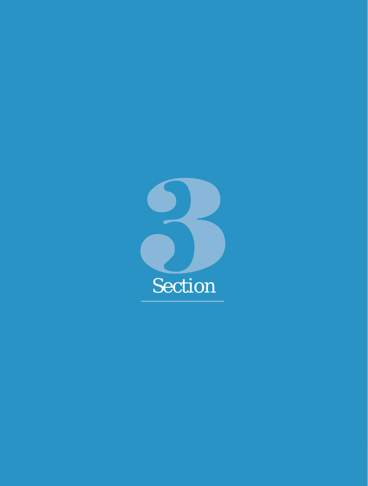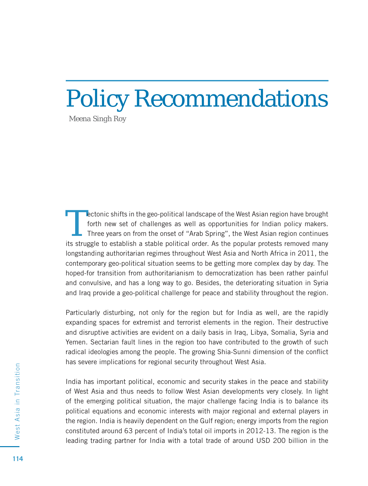# Policy Recommendations

*Meena Singh Roy*

Tectonic shifts in the geo-political landscape of the West Asian region have brought<br>forth new set of challenges as well as opportunities for Indian policy makers.<br>Three years on from the onset of "Arab Spring", the West A forth new set of challenges as well as opportunities for Indian policy makers. Three years on from the onset of "Arab Spring", the West Asian region continues its struggle to establish a stable political order. As the popular protests removed many longstanding authoritarian regimes throughout West Asia and North Africa in 2011, the contemporary geo-political situation seems to be getting more complex day by day. The hoped-for transition from authoritarianism to democratization has been rather painful and convulsive, and has a long way to go. Besides, the deteriorating situation in Syria and Iraq provide a geo-political challenge for peace and stability throughout the region.

Particularly disturbing, not only for the region but for India as well, are the rapidly expanding spaces for extremist and terrorist elements in the region. Their destructive and disruptive activities are evident on a daily basis in Iraq, Libya, Somalia, Syria and Yemen. Sectarian fault lines in the region too have contributed to the growth of such radical ideologies among the people. The growing Shia-Sunni dimension of the conflict has severe implications for regional security throughout West Asia.

India has important political, economic and security stakes in the peace and stability of West Asia and thus needs to follow West Asian developments very closely. In light of the emerging political situation, the major challenge facing India is to balance its political equations and economic interests with major regional and external players in the region. India is heavily dependent on the Gulf region; energy imports from the region constituted around 63 percent of India's total oil imports in 2012-13. The region is the leading trading partner for India with a total trade of around USD 200 billion in the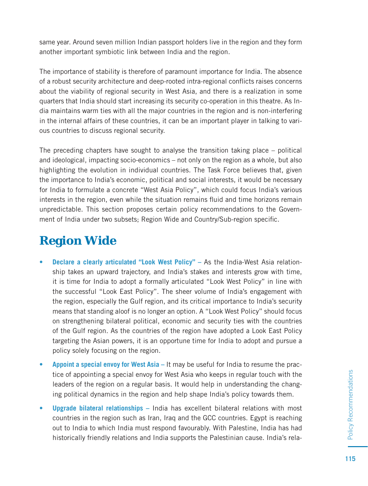same year. Around seven million Indian passport holders live in the region and they form another important symbiotic link between India and the region.

The importance of stability is therefore of paramount importance for India. The absence of a robust security architecture and deep-rooted intra-regional conflicts raises concerns about the viability of regional security in West Asia, and there is a realization in some quarters that India should start increasing its security co-operation in this theatre. As India maintains warm ties with all the major countries in the region and is non-interfering in the internal affairs of these countries, it can be an important player in talking to various countries to discuss regional security.

The preceding chapters have sought to analyse the transition taking place – political and ideological, impacting socio-economics – not only on the region as a whole, but also highlighting the evolution in individual countries. The Task Force believes that, given the importance to India's economic, political and social interests, it would be necessary for India to formulate a concrete "West Asia Policy", which could focus India's various interests in the region, even while the situation remains fluid and time horizons remain unpredictable. This section proposes certain policy recommendations to the Government of India under two subsets; Region Wide and Country/Sub-region specific.

# **Region Wide**

- **Declare a clearly articulated "Look West Policy"** As the India-West Asia relationship takes an upward trajectory, and India's stakes and interests grow with time, it is time for India to adopt a formally articulated "Look West Policy" in line with the successful "Look East Policy". The sheer volume of India's engagement with the region, especially the Gulf region, and its critical importance to India's security means that standing aloof is no longer an option. A "Look West Policy" should focus on strengthening bilateral political, economic and security ties with the countries of the Gulf region. As the countries of the region have adopted a Look East Policy targeting the Asian powers, it is an opportune time for India to adopt and pursue a policy solely focusing on the region.
- **Appoint a special envoy for West Asia** It may be useful for India to resume the practice of appointing a special envoy for West Asia who keeps in regular touch with the leaders of the region on a regular basis. It would help in understanding the changing political dynamics in the region and help shape India's policy towards them.
- **Upgrade bilateral relationships** India has excellent bilateral relations with most countries in the region such as Iran, Iraq and the GCC countries. Egypt is reaching out to India to which India must respond favourably. With Palestine, India has had historically friendly relations and India supports the Palestinian cause. India's rela-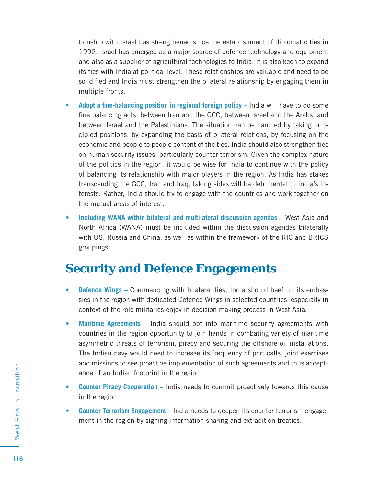tionship with Israel has strengthened since the establishment of diplomatic ties in 1992. Israel has emerged as a major source of defence technology and equipment and also as a supplier of agricultural technologies to India. It is also keen to expand its ties with India at political level. These relationships are valuable and need to be solidified and India must strengthen the bilateral relationship by engaging them in multiple fronts.

- **Adopt a fine-balancing position in regional foreign policy India will have to do some** fine balancing acts; between Iran and the GCC, between Israel and the Arabs, and between Israel and the Palestinians. The situation can be handled by taking principled positions, by expanding the basis of bilateral relations, by focusing on the economic and people to people content of the ties. India should also strengthen ties on human security issues, particularly counter-terrorism. Given the complex nature of the politics in the region, it would be wise for India to continue with the policy of balancing its relationship with major players in the region. As India has stakes transcending the GCC, Iran and Iraq, taking sides will be detrimental to India's interests. Rather, India should try to engage with the countries and work together on the mutual areas of interest.
- **Including WANA within bilateral and multilateral discussion agendas** West Asia and North Africa (WANA) must be included within the discussion agendas bilaterally with US, Russia and China, as well as within the framework of the RIC and BRICS groupings.

#### **Security and Defence Engagements**

- **Defence Wings** Commencing with bilateral ties, India should beef up its embassies in the region with dedicated Defence Wings in selected countries, especially in context of the role militaries enjoy in decision making process in West Asia.
- **Maritime Agreements** India should opt into maritime security agreements with countries in the region opportunity to join hands in combating variety of maritime asymmetric threats of terrorism, piracy and securing the offshore oil installations. The Indian navy would need to increase its frequency of port calls, joint exercises and missions to see proactive implementation of such agreements and thus acceptance of an Indian footprint in the region.
- **Counter Piracy Cooperation** India needs to commit proactively towards this cause in the region.
- **Counter Terrorism Engagement** India needs to deepen its counter terrorism engagement in the region by signing information sharing and extradition treaties.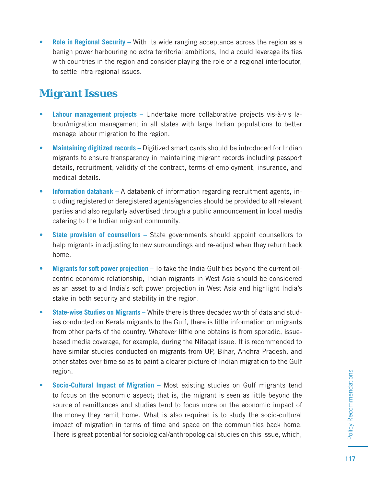**• Role in Regional Security –** With its wide ranging acceptance across the region as a benign power harbouring no extra territorial ambitions, India could leverage its ties with countries in the region and consider playing the role of a regional interlocutor, to settle intra-regional issues.

#### **Migrant Issues**

- **Labour management projects** Undertake more collaborative projects vis-à-vis labour/migration management in all states with large Indian populations to better manage labour migration to the region.
- **Maintaining digitized records** Digitized smart cards should be introduced for Indian migrants to ensure transparency in maintaining migrant records including passport details, recruitment, validity of the contract, terms of employment, insurance, and medical details.
- **Information databank** A databank of information regarding recruitment agents, including registered or deregistered agents/agencies should be provided to all relevant parties and also regularly advertised through a public announcement in local media catering to the Indian migrant community.
- **State provision of counsellors** State governments should appoint counsellors to help migrants in adjusting to new surroundings and re-adjust when they return back home.
- **Migrants for soft power projection** To take the India-Gulf ties beyond the current oilcentric economic relationship, Indian migrants in West Asia should be considered as an asset to aid India's soft power projection in West Asia and highlight India's stake in both security and stability in the region.
- **State-wise Studies on Migrants** While there is three decades worth of data and studies conducted on Kerala migrants to the Gulf, there is little information on migrants from other parts of the country. Whatever little one obtains is from sporadic, issuebased media coverage, for example, during the Nitaqat issue. It is recommended to have similar studies conducted on migrants from UP, Bihar, Andhra Pradesh, and other states over time so as to paint a clearer picture of Indian migration to the Gulf region.
- **Socio-Cultural Impact of Migration** Most existing studies on Gulf migrants tend to focus on the economic aspect; that is, the migrant is seen as little beyond the source of remittances and studies tend to focus more on the economic impact of the money they remit home. What is also required is to study the socio-cultural impact of migration in terms of time and space on the communities back home. There is great potential for sociological/anthropological studies on this issue, which,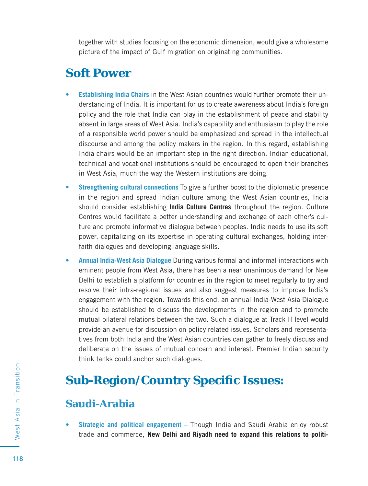together with studies focusing on the economic dimension, would give a wholesome picture of the impact of Gulf migration on originating communities.

# **Soft Power**

- **Establishing India Chairs** in the West Asian countries would further promote their understanding of India. It is important for us to create awareness about India's foreign policy and the role that India can play in the establishment of peace and stability absent in large areas of West Asia. India's capability and enthusiasm to play the role of a responsible world power should be emphasized and spread in the intellectual discourse and among the policy makers in the region. In this regard, establishing India chairs would be an important step in the right direction. Indian educational, technical and vocational institutions should be encouraged to open their branches in West Asia, much the way the Western institutions are doing.
- **Strengthening cultural connections** To give a further boost to the diplomatic presence in the region and spread Indian culture among the West Asian countries, India should consider establishing **India Culture Centres** throughout the region. Culture Centres would facilitate a better understanding and exchange of each other's culture and promote informative dialogue between peoples. India needs to use its soft power, capitalizing on its expertise in operating cultural exchanges, holding interfaith dialogues and developing language skills.
- **Annual India-West Asia Dialogue** During various formal and informal interactions with eminent people from West Asia, there has been a near unanimous demand for New Delhi to establish a platform for countries in the region to meet regularly to try and resolve their intra-regional issues and also suggest measures to improve India's engagement with the region. Towards this end, an annual India-West Asia Dialogue should be established to discuss the developments in the region and to promote mutual bilateral relations between the two. Such a dialogue at Track II level would provide an avenue for discussion on policy related issues. Scholars and representatives from both India and the West Asian countries can gather to freely discuss and deliberate on the issues of mutual concern and interest. Premier Indian security think tanks could anchor such dialogues.

# **Sub-Region/Country Specifi c Issues:**

#### **Saudi-Arabia**

**• Strategic and political engagement –** Though India and Saudi Arabia enjoy robust trade and commerce, **New Delhi and Riyadh need to expand this relations to politi-**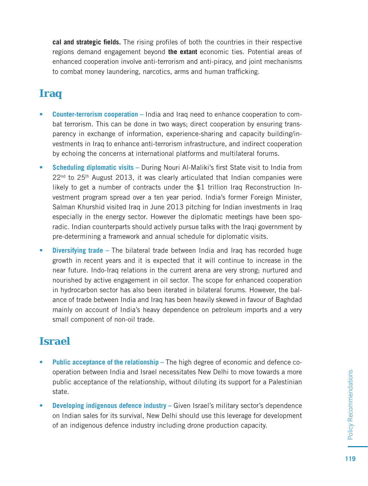**cal and strategic fields.** The rising profiles of both the countries in their respective regions demand engagement beyond **the extant** economic ties. Potential areas of enhanced cooperation involve anti-terrorism and anti-piracy, and joint mechanisms to combat money laundering, narcotics, arms and human trafficking.

#### **Iraq**

- **Counter-terrorism cooperation** India and Iraq need to enhance cooperation to combat terrorism. This can be done in two ways; direct cooperation by ensuring transparency in exchange of information, experience-sharing and capacity building/investments in Iraq to enhance anti-terrorism infrastructure, and indirect cooperation by echoing the concerns at international platforms and multilateral forums.
- Scheduling diplomatic visits During Nouri Al-Maliki's first State visit to India from  $22<sup>nd</sup>$  to  $25<sup>th</sup>$  August 2013, it was clearly articulated that Indian companies were likely to get a number of contracts under the \$1 trillion Iraq Reconstruction Investment program spread over a ten year period. India's former Foreign Minister, Salman Khurshid visited Iraq in June 2013 pitching for Indian investments in Iraq especially in the energy sector. However the diplomatic meetings have been sporadic. Indian counterparts should actively pursue talks with the Iraqi government by pre-determining a framework and annual schedule for diplomatic visits.
- **Diversifying trade** The bilateral trade between India and Iraq has recorded huge growth in recent years and it is expected that it will continue to increase in the near future. Indo-Iraq relations in the current arena are very strong; nurtured and nourished by active engagement in oil sector. The scope for enhanced cooperation in hydrocarbon sector has also been iterated in bilateral forums. However, the balance of trade between India and Iraq has been heavily skewed in favour of Baghdad mainly on account of India's heavy dependence on petroleum imports and a very small component of non-oil trade.

#### **Israel**

- **Public acceptance of the relationship** The high degree of economic and defence cooperation between India and Israel necessitates New Delhi to move towards a more public acceptance of the relationship, without diluting its support for a Palestinian state.
- **Developing indigenous defence industry** Given Israel's military sector's dependence on Indian sales for its survival, New Delhi should use this leverage for development of an indigenous defence industry including drone production capacity.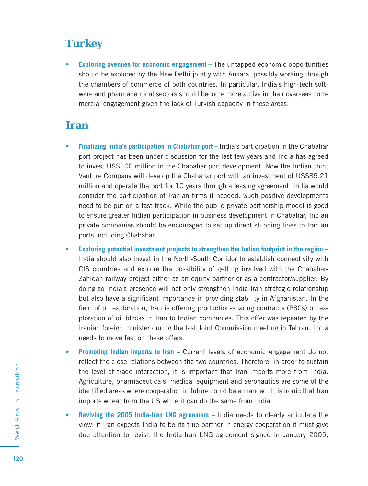#### **Turkey**

**• Exploring avenues for economic engagement –** The untapped economic opportunities should be explored by the New Delhi jointly with Ankara, possibly working through the chambers of commerce of both countries. In particular, India's high-tech software and pharmaceutical sectors should become more active in their overseas commercial engagement given the lack of Turkish capacity in these areas.

#### **Iran**

- **Finalizing India's participation in Chabahar port** India's participation in the Chabahar port project has been under discussion for the last few years and India has agreed to invest US\$100 million in the Chabahar port development. Now the Indian Joint Venture Company will develop the Chabahar port with an investment of US\$85.21 million and operate the port for 10 years through a leasing agreement. India would consider the participation of Iranian firms if needed. Such positive developments need to be put on a fast track. While the public-private-partnership model is good to ensure greater Indian participation in business development in Chabahar, Indian private companies should be encouraged to set up direct shipping lines to Iranian ports including Chabahar.
- **Exploring potential investment projects to strengthen the Indian footprint in the region**  India should also invest in the North-South Corridor to establish connectivity with CIS countries and explore the possibility of getting involved with the Chabahar-Zahidan railway project either as an equity partner or as a contractor/supplier. By doing so India's presence will not only strengthen India-Iran strategic relationship but also have a significant importance in providing stability in Afghanistan. In the field of oil exploration, Iran is offering production-sharing contracts (PSCs) on exploration of oil blocks in Iran to Indian companies. This offer was repeated by the Iranian foreign minister during the last Joint Commission meeting in Tehran. India needs to move fast on these offers.
- **Promoting Indian imports to Iran** Current levels of economic engagement do not reflect the close relations between the two countries. Therefore, in order to sustain the level of trade interaction, it is important that Iran imports more from India. Agriculture, pharmaceuticals, medical equipment and aeronautics are some of the identified areas where cooperation in future could be enhanced. It is ironic that Iran imports wheat from the US while it can do the same from India.
- **Reviving the 2005 India-Iran LNG agreement** India needs to clearly articulate the view; if Iran expects India to be its true partner in energy cooperation it must give due attention to revisit the India-Iran LNG agreement signed in January 2005,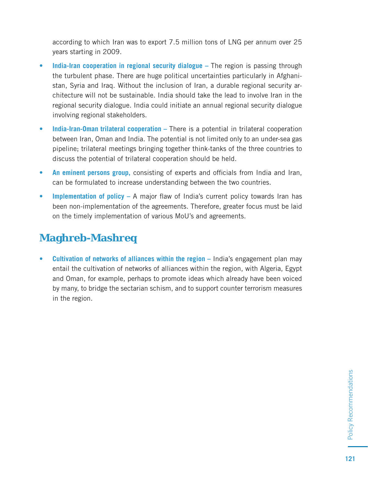according to which Iran was to export 7.5 million tons of LNG per annum over 25 years starting in 2009.

- **India-Iran cooperation in regional security dialogue –** The region is passing through the turbulent phase. There are huge political uncertainties particularly in Afghanistan, Syria and Iraq. Without the inclusion of Iran, a durable regional security architecture will not be sustainable. India should take the lead to involve Iran in the regional security dialogue. India could initiate an annual regional security dialogue involving regional stakeholders.
- India-Iran-Oman trilateral cooperation There is a potential in trilateral cooperation between Iran, Oman and India. The potential is not limited only to an under-sea gas pipeline; trilateral meetings bringing together think-tanks of the three countries to discuss the potential of trilateral cooperation should be held.
- An eminent persons group, consisting of experts and officials from India and Iran, can be formulated to increase understanding between the two countries.
- **Implementation of policy A** major flaw of India's current policy towards Iran has been non-implementation of the agreements. Therefore, greater focus must be laid on the timely implementation of various MoU's and agreements.

#### **Maghreb-Mashreq**

**• Cultivation of networks of alliances within the region –** India's engagement plan may entail the cultivation of networks of alliances within the region, with Algeria, Egypt and Oman, for example, perhaps to promote ideas which already have been voiced by many, to bridge the sectarian schism, and to support counter terrorism measures in the region.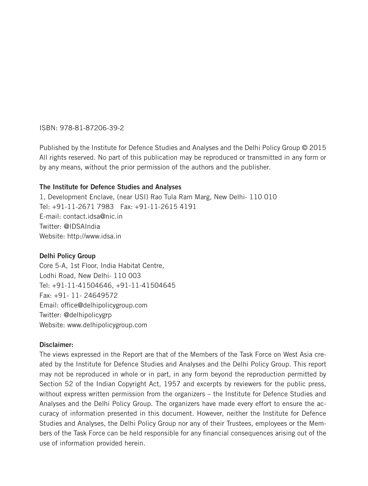#### ISBN: 978-81-87206-39-2

Published by the Institute for Defence Studies and Analyses and the Delhi Policy Group © 2015 All rights reserved. No part of this publication may be reproduced or transmitted in any form or by any means, without the prior permission of the authors and the publisher.

#### **The Institute for Defence Studies and Analyses**

1, Development Enclave, (near USI) Rao Tula Ram Marg, New Delhi- 110 010 Tel: +91-11-2671 7983 Fax: +91-11-2615 4191 E-mail: contact.idsa@nic.in Twitter: @IDSAIndia Website: http://www.idsa.in

#### **Delhi Policy Group**

Core 5-A, 1st Floor, India Habitat Centre, Lodhi Road, New Delhi- 110 003 Tel: +91-11-41504646, +91-11-41504645 Fax: +91- 11- 24649572 Email: office@delhipolicygroup.com Twitter: @delhipolicygrp Website: www.delhipolicygroup.com

#### **Disclaimer:**

The views expressed in the Report are that of the Members of the Task Force on West Asia created by the Institute for Defence Studies and Analyses and the Delhi Policy Group. This report may not be reproduced in whole or in part, in any form beyond the reproduction permitted by Section 52 of the Indian Copyright Act, 1957 and excerpts by reviewers for the public press, without express written permission from the organizers – the Institute for Defence Studies and Analyses and the Delhi Policy Group. The organizers have made every effort to ensure the accuracy of information presented in this document. However, neither the Institute for Defence Studies and Analyses, the Delhi Policy Group nor any of their Trustees, employees or the Members of the Task Force can be held responsible for any financial consequences arising out of the use of information provided herein.